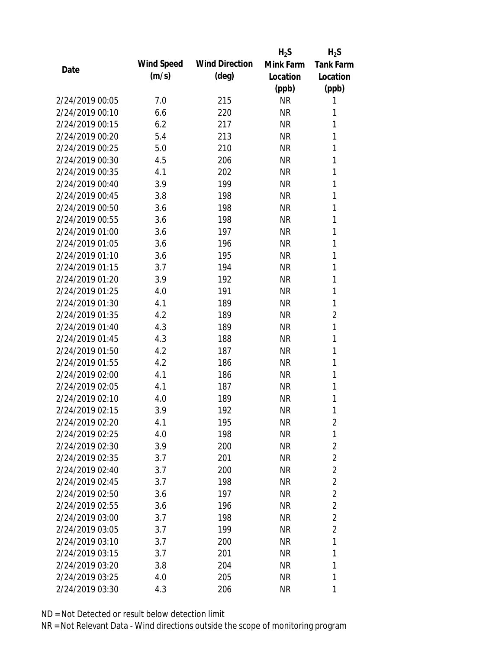|                 |            |                       | $H_2S$    | $H_2S$           |
|-----------------|------------|-----------------------|-----------|------------------|
| Date            | Wind Speed | <b>Wind Direction</b> | Mink Farm | <b>Tank Farm</b> |
|                 | (m/s)      | $(\text{deg})$        | Location  | Location         |
|                 |            |                       | (ppb)     | (ppb)            |
| 2/24/2019 00:05 | 7.0        | 215                   | <b>NR</b> | 1                |
| 2/24/2019 00:10 | 6.6        | 220                   | <b>NR</b> | 1                |
| 2/24/2019 00:15 | 6.2        | 217                   | <b>NR</b> | 1                |
| 2/24/2019 00:20 | 5.4        | 213                   | <b>NR</b> | 1                |
| 2/24/2019 00:25 | 5.0        | 210                   | <b>NR</b> | 1                |
| 2/24/2019 00:30 | 4.5        | 206                   | <b>NR</b> | 1                |
| 2/24/2019 00:35 | 4.1        | 202                   | <b>NR</b> | 1                |
| 2/24/2019 00:40 | 3.9        | 199                   | <b>NR</b> | 1                |
| 2/24/2019 00:45 | 3.8        | 198                   | <b>NR</b> | 1                |
| 2/24/2019 00:50 | 3.6        | 198                   | <b>NR</b> | 1                |
| 2/24/2019 00:55 | 3.6        | 198                   | <b>NR</b> | 1                |
| 2/24/2019 01:00 | 3.6        | 197                   | <b>NR</b> | 1                |
| 2/24/2019 01:05 | 3.6        | 196                   | <b>NR</b> | 1                |
| 2/24/2019 01:10 | 3.6        | 195                   | <b>NR</b> | 1                |
| 2/24/2019 01:15 | 3.7        | 194                   | <b>NR</b> | 1                |
| 2/24/2019 01:20 | 3.9        | 192                   | <b>NR</b> | 1                |
| 2/24/2019 01:25 | 4.0        | 191                   | <b>NR</b> | 1                |
| 2/24/2019 01:30 | 4.1        | 189                   | <b>NR</b> | 1                |
| 2/24/2019 01:35 | 4.2        | 189                   | <b>NR</b> | $\overline{2}$   |
| 2/24/2019 01:40 | 4.3        | 189                   | <b>NR</b> | 1                |
| 2/24/2019 01:45 | 4.3        | 188                   | <b>NR</b> | 1                |
| 2/24/2019 01:50 | 4.2        | 187                   | <b>NR</b> | 1                |
| 2/24/2019 01:55 | 4.2        | 186                   | <b>NR</b> | 1                |
| 2/24/2019 02:00 | 4.1        | 186                   | <b>NR</b> | 1                |
| 2/24/2019 02:05 | 4.1        | 187                   | <b>NR</b> | 1                |
| 2/24/2019 02:10 | 4.0        | 189                   | <b>NR</b> | 1                |
| 2/24/2019 02:15 | 3.9        | 192                   | <b>NR</b> | 1                |
| 2/24/2019 02:20 | 4.1        | 195                   | <b>NR</b> | $\overline{2}$   |
| 2/24/2019 02:25 | 4.0        | 198                   | <b>NR</b> | 1                |
| 2/24/2019 02:30 | 3.9        | 200                   | <b>NR</b> | $\overline{2}$   |
| 2/24/2019 02:35 | 3.7        | 201                   | <b>NR</b> | $\overline{2}$   |
| 2/24/2019 02:40 | 3.7        | 200                   | <b>NR</b> | $\overline{2}$   |
| 2/24/2019 02:45 | 3.7        | 198                   | <b>NR</b> | $\overline{2}$   |
| 2/24/2019 02:50 | 3.6        | 197                   | <b>NR</b> | $\overline{2}$   |
| 2/24/2019 02:55 | 3.6        | 196                   | <b>NR</b> | $\overline{2}$   |
| 2/24/2019 03:00 | 3.7        | 198                   | <b>NR</b> | $\overline{2}$   |
| 2/24/2019 03:05 | 3.7        | 199                   | <b>NR</b> | $\overline{2}$   |
| 2/24/2019 03:10 | 3.7        | 200                   | NR        | 1                |
| 2/24/2019 03:15 | 3.7        | 201                   | <b>NR</b> | 1                |
| 2/24/2019 03:20 | 3.8        | 204                   | <b>NR</b> | 1                |
| 2/24/2019 03:25 | 4.0        | 205                   | <b>NR</b> | 1                |
| 2/24/2019 03:30 | 4.3        | 206                   | <b>NR</b> | 1                |
|                 |            |                       |           |                  |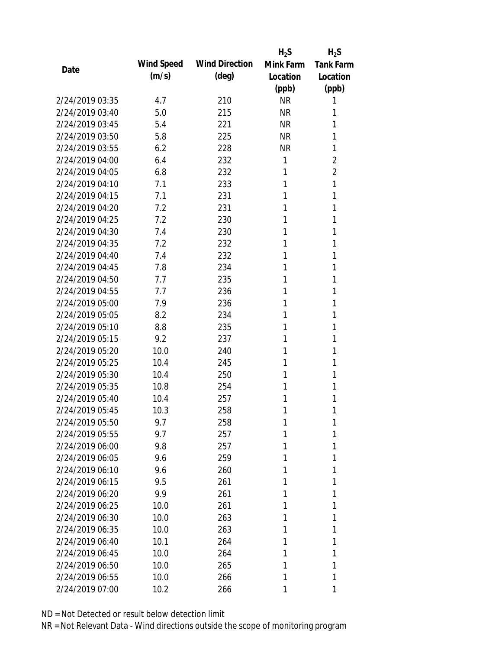|                 |            |                       | $H_2S$    | $H_2S$           |
|-----------------|------------|-----------------------|-----------|------------------|
| Date            | Wind Speed | <b>Wind Direction</b> | Mink Farm | <b>Tank Farm</b> |
|                 | (m/s)      | (deg)                 | Location  | Location         |
|                 |            |                       | (ppb)     | (ppb)            |
| 2/24/2019 03:35 | 4.7        | 210                   | <b>NR</b> | 1                |
| 2/24/2019 03:40 | 5.0        | 215                   | <b>NR</b> | 1                |
| 2/24/2019 03:45 | 5.4        | 221                   | <b>NR</b> | 1                |
| 2/24/2019 03:50 | 5.8        | 225                   | <b>NR</b> | 1                |
| 2/24/2019 03:55 | 6.2        | 228                   | <b>NR</b> | 1                |
| 2/24/2019 04:00 | 6.4        | 232                   | 1         | 2                |
| 2/24/2019 04:05 | 6.8        | 232                   | 1         | $\overline{2}$   |
| 2/24/2019 04:10 | 7.1        | 233                   | 1         | 1                |
| 2/24/2019 04:15 | 7.1        | 231                   | 1         | 1                |
| 2/24/2019 04:20 | 7.2        | 231                   | 1         | 1                |
| 2/24/2019 04:25 | 7.2        | 230                   | 1         | 1                |
| 2/24/2019 04:30 | 7.4        | 230                   | 1         | 1                |
| 2/24/2019 04:35 | 7.2        | 232                   | 1         | 1                |
| 2/24/2019 04:40 | 7.4        | 232                   | 1         | 1                |
| 2/24/2019 04:45 | 7.8        | 234                   | 1         | 1                |
| 2/24/2019 04:50 | 7.7        | 235                   | 1         | 1                |
| 2/24/2019 04:55 | 7.7        | 236                   | 1         | 1                |
| 2/24/2019 05:00 | 7.9        | 236                   | 1         | 1                |
| 2/24/2019 05:05 | 8.2        | 234                   | 1         | 1                |
| 2/24/2019 05:10 | 8.8        | 235                   | 1         | 1                |
| 2/24/2019 05:15 | 9.2        | 237                   | 1         | 1                |
| 2/24/2019 05:20 | 10.0       | 240                   | 1         | 1                |
| 2/24/2019 05:25 | 10.4       | 245                   | 1         | 1                |
| 2/24/2019 05:30 | 10.4       | 250                   | 1         | 1                |
| 2/24/2019 05:35 | 10.8       | 254                   | 1         | 1                |
| 2/24/2019 05:40 | 10.4       | 257                   | 1         | 1                |
| 2/24/2019 05:45 | 10.3       | 258                   | 1         | 1                |
| 2/24/2019 05:50 | 9.7        | 258                   | 1         | 1                |
| 2/24/2019 05:55 | 9.7        | 257                   | 1         | 1                |
| 2/24/2019 06:00 | 9.8        | 257                   | 1         | 1                |
| 2/24/2019 06:05 | 9.6        | 259                   | 1         | 1                |
| 2/24/2019 06:10 | 9.6        | 260                   | 1         | 1                |
| 2/24/2019 06:15 | 9.5        | 261                   | 1         | 1                |
| 2/24/2019 06:20 | 9.9        | 261                   | 1         | 1                |
| 2/24/2019 06:25 | 10.0       | 261                   | 1         | 1                |
| 2/24/2019 06:30 | 10.0       | 263                   | 1         | 1                |
| 2/24/2019 06:35 | 10.0       | 263                   | 1         | 1                |
| 2/24/2019 06:40 | 10.1       | 264                   | 1         | 1                |
| 2/24/2019 06:45 | 10.0       | 264                   | 1         | 1                |
| 2/24/2019 06:50 | 10.0       | 265                   | 1         | 1                |
| 2/24/2019 06:55 | 10.0       | 266                   | 1         | 1                |
| 2/24/2019 07:00 | 10.2       | 266                   | 1         | 1                |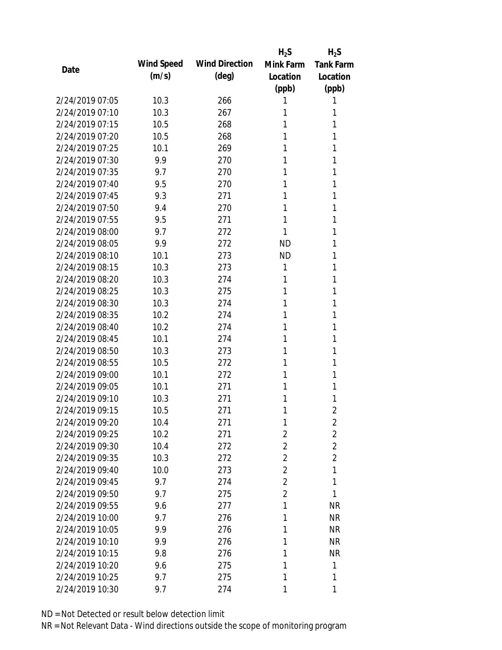|                 |            |                       | $H_2S$         | $H_2S$           |
|-----------------|------------|-----------------------|----------------|------------------|
|                 | Wind Speed | <b>Wind Direction</b> | Mink Farm      | <b>Tank Farm</b> |
| Date            | (m/s)      | $(\text{deg})$        | Location       | Location         |
|                 |            |                       | (ppb)          | (ppb)            |
| 2/24/2019 07:05 | 10.3       | 266                   |                | 1                |
| 2/24/2019 07:10 | 10.3       | 267                   | 1              | 1                |
| 2/24/2019 07:15 | 10.5       | 268                   | 1              | 1                |
| 2/24/2019 07:20 | 10.5       | 268                   | 1              | 1                |
| 2/24/2019 07:25 | 10.1       | 269                   | 1              | 1                |
| 2/24/2019 07:30 | 9.9        | 270                   | 1              | 1                |
| 2/24/2019 07:35 | 9.7        | 270                   | 1              | 1                |
| 2/24/2019 07:40 | 9.5        | 270                   | 1              | 1                |
| 2/24/2019 07:45 | 9.3        | 271                   | 1              | 1                |
| 2/24/2019 07:50 | 9.4        | 270                   | 1              | 1                |
| 2/24/2019 07:55 | 9.5        | 271                   | 1              | 1                |
| 2/24/2019 08:00 | 9.7        | 272                   | 1              | 1                |
| 2/24/2019 08:05 | 9.9        | 272                   | <b>ND</b>      | 1                |
| 2/24/2019 08:10 | 10.1       | 273                   | <b>ND</b>      | 1                |
| 2/24/2019 08:15 | 10.3       | 273                   | 1              | 1                |
| 2/24/2019 08:20 | 10.3       | 274                   | 1              | 1                |
| 2/24/2019 08:25 | 10.3       | 275                   | 1              | 1                |
| 2/24/2019 08:30 | 10.3       | 274                   | 1              | 1                |
| 2/24/2019 08:35 | 10.2       | 274                   | 1              | 1                |
| 2/24/2019 08:40 | 10.2       | 274                   | 1              | 1                |
| 2/24/2019 08:45 | 10.1       | 274                   | 1              | 1                |
| 2/24/2019 08:50 | 10.3       | 273                   | 1              | 1                |
| 2/24/2019 08:55 | 10.5       | 272                   | 1              | 1                |
| 2/24/2019 09:00 | 10.1       | 272                   | 1              | 1                |
| 2/24/2019 09:05 | 10.1       | 271                   | 1              | 1                |
| 2/24/2019 09:10 | 10.3       | 271                   | 1              | 1                |
| 2/24/2019 09:15 | 10.5       | 271                   | 1              | $\overline{2}$   |
| 2/24/2019 09:20 | 10.4       | 271                   | 1              | $\overline{2}$   |
| 2/24/2019 09:25 | 10.2       | 271                   | 2              | $\overline{2}$   |
| 2/24/2019 09:30 | 10.4       | 272                   | 2              | $\overline{2}$   |
| 2/24/2019 09:35 | 10.3       | 272                   | 2              | $\overline{2}$   |
| 2/24/2019 09:40 | 10.0       | 273                   | $\overline{2}$ | 1                |
| 2/24/2019 09:45 | 9.7        | 274                   | $\overline{2}$ | 1                |
| 2/24/2019 09:50 | 9.7        | 275                   | $\overline{2}$ | 1                |
| 2/24/2019 09:55 | 9.6        | 277                   | 1              | <b>NR</b>        |
| 2/24/2019 10:00 | 9.7        | 276                   | 1              | <b>NR</b>        |
| 2/24/2019 10:05 | 9.9        | 276                   | 1              | <b>NR</b>        |
| 2/24/2019 10:10 | 9.9        | 276                   | 1              | <b>NR</b>        |
| 2/24/2019 10:15 | 9.8        | 276                   | 1              | <b>NR</b>        |
| 2/24/2019 10:20 | 9.6        | 275                   | 1              | 1                |
| 2/24/2019 10:25 | 9.7        | 275                   | 1              | 1                |
| 2/24/2019 10:30 | 9.7        | 274                   | 1              | 1                |
|                 |            |                       |                |                  |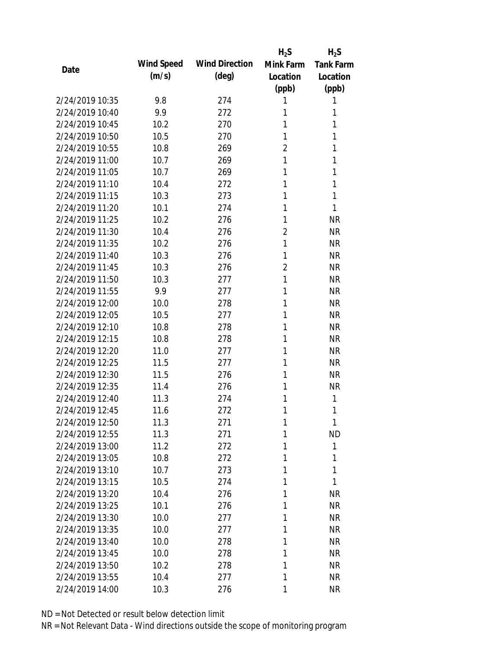|                 |            |                       | $H_2S$         | $H_2S$           |
|-----------------|------------|-----------------------|----------------|------------------|
| Date            | Wind Speed | <b>Wind Direction</b> | Mink Farm      | <b>Tank Farm</b> |
|                 | (m/s)      | $(\text{deg})$        | Location       | Location         |
|                 |            |                       | (ppb)          | (ppb)            |
| 2/24/2019 10:35 | 9.8        | 274                   | 1              | 1                |
| 2/24/2019 10:40 | 9.9        | 272                   | 1              | 1                |
| 2/24/2019 10:45 | 10.2       | 270                   | 1              | 1                |
| 2/24/2019 10:50 | 10.5       | 270                   | 1              | 1                |
| 2/24/2019 10:55 | 10.8       | 269                   | $\overline{2}$ | 1                |
| 2/24/2019 11:00 | 10.7       | 269                   | 1              | 1                |
| 2/24/2019 11:05 | 10.7       | 269                   | 1              | 1                |
| 2/24/2019 11:10 | 10.4       | 272                   | 1              | 1                |
| 2/24/2019 11:15 | 10.3       | 273                   | 1              | 1                |
| 2/24/2019 11:20 | 10.1       | 274                   | 1              | 1                |
| 2/24/2019 11:25 | 10.2       | 276                   | 1              | <b>NR</b>        |
| 2/24/2019 11:30 | 10.4       | 276                   | $\overline{2}$ | <b>NR</b>        |
| 2/24/2019 11:35 | 10.2       | 276                   | 1              | <b>NR</b>        |
| 2/24/2019 11:40 | 10.3       | 276                   | 1              | <b>NR</b>        |
| 2/24/2019 11:45 | 10.3       | 276                   | $\overline{2}$ | <b>NR</b>        |
| 2/24/2019 11:50 | 10.3       | 277                   | 1              | <b>NR</b>        |
| 2/24/2019 11:55 | 9.9        | 277                   | 1              | <b>NR</b>        |
| 2/24/2019 12:00 | 10.0       | 278                   | 1              | <b>NR</b>        |
| 2/24/2019 12:05 | 10.5       | 277                   | 1              | <b>NR</b>        |
| 2/24/2019 12:10 | 10.8       | 278                   | 1              | <b>NR</b>        |
| 2/24/2019 12:15 | 10.8       | 278                   | 1              | <b>NR</b>        |
| 2/24/2019 12:20 | 11.0       | 277                   | 1              | <b>NR</b>        |
| 2/24/2019 12:25 | 11.5       | 277                   | 1              | <b>NR</b>        |
| 2/24/2019 12:30 | 11.5       | 276                   | 1              | <b>NR</b>        |
| 2/24/2019 12:35 | 11.4       | 276                   | 1              | <b>NR</b>        |
| 2/24/2019 12:40 | 11.3       | 274                   | 1              | 1                |
| 2/24/2019 12:45 | 11.6       | 272                   | 1              | 1                |
| 2/24/2019 12:50 | 11.3       | 271                   | 1              | 1                |
| 2/24/2019 12:55 | 11.3       | 271                   | 1              | <b>ND</b>        |
| 2/24/2019 13:00 | 11.2       | 272                   | 1              | 1                |
| 2/24/2019 13:05 | 10.8       | 272                   | 1              | 1                |
| 2/24/2019 13:10 | 10.7       | 273                   | 1              | 1                |
| 2/24/2019 13:15 | 10.5       | 274                   | 1              | 1                |
| 2/24/2019 13:20 | 10.4       | 276                   | 1              | <b>NR</b>        |
| 2/24/2019 13:25 | 10.1       | 276                   | 1              | <b>NR</b>        |
| 2/24/2019 13:30 | 10.0       | 277                   | 1              | <b>NR</b>        |
| 2/24/2019 13:35 | 10.0       | 277                   | 1              | <b>NR</b>        |
| 2/24/2019 13:40 | 10.0       | 278                   | 1              | <b>NR</b>        |
| 2/24/2019 13:45 | 10.0       | 278                   | 1              | <b>NR</b>        |
| 2/24/2019 13:50 | 10.2       | 278                   | 1              | <b>NR</b>        |
| 2/24/2019 13:55 | 10.4       | 277                   | 1              | <b>NR</b>        |
| 2/24/2019 14:00 | 10.3       | 276                   | 1              | <b>NR</b>        |
|                 |            |                       |                |                  |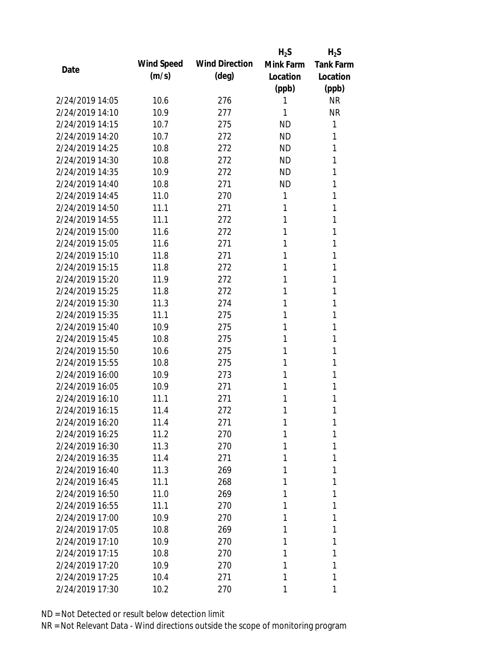|                 |            |                       | $H_2S$    | $H_2S$           |
|-----------------|------------|-----------------------|-----------|------------------|
| Date            | Wind Speed | <b>Wind Direction</b> | Mink Farm | <b>Tank Farm</b> |
|                 | (m/s)      | $(\text{deg})$        | Location  | Location         |
|                 |            |                       | (ppb)     | (ppb)            |
| 2/24/2019 14:05 | 10.6       | 276                   | 1         | <b>NR</b>        |
| 2/24/2019 14:10 | 10.9       | 277                   | 1         | <b>NR</b>        |
| 2/24/2019 14:15 | 10.7       | 275                   | <b>ND</b> | 1                |
| 2/24/2019 14:20 | 10.7       | 272                   | <b>ND</b> | 1                |
| 2/24/2019 14:25 | 10.8       | 272                   | <b>ND</b> | 1                |
| 2/24/2019 14:30 | 10.8       | 272                   | <b>ND</b> | 1                |
| 2/24/2019 14:35 | 10.9       | 272                   | <b>ND</b> | 1                |
| 2/24/2019 14:40 | 10.8       | 271                   | <b>ND</b> | 1                |
| 2/24/2019 14:45 | 11.0       | 270                   | 1         | 1                |
| 2/24/2019 14:50 | 11.1       | 271                   | 1         | 1                |
| 2/24/2019 14:55 | 11.1       | 272                   | 1         | 1                |
| 2/24/2019 15:00 | 11.6       | 272                   | 1         | 1                |
| 2/24/2019 15:05 | 11.6       | 271                   | 1         | 1                |
| 2/24/2019 15:10 | 11.8       | 271                   | 1         | 1                |
| 2/24/2019 15:15 | 11.8       | 272                   | 1         | 1                |
| 2/24/2019 15:20 | 11.9       | 272                   | 1         | 1                |
| 2/24/2019 15:25 | 11.8       | 272                   | 1         | 1                |
| 2/24/2019 15:30 | 11.3       | 274                   | 1         | 1                |
| 2/24/2019 15:35 | 11.1       | 275                   | 1         | 1                |
| 2/24/2019 15:40 | 10.9       | 275                   | 1         | 1                |
| 2/24/2019 15:45 | 10.8       | 275                   | 1         | 1                |
| 2/24/2019 15:50 | 10.6       | 275                   | 1         | 1                |
| 2/24/2019 15:55 | 10.8       | 275                   | 1         | 1                |
| 2/24/2019 16:00 | 10.9       | 273                   | 1         | 1                |
| 2/24/2019 16:05 | 10.9       | 271                   | 1         | 1                |
| 2/24/2019 16:10 | 11.1       | 271                   | 1         | 1                |
| 2/24/2019 16:15 | 11.4       | 272                   | 1         | 1                |
| 2/24/2019 16:20 | 11.4       | 271                   | 1         | 1                |
| 2/24/2019 16:25 | 11.2       | 270                   | 1         | 1                |
| 2/24/2019 16:30 | 11.3       | 270                   | 1         | 1                |
| 2/24/2019 16:35 | 11.4       | 271                   | 1         | 1                |
| 2/24/2019 16:40 | 11.3       | 269                   | 1         | 1                |
| 2/24/2019 16:45 | 11.1       | 268                   | 1         | 1                |
| 2/24/2019 16:50 | 11.0       | 269                   | 1         | 1                |
| 2/24/2019 16:55 | 11.1       | 270                   | 1         | 1                |
| 2/24/2019 17:00 | 10.9       | 270                   | 1         | 1                |
| 2/24/2019 17:05 | 10.8       | 269                   | 1         | 1                |
| 2/24/2019 17:10 | 10.9       | 270                   | 1         | 1                |
| 2/24/2019 17:15 | 10.8       |                       | 1         | 1                |
| 2/24/2019 17:20 |            | 270                   | 1         | 1                |
|                 | 10.9       | 270                   |           |                  |
| 2/24/2019 17:25 | 10.4       | 271                   | 1         | 1                |
| 2/24/2019 17:30 | 10.2       | 270                   | 1         | 1                |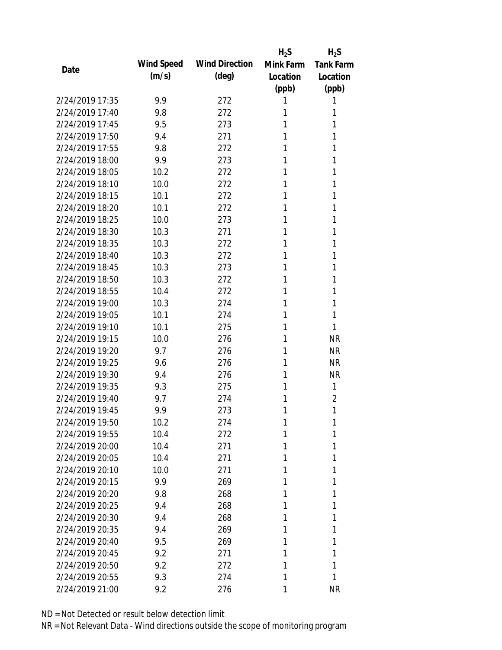|                 |            |                       | $H_2S$    | $H_2S$    |
|-----------------|------------|-----------------------|-----------|-----------|
| Date            | Wind Speed | <b>Wind Direction</b> | Mink Farm | Tank Farm |
|                 | (m/s)      | $(\text{deg})$        | Location  | Location  |
|                 |            |                       | (ppb)     | (ppb)     |
| 2/24/2019 17:35 | 9.9        | 272                   | 1         | 1         |
| 2/24/2019 17:40 | 9.8        | 272                   | 1         | 1         |
| 2/24/2019 17:45 | 9.5        | 273                   | 1         | 1         |
| 2/24/2019 17:50 | 9.4        | 271                   | 1         | 1         |
| 2/24/2019 17:55 | 9.8        | 272                   | 1         | 1         |
| 2/24/2019 18:00 | 9.9        | 273                   | 1         | 1         |
| 2/24/2019 18:05 | 10.2       | 272                   | 1         | 1         |
| 2/24/2019 18:10 | 10.0       | 272                   | 1         | 1         |
| 2/24/2019 18:15 | 10.1       | 272                   | 1         | 1         |
| 2/24/2019 18:20 | 10.1       | 272                   | 1         | 1         |
| 2/24/2019 18:25 | 10.0       | 273                   | 1         | 1         |
| 2/24/2019 18:30 | 10.3       | 271                   | 1         | 1         |
| 2/24/2019 18:35 | 10.3       | 272                   | 1         | 1         |
| 2/24/2019 18:40 | 10.3       | 272                   | 1         | 1         |
| 2/24/2019 18:45 | 10.3       | 273                   | 1         | 1         |
| 2/24/2019 18:50 | 10.3       | 272                   | 1         | 1         |
| 2/24/2019 18:55 | 10.4       | 272                   | 1         | 1         |
| 2/24/2019 19:00 | 10.3       | 274                   | 1         | 1         |
| 2/24/2019 19:05 | 10.1       | 274                   | 1         | 1         |
| 2/24/2019 19:10 | 10.1       | 275                   | 1         | 1         |
| 2/24/2019 19:15 | 10.0       | 276                   | 1         | <b>NR</b> |
| 2/24/2019 19:20 | 9.7        | 276                   | 1         | <b>NR</b> |
| 2/24/2019 19:25 | 9.6        | 276                   | 1         | <b>NR</b> |
| 2/24/2019 19:30 | 9.4        | 276                   | 1         | <b>NR</b> |
| 2/24/2019 19:35 | 9.3        | 275                   | 1         | 1         |
| 2/24/2019 19:40 | 9.7        | 274                   | 1         | 2         |
| 2/24/2019 19:45 | 9.9        | 273                   | 1         | 1         |
| 2/24/2019 19:50 | 10.2       | 274                   | 1         | 1         |
| 2/24/2019 19:55 | 10.4       | 272                   | 1         | 1         |
| 2/24/2019 20:00 | 10.4       | 271                   | 1         | 1         |
| 2/24/2019 20:05 | 10.4       | 271                   | 1         | 1         |
| 2/24/2019 20:10 | 10.0       | 271                   | 1         | 1         |
| 2/24/2019 20:15 | 9.9        | 269                   | 1         | 1         |
| 2/24/2019 20:20 | 9.8        | 268                   | 1         | 1         |
| 2/24/2019 20:25 | 9.4        | 268                   | 1         | 1         |
| 2/24/2019 20:30 | 9.4        | 268                   | 1         | 1         |
| 2/24/2019 20:35 | 9.4        | 269                   | 1         | 1         |
| 2/24/2019 20:40 | 9.5        | 269                   | 1         | 1         |
| 2/24/2019 20:45 | 9.2        | 271                   | 1         | 1         |
| 2/24/2019 20:50 | 9.2        | 272                   | 1         | 1         |
| 2/24/2019 20:55 | 9.3        | 274                   | 1         | 1         |
| 2/24/2019 21:00 | 9.2        | 276                   | 1         | <b>NR</b> |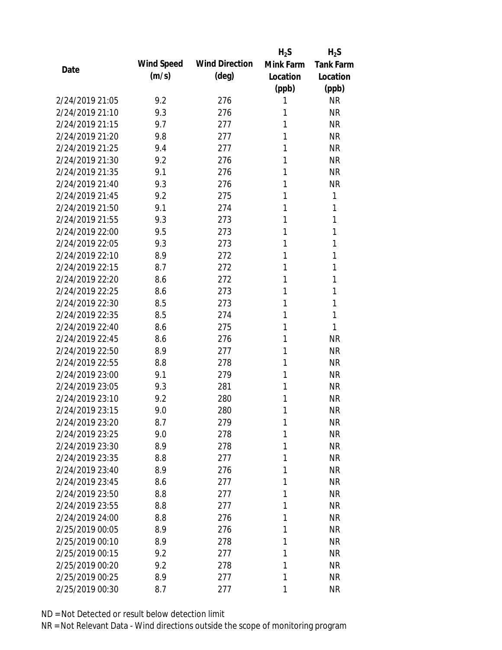|                 |            |                       | $H_2S$    | $H_2S$           |
|-----------------|------------|-----------------------|-----------|------------------|
| Date            | Wind Speed | <b>Wind Direction</b> | Mink Farm | <b>Tank Farm</b> |
|                 | (m/s)      | $(\text{deg})$        | Location  | Location         |
|                 |            |                       | (ppb)     | (ppb)            |
| 2/24/2019 21:05 | 9.2        | 276                   | 1         | <b>NR</b>        |
| 2/24/2019 21:10 | 9.3        | 276                   | 1         | <b>NR</b>        |
| 2/24/2019 21:15 | 9.7        | 277                   | 1         | <b>NR</b>        |
| 2/24/2019 21:20 | 9.8        | 277                   | 1         | <b>NR</b>        |
| 2/24/2019 21:25 | 9.4        | 277                   | 1         | <b>NR</b>        |
| 2/24/2019 21:30 | 9.2        | 276                   | 1         | <b>NR</b>        |
| 2/24/2019 21:35 | 9.1        | 276                   | 1         | <b>NR</b>        |
| 2/24/2019 21:40 | 9.3        | 276                   | 1         | <b>NR</b>        |
| 2/24/2019 21:45 | 9.2        | 275                   | 1         | 1                |
| 2/24/2019 21:50 | 9.1        | 274                   | 1         | 1                |
| 2/24/2019 21:55 | 9.3        | 273                   | 1         | 1                |
| 2/24/2019 22:00 | 9.5        | 273                   | 1         | 1                |
| 2/24/2019 22:05 | 9.3        | 273                   | 1         | 1                |
| 2/24/2019 22:10 | 8.9        | 272                   | 1         | 1                |
| 2/24/2019 22:15 | 8.7        | 272                   | 1         | 1                |
| 2/24/2019 22:20 | 8.6        | 272                   | 1         | 1                |
| 2/24/2019 22:25 | 8.6        | 273                   | 1         | 1                |
| 2/24/2019 22:30 | 8.5        | 273                   | 1         | 1                |
| 2/24/2019 22:35 | 8.5        | 274                   | 1         | 1                |
| 2/24/2019 22:40 | 8.6        | 275                   | 1         | 1                |
| 2/24/2019 22:45 | 8.6        | 276                   | 1         | <b>NR</b>        |
| 2/24/2019 22:50 | 8.9        | 277                   | 1         | <b>NR</b>        |
| 2/24/2019 22:55 | 8.8        | 278                   | 1         | <b>NR</b>        |
| 2/24/2019 23:00 | 9.1        | 279                   | 1         | <b>NR</b>        |
| 2/24/2019 23:05 | 9.3        | 281                   | 1         | <b>NR</b>        |
| 2/24/2019 23:10 | 9.2        | 280                   | 1         | <b>NR</b>        |
| 2/24/2019 23:15 | 9.0        | 280                   | 1         | <b>NR</b>        |
| 2/24/2019 23:20 | 8.7        | 279                   | 1         | <b>NR</b>        |
| 2/24/2019 23:25 | 9.0        | 278                   | 1         | <b>NR</b>        |
| 2/24/2019 23:30 | 8.9        | 278                   | 1         | <b>NR</b>        |
| 2/24/2019 23:35 | 8.8        | 277                   | 1         | <b>NR</b>        |
| 2/24/2019 23:40 | 8.9        | 276                   | 1         | <b>NR</b>        |
| 2/24/2019 23:45 | 8.6        | 277                   | 1         | <b>NR</b>        |
| 2/24/2019 23:50 | 8.8        | 277                   | 1         | <b>NR</b>        |
| 2/24/2019 23:55 | 8.8        | 277                   | 1         | <b>NR</b>        |
| 2/24/2019 24:00 | 8.8        | 276                   | 1         | <b>NR</b>        |
| 2/25/2019 00:05 | 8.9        | 276                   | 1         | <b>NR</b>        |
| 2/25/2019 00:10 | 8.9        | 278                   | 1         | <b>NR</b>        |
| 2/25/2019 00:15 | 9.2        | 277                   | 1         | <b>NR</b>        |
| 2/25/2019 00:20 | 9.2        | 278                   | 1         | <b>NR</b>        |
| 2/25/2019 00:25 | 8.9        | 277                   | 1         | <b>NR</b>        |
| 2/25/2019 00:30 | 8.7        | 277                   | 1         | <b>NR</b>        |
|                 |            |                       |           |                  |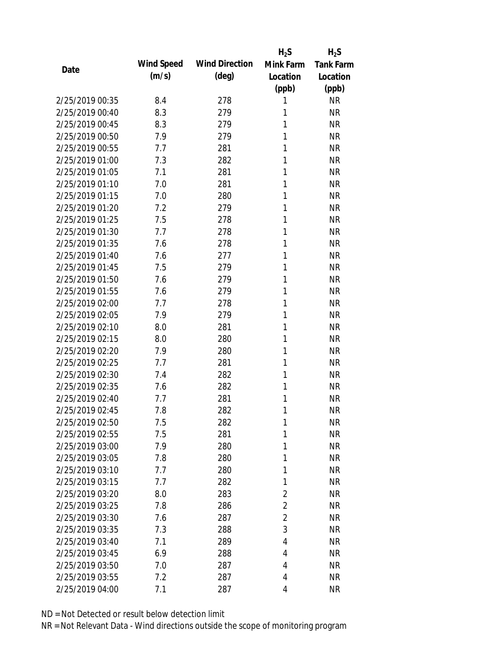|                 |            |                       | $H_2S$         | $H_2S$           |
|-----------------|------------|-----------------------|----------------|------------------|
| Date            | Wind Speed | <b>Wind Direction</b> | Mink Farm      | <b>Tank Farm</b> |
|                 | (m/s)      | $(\text{deg})$        | Location       | Location         |
|                 |            |                       | (ppb)          | (ppb)            |
| 2/25/2019 00:35 | 8.4        | 278                   | 1              | <b>NR</b>        |
| 2/25/2019 00:40 | 8.3        | 279                   | 1              | <b>NR</b>        |
| 2/25/2019 00:45 | 8.3        | 279                   | 1              | <b>NR</b>        |
| 2/25/2019 00:50 | 7.9        | 279                   | 1              | <b>NR</b>        |
| 2/25/2019 00:55 | 7.7        | 281                   | 1              | <b>NR</b>        |
| 2/25/2019 01:00 | 7.3        | 282                   | 1              | <b>NR</b>        |
| 2/25/2019 01:05 | 7.1        | 281                   | 1              | <b>NR</b>        |
| 2/25/2019 01:10 | 7.0        | 281                   | 1              | <b>NR</b>        |
| 2/25/2019 01:15 | 7.0        | 280                   | 1              | <b>NR</b>        |
| 2/25/2019 01:20 | 7.2        | 279                   | 1              | <b>NR</b>        |
| 2/25/2019 01:25 | 7.5        | 278                   | 1              | <b>NR</b>        |
| 2/25/2019 01:30 | 7.7        | 278                   | 1              | <b>NR</b>        |
| 2/25/2019 01:35 | 7.6        | 278                   | 1              | <b>NR</b>        |
| 2/25/2019 01:40 | 7.6        | 277                   | 1              | <b>NR</b>        |
| 2/25/2019 01:45 | 7.5        | 279                   | 1              | <b>NR</b>        |
| 2/25/2019 01:50 | 7.6        | 279                   | 1              | <b>NR</b>        |
| 2/25/2019 01:55 | 7.6        | 279                   | 1              | <b>NR</b>        |
| 2/25/2019 02:00 | 7.7        | 278                   | 1              | <b>NR</b>        |
| 2/25/2019 02:05 | 7.9        | 279                   | 1              | <b>NR</b>        |
| 2/25/2019 02:10 | 8.0        | 281                   | 1              | <b>NR</b>        |
| 2/25/2019 02:15 | 8.0        | 280                   | 1              | <b>NR</b>        |
| 2/25/2019 02:20 | 7.9        | 280                   | 1              | <b>NR</b>        |
| 2/25/2019 02:25 | 7.7        | 281                   | 1              | <b>NR</b>        |
| 2/25/2019 02:30 | 7.4        | 282                   | 1              | <b>NR</b>        |
| 2/25/2019 02:35 | 7.6        | 282                   | 1              | <b>NR</b>        |
| 2/25/2019 02:40 | 7.7        | 281                   | 1              | <b>NR</b>        |
| 2/25/2019 02:45 | 7.8        | 282                   | 1              | <b>NR</b>        |
| 2/25/2019 02:50 | 7.5        | 282                   | 1              | <b>NR</b>        |
| 2/25/2019 02:55 | 7.5        | 281                   | 1              | <b>NR</b>        |
| 2/25/2019 03:00 | 7.9        | 280                   | 1              | <b>NR</b>        |
| 2/25/2019 03:05 | 7.8        | 280                   | 1              | <b>NR</b>        |
| 2/25/2019 03:10 | 7.7        | 280                   | 1              | <b>NR</b>        |
| 2/25/2019 03:15 | 7.7        | 282                   | 1              | <b>NR</b>        |
| 2/25/2019 03:20 | 8.0        | 283                   | $\overline{2}$ | <b>NR</b>        |
| 2/25/2019 03:25 | 7.8        | 286                   | 2              | <b>NR</b>        |
| 2/25/2019 03:30 | 7.6        | 287                   | $\overline{2}$ | <b>NR</b>        |
| 2/25/2019 03:35 | 7.3        | 288                   | 3              | <b>NR</b>        |
| 2/25/2019 03:40 | 7.1        | 289                   | 4              | <b>NR</b>        |
| 2/25/2019 03:45 | 6.9        | 288                   | 4              | <b>NR</b>        |
| 2/25/2019 03:50 | 7.0        | 287                   | 4              | <b>NR</b>        |
| 2/25/2019 03:55 | 7.2        | 287                   | 4              | <b>NR</b>        |
| 2/25/2019 04:00 | 7.1        | 287                   | 4              | <b>NR</b>        |
|                 |            |                       |                |                  |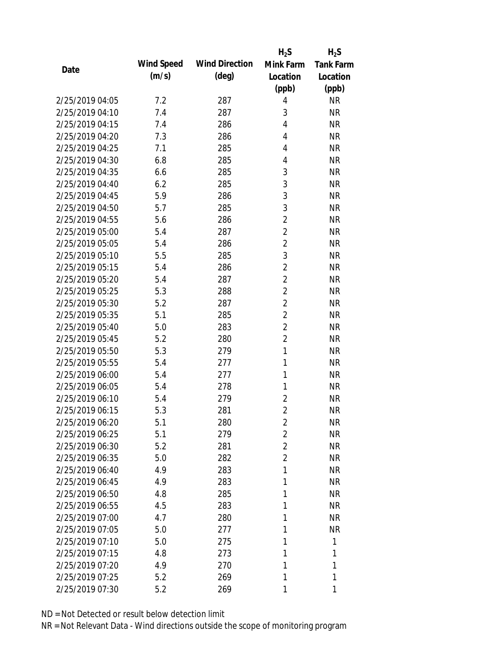|                 |            |                       | $H_2S$         | $H_2S$           |
|-----------------|------------|-----------------------|----------------|------------------|
| Date            | Wind Speed | <b>Wind Direction</b> | Mink Farm      | <b>Tank Farm</b> |
|                 | (m/s)      | $(\text{deg})$        | Location       | Location         |
|                 |            |                       | (ppb)          | (ppb)            |
| 2/25/2019 04:05 | 7.2        | 287                   | 4              | <b>NR</b>        |
| 2/25/2019 04:10 | 7.4        | 287                   | 3              | <b>NR</b>        |
| 2/25/2019 04:15 | 7.4        | 286                   | $\overline{4}$ | <b>NR</b>        |
| 2/25/2019 04:20 | 7.3        | 286                   | 4              | <b>NR</b>        |
| 2/25/2019 04:25 | 7.1        | 285                   | 4              | <b>NR</b>        |
| 2/25/2019 04:30 | 6.8        | 285                   | 4              | <b>NR</b>        |
| 2/25/2019 04:35 | 6.6        | 285                   | 3              | <b>NR</b>        |
| 2/25/2019 04:40 | 6.2        | 285                   | 3              | <b>NR</b>        |
| 2/25/2019 04:45 | 5.9        | 286                   | 3              | <b>NR</b>        |
| 2/25/2019 04:50 | 5.7        | 285                   | 3              | <b>NR</b>        |
| 2/25/2019 04:55 | 5.6        | 286                   | $\overline{2}$ | <b>NR</b>        |
| 2/25/2019 05:00 | 5.4        | 287                   | $\overline{2}$ | <b>NR</b>        |
| 2/25/2019 05:05 | 5.4        | 286                   | $\overline{2}$ | <b>NR</b>        |
| 2/25/2019 05:10 | 5.5        | 285                   | 3              | <b>NR</b>        |
| 2/25/2019 05:15 | 5.4        | 286                   | $\overline{2}$ | <b>NR</b>        |
| 2/25/2019 05:20 | 5.4        | 287                   | $\overline{2}$ | <b>NR</b>        |
| 2/25/2019 05:25 | 5.3        | 288                   | $\overline{2}$ | <b>NR</b>        |
| 2/25/2019 05:30 | 5.2        | 287                   | $\overline{2}$ | <b>NR</b>        |
| 2/25/2019 05:35 | 5.1        | 285                   | $\overline{2}$ | <b>NR</b>        |
| 2/25/2019 05:40 | 5.0        | 283                   | $\overline{2}$ | <b>NR</b>        |
| 2/25/2019 05:45 | 5.2        | 280                   | $\overline{2}$ | <b>NR</b>        |
| 2/25/2019 05:50 | 5.3        | 279                   | $\mathbf{1}$   | <b>NR</b>        |
| 2/25/2019 05:55 | 5.4        | 277                   | 1              | <b>NR</b>        |
| 2/25/2019 06:00 | 5.4        | 277                   | 1              | <b>NR</b>        |
| 2/25/2019 06:05 | 5.4        | 278                   | 1              | <b>NR</b>        |
| 2/25/2019 06:10 | 5.4        | 279                   | $\overline{c}$ | <b>NR</b>        |
| 2/25/2019 06:15 | 5.3        | 281                   | $\overline{2}$ | <b>NR</b>        |
| 2/25/2019 06:20 | 5.1        | 280                   | $\overline{2}$ | <b>NR</b>        |
| 2/25/2019 06:25 | 5.1        | 279                   | $\overline{2}$ | <b>NR</b>        |
| 2/25/2019 06:30 | 5.2        | 281                   | $\overline{2}$ | <b>NR</b>        |
| 2/25/2019 06:35 | 5.0        | 282                   | $\overline{2}$ | <b>NR</b>        |
| 2/25/2019 06:40 | 4.9        | 283                   | 1              | NR               |
| 2/25/2019 06:45 | 4.9        | 283                   | 1              | <b>NR</b>        |
| 2/25/2019 06:50 | 4.8        | 285                   | 1              | <b>NR</b>        |
| 2/25/2019 06:55 | 4.5        | 283                   | 1              | <b>NR</b>        |
| 2/25/2019 07:00 | 4.7        | 280                   | 1              | <b>NR</b>        |
| 2/25/2019 07:05 | 5.0        | 277                   | 1              | <b>NR</b>        |
| 2/25/2019 07:10 | 5.0        | 275                   | 1              | 1                |
| 2/25/2019 07:15 | 4.8        | 273                   | 1              | 1                |
| 2/25/2019 07:20 | 4.9        | 270                   | 1              | 1                |
| 2/25/2019 07:25 | 5.2        | 269                   | 1              | 1                |
| 2/25/2019 07:30 | 5.2        | 269                   | 1              | 1                |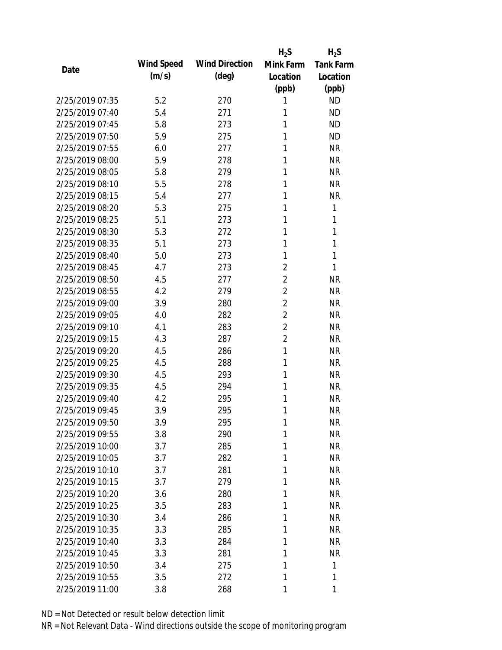|                 |            |                       | $H_2S$         | $H_2S$           |
|-----------------|------------|-----------------------|----------------|------------------|
| Date            | Wind Speed | <b>Wind Direction</b> | Mink Farm      | <b>Tank Farm</b> |
|                 | (m/s)      | $(\text{deg})$        | Location       | Location         |
|                 |            |                       | (ppb)          | (ppb)            |
| 2/25/2019 07:35 | 5.2        | 270                   | 1              | <b>ND</b>        |
| 2/25/2019 07:40 | 5.4        | 271                   | 1              | <b>ND</b>        |
| 2/25/2019 07:45 | 5.8        | 273                   | 1              | <b>ND</b>        |
| 2/25/2019 07:50 | 5.9        | 275                   | 1              | <b>ND</b>        |
| 2/25/2019 07:55 | 6.0        | 277                   | 1              | <b>NR</b>        |
| 2/25/2019 08:00 | 5.9        | 278                   | 1              | <b>NR</b>        |
| 2/25/2019 08:05 | 5.8        | 279                   | 1              | <b>NR</b>        |
| 2/25/2019 08:10 | 5.5        | 278                   | 1              | <b>NR</b>        |
| 2/25/2019 08:15 | 5.4        | 277                   | 1              | <b>NR</b>        |
| 2/25/2019 08:20 | 5.3        | 275                   | 1              | 1                |
| 2/25/2019 08:25 | 5.1        | 273                   | 1              | 1                |
| 2/25/2019 08:30 | 5.3        | 272                   | 1              | 1                |
| 2/25/2019 08:35 | 5.1        | 273                   | 1              | 1                |
| 2/25/2019 08:40 | 5.0        | 273                   | 1              | 1                |
| 2/25/2019 08:45 | 4.7        | 273                   | $\overline{2}$ | 1                |
| 2/25/2019 08:50 | 4.5        | 277                   | 2              | <b>NR</b>        |
| 2/25/2019 08:55 | 4.2        | 279                   | $\overline{2}$ | <b>NR</b>        |
| 2/25/2019 09:00 | 3.9        | 280                   | $\overline{2}$ | <b>NR</b>        |
| 2/25/2019 09:05 | 4.0        | 282                   | $\overline{2}$ | <b>NR</b>        |
| 2/25/2019 09:10 | 4.1        | 283                   | $\overline{2}$ | <b>NR</b>        |
| 2/25/2019 09:15 | 4.3        | 287                   | $\overline{2}$ | <b>NR</b>        |
| 2/25/2019 09:20 | 4.5        | 286                   | 1              | <b>NR</b>        |
| 2/25/2019 09:25 | 4.5        | 288                   | 1              | <b>NR</b>        |
| 2/25/2019 09:30 | 4.5        | 293                   | 1              | <b>NR</b>        |
| 2/25/2019 09:35 | 4.5        | 294                   | 1              | <b>NR</b>        |
| 2/25/2019 09:40 | 4.2        | 295                   | 1              | <b>NR</b>        |
| 2/25/2019 09:45 | 3.9        | 295                   | 1              | <b>NR</b>        |
| 2/25/2019 09:50 | 3.9        | 295                   | 1              | <b>NR</b>        |
| 2/25/2019 09:55 | 3.8        | 290                   | 1              | <b>NR</b>        |
| 2/25/2019 10:00 | 3.7        | 285                   | 1              | <b>NR</b>        |
| 2/25/2019 10:05 | 3.7        | 282                   | 1              | <b>NR</b>        |
| 2/25/2019 10:10 | 3.7        | 281                   | 1              | <b>NR</b>        |
| 2/25/2019 10:15 | 3.7        | 279                   | 1              | <b>NR</b>        |
| 2/25/2019 10:20 | 3.6        | 280                   | 1              | <b>NR</b>        |
| 2/25/2019 10:25 | 3.5        | 283                   | 1              | <b>NR</b>        |
| 2/25/2019 10:30 | 3.4        | 286                   | 1              | <b>NR</b>        |
| 2/25/2019 10:35 | 3.3        | 285                   | 1              | NR               |
| 2/25/2019 10:40 | 3.3        | 284                   | 1              | NR               |
| 2/25/2019 10:45 | 3.3        | 281                   | 1              | <b>NR</b>        |
| 2/25/2019 10:50 | 3.4        | 275                   | 1              | 1                |
| 2/25/2019 10:55 | 3.5        | 272                   | 1              | 1                |
| 2/25/2019 11:00 | 3.8        | 268                   | 1              | 1                |
|                 |            |                       |                |                  |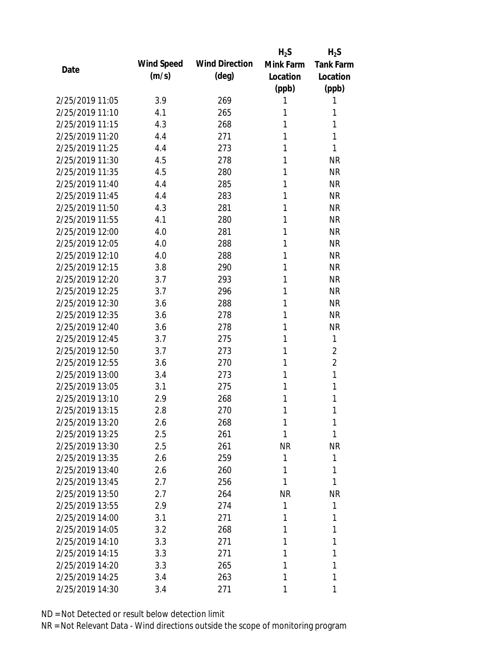|                 |            |                       | $H_2S$    | $H_2S$           |
|-----------------|------------|-----------------------|-----------|------------------|
|                 | Wind Speed | <b>Wind Direction</b> | Mink Farm | <b>Tank Farm</b> |
| Date            | (m/s)      | $(\text{deg})$        | Location  | Location         |
|                 |            |                       | (ppb)     | (ppb)            |
| 2/25/2019 11:05 | 3.9        | 269                   | 1         | 1                |
| 2/25/2019 11:10 | 4.1        | 265                   | 1         | 1                |
| 2/25/2019 11:15 | 4.3        | 268                   | 1         | 1                |
| 2/25/2019 11:20 | 4.4        | 271                   | 1         | 1                |
| 2/25/2019 11:25 | 4.4        | 273                   | 1         | 1                |
| 2/25/2019 11:30 | 4.5        | 278                   | 1         | <b>NR</b>        |
| 2/25/2019 11:35 | 4.5        | 280                   | 1         | <b>NR</b>        |
| 2/25/2019 11:40 | 4.4        | 285                   | 1         | <b>NR</b>        |
| 2/25/2019 11:45 | 4.4        | 283                   | 1         | <b>NR</b>        |
| 2/25/2019 11:50 | 4.3        | 281                   | 1         | <b>NR</b>        |
| 2/25/2019 11:55 | 4.1        | 280                   | 1         | <b>NR</b>        |
| 2/25/2019 12:00 | 4.0        | 281                   | 1         | <b>NR</b>        |
| 2/25/2019 12:05 | 4.0        | 288                   | 1         | <b>NR</b>        |
| 2/25/2019 12:10 | 4.0        | 288                   | 1         | <b>NR</b>        |
| 2/25/2019 12:15 | 3.8        | 290                   | 1         | <b>NR</b>        |
| 2/25/2019 12:20 | 3.7        | 293                   | 1         | <b>NR</b>        |
| 2/25/2019 12:25 | 3.7        | 296                   | 1         | <b>NR</b>        |
| 2/25/2019 12:30 | 3.6        | 288                   | 1         | <b>NR</b>        |
| 2/25/2019 12:35 | 3.6        | 278                   | 1         | <b>NR</b>        |
| 2/25/2019 12:40 | 3.6        | 278                   | 1         | <b>NR</b>        |
| 2/25/2019 12:45 | 3.7        | 275                   | 1         | 1                |
| 2/25/2019 12:50 | 3.7        | 273                   | 1         | $\overline{2}$   |
| 2/25/2019 12:55 | 3.6        | 270                   | 1         | $\overline{2}$   |
| 2/25/2019 13:00 | 3.4        | 273                   | 1         | 1                |
| 2/25/2019 13:05 | 3.1        | 275                   | 1         | 1                |
| 2/25/2019 13:10 | 2.9        | 268                   | 1         | 1                |
| 2/25/2019 13:15 | 2.8        | 270                   | 1         | 1                |
| 2/25/2019 13:20 | 2.6        | 268                   | 1         | 1                |
| 2/25/2019 13:25 | 2.5        | 261                   | 1         | 1                |
| 2/25/2019 13:30 | 2.5        | 261                   | <b>NR</b> | <b>NR</b>        |
| 2/25/2019 13:35 | 2.6        | 259                   | 1         | 1                |
| 2/25/2019 13:40 | 2.6        | 260                   | 1         | 1                |
| 2/25/2019 13:45 | 2.7        | 256                   | 1         | 1                |
| 2/25/2019 13:50 | 2.7        | 264                   | <b>NR</b> | <b>NR</b>        |
| 2/25/2019 13:55 | 2.9        | 274                   | 1         | 1                |
| 2/25/2019 14:00 | 3.1        | 271                   | 1         | 1                |
| 2/25/2019 14:05 | 3.2        | 268                   | 1         | 1                |
| 2/25/2019 14:10 | 3.3        | 271                   | 1         | 1                |
| 2/25/2019 14:15 | 3.3        | 271                   | 1         | 1                |
| 2/25/2019 14:20 | 3.3        | 265                   | 1         | 1                |
| 2/25/2019 14:25 | 3.4        | 263                   | 1         | 1                |
| 2/25/2019 14:30 | 3.4        | 271                   | 1         | 1                |
|                 |            |                       |           |                  |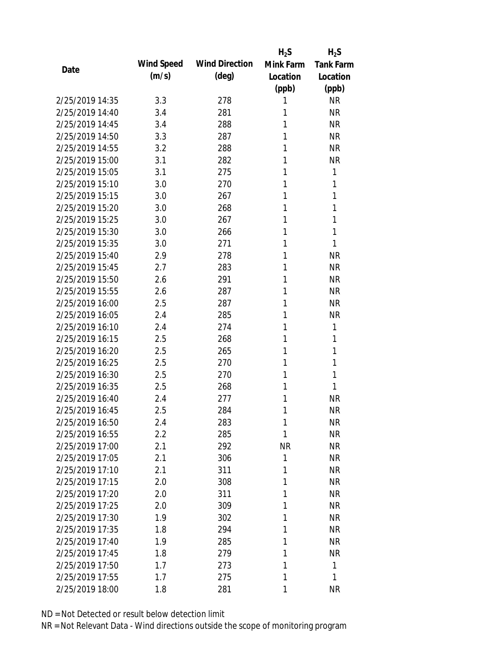|                 |            |                       | $H_2S$    | $H_2S$           |
|-----------------|------------|-----------------------|-----------|------------------|
| Date            | Wind Speed | <b>Wind Direction</b> | Mink Farm | <b>Tank Farm</b> |
|                 | (m/s)      | $(\text{deg})$        | Location  | Location         |
|                 |            |                       | (ppb)     | (ppb)            |
| 2/25/2019 14:35 | 3.3        | 278                   | 1         | <b>NR</b>        |
| 2/25/2019 14:40 | 3.4        | 281                   | 1         | <b>NR</b>        |
| 2/25/2019 14:45 | 3.4        | 288                   | 1         | <b>NR</b>        |
| 2/25/2019 14:50 | 3.3        | 287                   | 1         | <b>NR</b>        |
| 2/25/2019 14:55 | 3.2        | 288                   | 1         | <b>NR</b>        |
| 2/25/2019 15:00 | 3.1        | 282                   | 1         | <b>NR</b>        |
| 2/25/2019 15:05 | 3.1        | 275                   | 1         | 1                |
| 2/25/2019 15:10 | 3.0        | 270                   | 1         | 1                |
| 2/25/2019 15:15 | 3.0        | 267                   | 1         | 1                |
| 2/25/2019 15:20 | 3.0        | 268                   | 1         | 1                |
| 2/25/2019 15:25 | 3.0        | 267                   | 1         | 1                |
| 2/25/2019 15:30 | 3.0        | 266                   | 1         | 1                |
| 2/25/2019 15:35 | 3.0        | 271                   | 1         | 1                |
| 2/25/2019 15:40 | 2.9        | 278                   | 1         | <b>NR</b>        |
| 2/25/2019 15:45 | 2.7        | 283                   | 1         | <b>NR</b>        |
| 2/25/2019 15:50 | 2.6        | 291                   | 1         | <b>NR</b>        |
| 2/25/2019 15:55 | 2.6        | 287                   | 1         | <b>NR</b>        |
| 2/25/2019 16:00 | 2.5        | 287                   | 1         | <b>NR</b>        |
| 2/25/2019 16:05 | 2.4        | 285                   | 1         | <b>NR</b>        |
| 2/25/2019 16:10 | 2.4        | 274                   | 1         | 1                |
| 2/25/2019 16:15 | 2.5        | 268                   | 1         | 1                |
| 2/25/2019 16:20 | 2.5        | 265                   | 1         | 1                |
| 2/25/2019 16:25 | 2.5        | 270                   | 1         | 1                |
| 2/25/2019 16:30 | 2.5        | 270                   | 1         | 1                |
| 2/25/2019 16:35 | 2.5        | 268                   | 1         | 1                |
| 2/25/2019 16:40 | 2.4        | 277                   | 1         | <b>NR</b>        |
| 2/25/2019 16:45 | 2.5        | 284                   | 1         | <b>NR</b>        |
| 2/25/2019 16:50 | 2.4        | 283                   | 1         | <b>NR</b>        |
| 2/25/2019 16:55 | 2.2        | 285                   | 1         | <b>NR</b>        |
| 2/25/2019 17:00 | 2.1        | 292                   | <b>NR</b> | <b>NR</b>        |
| 2/25/2019 17:05 | 2.1        | 306                   | 1         | <b>NR</b>        |
| 2/25/2019 17:10 | 2.1        | 311                   | 1         | <b>NR</b>        |
| 2/25/2019 17:15 | 2.0        | 308                   | 1         | <b>NR</b>        |
| 2/25/2019 17:20 | 2.0        | 311                   | 1         | <b>NR</b>        |
| 2/25/2019 17:25 | 2.0        | 309                   | 1         | <b>NR</b>        |
| 2/25/2019 17:30 | 1.9        | 302                   | 1         | <b>NR</b>        |
| 2/25/2019 17:35 | 1.8        | 294                   | 1         | <b>NR</b>        |
| 2/25/2019 17:40 | 1.9        | 285                   | 1         | <b>NR</b>        |
| 2/25/2019 17:45 | 1.8        | 279                   | 1         | <b>NR</b>        |
| 2/25/2019 17:50 | 1.7        | 273                   | 1         | 1                |
| 2/25/2019 17:55 | 1.7        | 275                   | 1         | 1                |
| 2/25/2019 18:00 | 1.8        | 281                   | 1         | <b>NR</b>        |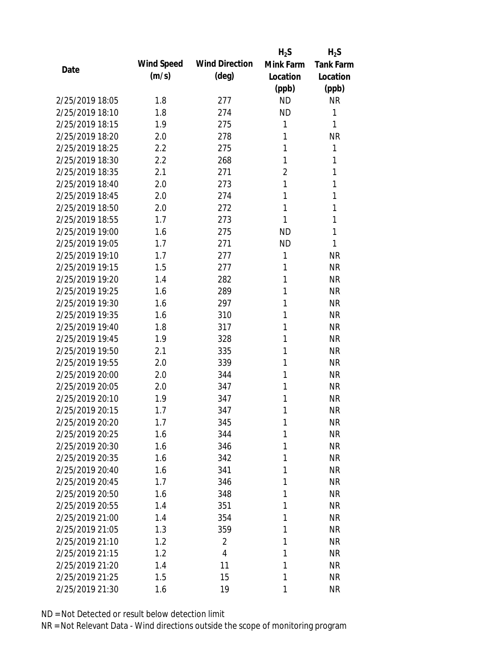|                 |            |                       | $H_2S$         | $H_2S$           |
|-----------------|------------|-----------------------|----------------|------------------|
|                 | Wind Speed | <b>Wind Direction</b> | Mink Farm      | <b>Tank Farm</b> |
| Date            | (m/s)      | $(\text{deg})$        | Location       | Location         |
|                 |            |                       | (ppb)          | (ppb)            |
| 2/25/2019 18:05 | 1.8        | 277                   | <b>ND</b>      | <b>NR</b>        |
| 2/25/2019 18:10 | 1.8        | 274                   | <b>ND</b>      | 1                |
| 2/25/2019 18:15 | 1.9        | 275                   | $\mathbf{1}$   | 1                |
| 2/25/2019 18:20 | 2.0        | 278                   | 1              | <b>NR</b>        |
| 2/25/2019 18:25 | 2.2        | 275                   | 1              | 1                |
| 2/25/2019 18:30 | 2.2        | 268                   | 1              | 1                |
| 2/25/2019 18:35 | 2.1        | 271                   | $\overline{2}$ | 1                |
| 2/25/2019 18:40 | 2.0        | 273                   | 1              | 1                |
| 2/25/2019 18:45 | 2.0        | 274                   | 1              | 1                |
| 2/25/2019 18:50 | 2.0        | 272                   | 1              | 1                |
| 2/25/2019 18:55 | 1.7        | 273                   | 1              | 1                |
| 2/25/2019 19:00 | 1.6        | 275                   | <b>ND</b>      | 1                |
| 2/25/2019 19:05 | 1.7        | 271                   | <b>ND</b>      | 1                |
| 2/25/2019 19:10 | 1.7        | 277                   | $\mathbf{1}$   | <b>NR</b>        |
| 2/25/2019 19:15 | 1.5        | 277                   | 1              | <b>NR</b>        |
| 2/25/2019 19:20 | 1.4        | 282                   | 1              | <b>NR</b>        |
| 2/25/2019 19:25 | 1.6        | 289                   | 1              | <b>NR</b>        |
| 2/25/2019 19:30 | 1.6        | 297                   | 1              | <b>NR</b>        |
| 2/25/2019 19:35 | 1.6        | 310                   | 1              | <b>NR</b>        |
| 2/25/2019 19:40 | 1.8        | 317                   | 1              | <b>NR</b>        |
| 2/25/2019 19:45 | 1.9        | 328                   | 1              | <b>NR</b>        |
| 2/25/2019 19:50 | 2.1        | 335                   | 1              | <b>NR</b>        |
| 2/25/2019 19:55 | 2.0        | 339                   | 1              | <b>NR</b>        |
| 2/25/2019 20:00 | 2.0        | 344                   | 1              | <b>NR</b>        |
| 2/25/2019 20:05 | 2.0        | 347                   | 1              | <b>NR</b>        |
| 2/25/2019 20:10 | 1.9        | 347                   | 1              | <b>NR</b>        |
| 2/25/2019 20:15 | 1.7        | 347                   | 1              | <b>NR</b>        |
| 2/25/2019 20:20 | 1.7        | 345                   | $\mathbf{1}$   | <b>NR</b>        |
| 2/25/2019 20:25 | 1.6        | 344                   | 1              | <b>NR</b>        |
| 2/25/2019 20:30 | 1.6        | 346                   | 1              | <b>NR</b>        |
| 2/25/2019 20:35 | 1.6        | 342                   | 1              | <b>NR</b>        |
| 2/25/2019 20:40 | 1.6        | 341                   | 1              | <b>NR</b>        |
| 2/25/2019 20:45 | 1.7        | 346                   | 1              | <b>NR</b>        |
| 2/25/2019 20:50 | 1.6        | 348                   | 1              | <b>NR</b>        |
| 2/25/2019 20:55 | 1.4        | 351                   | 1              | <b>NR</b>        |
| 2/25/2019 21:00 | 1.4        | 354                   | 1              | <b>NR</b>        |
| 2/25/2019 21:05 | 1.3        | 359                   | 1              | <b>NR</b>        |
| 2/25/2019 21:10 | 1.2        | 2                     | 1              | <b>NR</b>        |
| 2/25/2019 21:15 | 1.2        | 4                     | 1              | <b>NR</b>        |
| 2/25/2019 21:20 | 1.4        | 11                    | 1              | <b>NR</b>        |
| 2/25/2019 21:25 | 1.5        | 15                    | 1              | <b>NR</b>        |
| 2/25/2019 21:30 | 1.6        | 19                    | 1              | <b>NR</b>        |
|                 |            |                       |                |                  |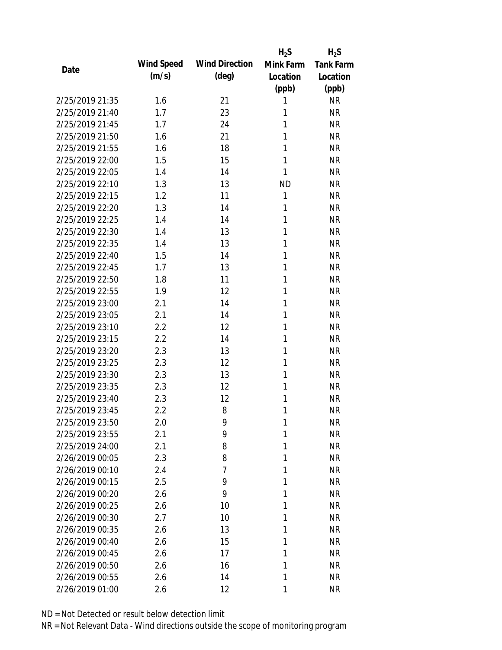|                 |            |                       | $H_2S$       | $H_2S$    |
|-----------------|------------|-----------------------|--------------|-----------|
| Date            | Wind Speed | <b>Wind Direction</b> | Mink Farm    | Tank Farm |
|                 | (m/s)      | $(\text{deg})$        | Location     | Location  |
|                 |            |                       | (ppb)        | (ppb)     |
| 2/25/2019 21:35 | 1.6        | 21                    | 1            | <b>NR</b> |
| 2/25/2019 21:40 | 1.7        | 23                    | 1            | <b>NR</b> |
| 2/25/2019 21:45 | 1.7        | 24                    | 1            | <b>NR</b> |
| 2/25/2019 21:50 | 1.6        | 21                    | 1            | <b>NR</b> |
| 2/25/2019 21:55 | 1.6        | 18                    | 1            | <b>NR</b> |
| 2/25/2019 22:00 | 1.5        | 15                    | 1            | <b>NR</b> |
| 2/25/2019 22:05 | 1.4        | 14                    | 1            | <b>NR</b> |
| 2/25/2019 22:10 | 1.3        | 13                    | <b>ND</b>    | <b>NR</b> |
| 2/25/2019 22:15 | 1.2        | 11                    | $\mathbf{1}$ | <b>NR</b> |
| 2/25/2019 22:20 | 1.3        | 14                    | 1            | <b>NR</b> |
| 2/25/2019 22:25 | 1.4        | 14                    | 1            | <b>NR</b> |
| 2/25/2019 22:30 | 1.4        | 13                    | 1            | <b>NR</b> |
| 2/25/2019 22:35 | 1.4        | 13                    | 1            | <b>NR</b> |
| 2/25/2019 22:40 | 1.5        | 14                    | 1            | <b>NR</b> |
| 2/25/2019 22:45 | 1.7        | 13                    | 1            | <b>NR</b> |
| 2/25/2019 22:50 | 1.8        | 11                    | 1            | <b>NR</b> |
| 2/25/2019 22:55 | 1.9        | 12                    | 1            | <b>NR</b> |
| 2/25/2019 23:00 | 2.1        | 14                    | 1            | <b>NR</b> |
| 2/25/2019 23:05 | 2.1        | 14                    | 1            | <b>NR</b> |
| 2/25/2019 23:10 | 2.2        | 12                    | 1            | <b>NR</b> |
| 2/25/2019 23:15 | 2.2        | 14                    | 1            | <b>NR</b> |
| 2/25/2019 23:20 | 2.3        | 13                    | 1            | <b>NR</b> |
| 2/25/2019 23:25 | 2.3        | 12                    | 1            | <b>NR</b> |
| 2/25/2019 23:30 | 2.3        | 13                    | 1            | <b>NR</b> |
| 2/25/2019 23:35 | 2.3        | 12                    | 1            | <b>NR</b> |
| 2/25/2019 23:40 | 2.3        | 12                    | 1            | <b>NR</b> |
| 2/25/2019 23:45 | 2.2        | 8                     | 1            | <b>NR</b> |
| 2/25/2019 23:50 | 2.0        | 9                     | 1            | <b>NR</b> |
| 2/25/2019 23:55 | 2.1        | 9                     | 1            | <b>NR</b> |
| 2/25/2019 24:00 | 2.1        | 8                     | 1            | <b>NR</b> |
| 2/26/2019 00:05 | 2.3        | 8                     | 1            | <b>NR</b> |
| 2/26/2019 00:10 | 2.4        | $\overline{7}$        | 1            | <b>NR</b> |
| 2/26/2019 00:15 | 2.5        | 9                     | 1            | <b>NR</b> |
| 2/26/2019 00:20 | 2.6        | 9                     | 1            | <b>NR</b> |
| 2/26/2019 00:25 | 2.6        | 10                    | 1            | <b>NR</b> |
| 2/26/2019 00:30 | 2.7        | 10                    | 1            | <b>NR</b> |
| 2/26/2019 00:35 | 2.6        | 13                    | 1            | <b>NR</b> |
| 2/26/2019 00:40 | 2.6        | 15                    | 1            | <b>NR</b> |
| 2/26/2019 00:45 | 2.6        | 17                    | 1            | <b>NR</b> |
| 2/26/2019 00:50 | 2.6        | 16                    | 1            | <b>NR</b> |
| 2/26/2019 00:55 | 2.6        | 14                    | 1            | <b>NR</b> |
| 2/26/2019 01:00 | 2.6        | 12                    | 1            | <b>NR</b> |
|                 |            |                       |              |           |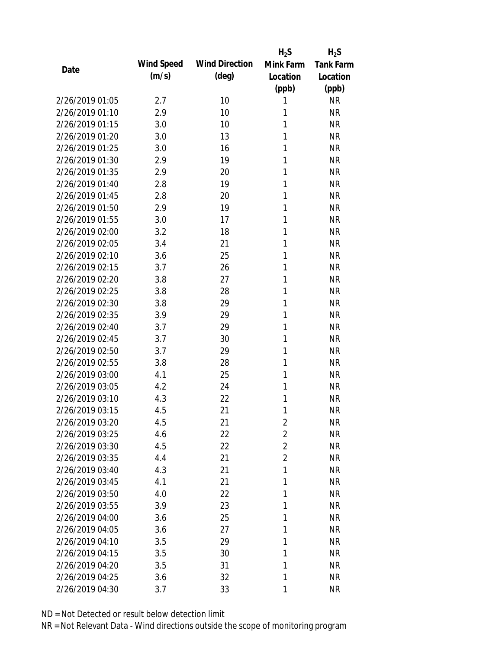|                 |            |                       | $H_2S$         | $H_2S$           |
|-----------------|------------|-----------------------|----------------|------------------|
| Date            | Wind Speed | <b>Wind Direction</b> | Mink Farm      | <b>Tank Farm</b> |
|                 | (m/s)      | $(\text{deg})$        | Location       | Location         |
|                 |            |                       | (ppb)          | (ppb)            |
| 2/26/2019 01:05 | 2.7        | 10                    | 1              | <b>NR</b>        |
| 2/26/2019 01:10 | 2.9        | 10                    | 1              | <b>NR</b>        |
| 2/26/2019 01:15 | 3.0        | 10                    | 1              | <b>NR</b>        |
| 2/26/2019 01:20 | 3.0        | 13                    | 1              | <b>NR</b>        |
| 2/26/2019 01:25 | 3.0        | 16                    | 1              | <b>NR</b>        |
| 2/26/2019 01:30 | 2.9        | 19                    | 1              | <b>NR</b>        |
| 2/26/2019 01:35 | 2.9        | 20                    | 1              | <b>NR</b>        |
| 2/26/2019 01:40 | 2.8        | 19                    | 1              | <b>NR</b>        |
| 2/26/2019 01:45 | 2.8        | 20                    | 1              | <b>NR</b>        |
| 2/26/2019 01:50 | 2.9        | 19                    | 1              | <b>NR</b>        |
| 2/26/2019 01:55 | 3.0        | 17                    | 1              | <b>NR</b>        |
| 2/26/2019 02:00 | 3.2        | 18                    | 1              | <b>NR</b>        |
| 2/26/2019 02:05 | 3.4        | 21                    | 1              | <b>NR</b>        |
| 2/26/2019 02:10 | 3.6        | 25                    | 1              | <b>NR</b>        |
| 2/26/2019 02:15 | 3.7        | 26                    | 1              | <b>NR</b>        |
| 2/26/2019 02:20 | 3.8        | 27                    | 1              | <b>NR</b>        |
| 2/26/2019 02:25 | 3.8        | 28                    | 1              | <b>NR</b>        |
| 2/26/2019 02:30 | 3.8        | 29                    | 1              | <b>NR</b>        |
| 2/26/2019 02:35 | 3.9        | 29                    | 1              | <b>NR</b>        |
| 2/26/2019 02:40 | 3.7        | 29                    | 1              | <b>NR</b>        |
| 2/26/2019 02:45 | 3.7        | 30                    | 1              | <b>NR</b>        |
| 2/26/2019 02:50 | 3.7        | 29                    | 1              | <b>NR</b>        |
| 2/26/2019 02:55 | 3.8        | 28                    | 1              | <b>NR</b>        |
| 2/26/2019 03:00 | 4.1        | 25                    | 1              | <b>NR</b>        |
| 2/26/2019 03:05 | 4.2        | 24                    | 1              | <b>NR</b>        |
| 2/26/2019 03:10 | 4.3        | 22                    | 1              | <b>NR</b>        |
| 2/26/2019 03:15 | 4.5        | 21                    | 1              | <b>NR</b>        |
| 2/26/2019 03:20 | 4.5        | 21                    | $\overline{2}$ | <b>NR</b>        |
| 2/26/2019 03:25 | 4.6        | 22                    | $\overline{2}$ | <b>NR</b>        |
| 2/26/2019 03:30 | 4.5        | 22                    | $\overline{2}$ | <b>NR</b>        |
| 2/26/2019 03:35 | 4.4        | 21                    | $\overline{2}$ | <b>NR</b>        |
| 2/26/2019 03:40 | 4.3        | 21                    | 1              | <b>NR</b>        |
| 2/26/2019 03:45 | 4.1        | 21                    | 1              | <b>NR</b>        |
| 2/26/2019 03:50 | 4.0        | 22                    | 1              | <b>NR</b>        |
| 2/26/2019 03:55 | 3.9        | 23                    | 1              | <b>NR</b>        |
| 2/26/2019 04:00 | 3.6        | 25                    | 1              | <b>NR</b>        |
| 2/26/2019 04:05 | 3.6        | 27                    | 1              | <b>NR</b>        |
| 2/26/2019 04:10 | 3.5        | 29                    | 1              | <b>NR</b>        |
| 2/26/2019 04:15 | 3.5        | 30                    | 1              | <b>NR</b>        |
| 2/26/2019 04:20 | 3.5        | 31                    | 1              | <b>NR</b>        |
| 2/26/2019 04:25 | 3.6        | 32                    | 1              | <b>NR</b>        |
| 2/26/2019 04:30 | 3.7        | 33                    | 1              | <b>NR</b>        |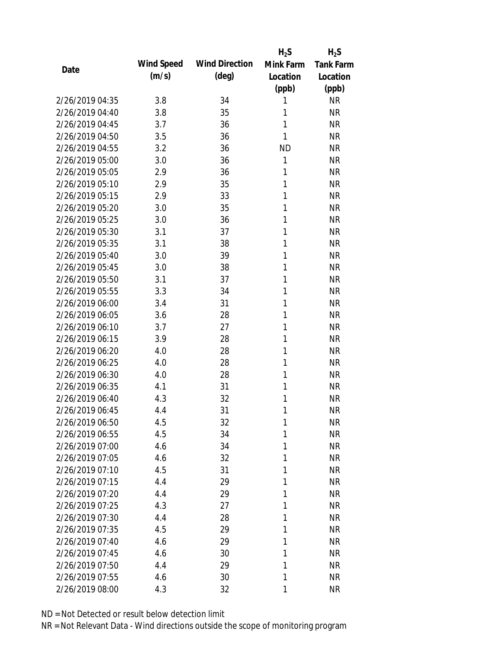|                 |            |                       | $H_2S$    | $H_2S$           |
|-----------------|------------|-----------------------|-----------|------------------|
| Date            | Wind Speed | <b>Wind Direction</b> | Mink Farm | <b>Tank Farm</b> |
|                 | (m/s)      | $(\text{deg})$        | Location  | Location         |
|                 |            |                       | (ppb)     | (ppb)            |
| 2/26/2019 04:35 | 3.8        | 34                    | 1         | <b>NR</b>        |
| 2/26/2019 04:40 | 3.8        | 35                    | 1         | <b>NR</b>        |
| 2/26/2019 04:45 | 3.7        | 36                    | 1         | <b>NR</b>        |
| 2/26/2019 04:50 | 3.5        | 36                    | 1         | <b>NR</b>        |
| 2/26/2019 04:55 | 3.2        | 36                    | <b>ND</b> | <b>NR</b>        |
| 2/26/2019 05:00 | 3.0        | 36                    | 1         | <b>NR</b>        |
| 2/26/2019 05:05 | 2.9        | 36                    | 1         | <b>NR</b>        |
| 2/26/2019 05:10 | 2.9        | 35                    | 1         | <b>NR</b>        |
| 2/26/2019 05:15 | 2.9        | 33                    | 1         | <b>NR</b>        |
| 2/26/2019 05:20 | 3.0        | 35                    | 1         | <b>NR</b>        |
| 2/26/2019 05:25 | 3.0        | 36                    | 1         | <b>NR</b>        |
| 2/26/2019 05:30 | 3.1        | 37                    | 1         | <b>NR</b>        |
| 2/26/2019 05:35 | 3.1        | 38                    | 1         | <b>NR</b>        |
| 2/26/2019 05:40 | 3.0        | 39                    | 1         | <b>NR</b>        |
| 2/26/2019 05:45 | 3.0        | 38                    | 1         | <b>NR</b>        |
| 2/26/2019 05:50 | 3.1        | 37                    | 1         | <b>NR</b>        |
| 2/26/2019 05:55 | 3.3        | 34                    | 1         | <b>NR</b>        |
| 2/26/2019 06:00 | 3.4        | 31                    | 1         | <b>NR</b>        |
| 2/26/2019 06:05 | 3.6        | 28                    | 1         | <b>NR</b>        |
| 2/26/2019 06:10 | 3.7        | 27                    | 1         | <b>NR</b>        |
| 2/26/2019 06:15 | 3.9        | 28                    | 1         | <b>NR</b>        |
| 2/26/2019 06:20 | 4.0        | 28                    | 1         | <b>NR</b>        |
| 2/26/2019 06:25 | 4.0        | 28                    | 1         | <b>NR</b>        |
| 2/26/2019 06:30 | 4.0        | 28                    | 1         | <b>NR</b>        |
| 2/26/2019 06:35 | 4.1        | 31                    | 1         | <b>NR</b>        |
| 2/26/2019 06:40 | 4.3        | 32                    | 1         | <b>NR</b>        |
| 2/26/2019 06:45 | 4.4        | 31                    | 1         | <b>NR</b>        |
| 2/26/2019 06:50 | 4.5        | 32                    | 1         | <b>NR</b>        |
| 2/26/2019 06:55 | 4.5        | 34                    | 1         | <b>NR</b>        |
| 2/26/2019 07:00 | 4.6        | 34                    | 1         | <b>NR</b>        |
| 2/26/2019 07:05 | 4.6        | 32                    | 1         | <b>NR</b>        |
| 2/26/2019 07:10 | 4.5        | 31                    | 1         | <b>NR</b>        |
| 2/26/2019 07:15 | 4.4        | 29                    | 1         | <b>NR</b>        |
| 2/26/2019 07:20 | 4.4        | 29                    | 1         | <b>NR</b>        |
| 2/26/2019 07:25 | 4.3        | 27                    | 1         | <b>NR</b>        |
| 2/26/2019 07:30 | 4.4        | 28                    | 1         | <b>NR</b>        |
| 2/26/2019 07:35 | 4.5        | 29                    | 1         | <b>NR</b>        |
| 2/26/2019 07:40 | 4.6        | 29                    | 1         | <b>NR</b>        |
| 2/26/2019 07:45 | 4.6        | 30                    | 1         | <b>NR</b>        |
| 2/26/2019 07:50 | 4.4        | 29                    | 1         | <b>NR</b>        |
| 2/26/2019 07:55 | 4.6        | 30                    | 1         | <b>NR</b>        |
| 2/26/2019 08:00 | 4.3        | 32                    | 1         | <b>NR</b>        |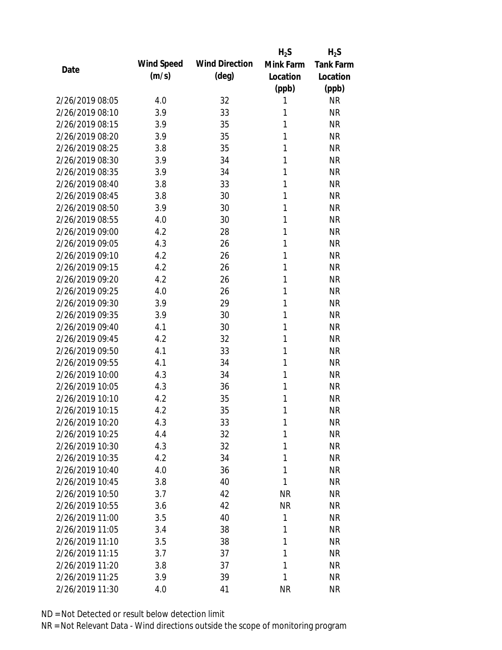|                 |            |                       | $H_2S$       | $H_2S$           |
|-----------------|------------|-----------------------|--------------|------------------|
| Date            | Wind Speed | <b>Wind Direction</b> | Mink Farm    | <b>Tank Farm</b> |
|                 | (m/s)      | $(\text{deg})$        | Location     | Location         |
|                 |            |                       | (ppb)        | (ppb)            |
| 2/26/2019 08:05 | 4.0        | 32                    | 1            | <b>NR</b>        |
| 2/26/2019 08:10 | 3.9        | 33                    | 1            | <b>NR</b>        |
| 2/26/2019 08:15 | 3.9        | 35                    | 1            | <b>NR</b>        |
| 2/26/2019 08:20 | 3.9        | 35                    | 1            | <b>NR</b>        |
| 2/26/2019 08:25 | 3.8        | 35                    | 1            | <b>NR</b>        |
| 2/26/2019 08:30 | 3.9        | 34                    | 1            | <b>NR</b>        |
| 2/26/2019 08:35 | 3.9        | 34                    | 1            | <b>NR</b>        |
| 2/26/2019 08:40 | 3.8        | 33                    | 1            | <b>NR</b>        |
| 2/26/2019 08:45 | 3.8        | 30                    | 1            | <b>NR</b>        |
| 2/26/2019 08:50 | 3.9        | 30                    | 1            | <b>NR</b>        |
| 2/26/2019 08:55 | 4.0        | 30                    | 1            | <b>NR</b>        |
| 2/26/2019 09:00 | 4.2        | 28                    | 1            | <b>NR</b>        |
| 2/26/2019 09:05 | 4.3        | 26                    | 1            | <b>NR</b>        |
| 2/26/2019 09:10 | 4.2        | 26                    | 1            | <b>NR</b>        |
| 2/26/2019 09:15 | 4.2        | 26                    | 1            | <b>NR</b>        |
| 2/26/2019 09:20 | 4.2        | 26                    | 1            | <b>NR</b>        |
| 2/26/2019 09:25 | 4.0        | 26                    | 1            | <b>NR</b>        |
| 2/26/2019 09:30 | 3.9        | 29                    | 1            | <b>NR</b>        |
| 2/26/2019 09:35 | 3.9        | 30                    | 1            | <b>NR</b>        |
| 2/26/2019 09:40 | 4.1        | 30                    | 1            | <b>NR</b>        |
| 2/26/2019 09:45 | 4.2        | 32                    | 1            | <b>NR</b>        |
| 2/26/2019 09:50 | 4.1        | 33                    | 1            | <b>NR</b>        |
| 2/26/2019 09:55 | 4.1        | 34                    | 1            | <b>NR</b>        |
| 2/26/2019 10:00 | 4.3        | 34                    | 1            | <b>NR</b>        |
| 2/26/2019 10:05 | 4.3        | 36                    | 1            | <b>NR</b>        |
| 2/26/2019 10:10 | 4.2        | 35                    | 1            | <b>NR</b>        |
| 2/26/2019 10:15 | 4.2        | 35                    | 1            | <b>NR</b>        |
| 2/26/2019 10:20 | 4.3        | 33                    | 1            | <b>NR</b>        |
| 2/26/2019 10:25 | 4.4        | 32                    | 1            | <b>NR</b>        |
| 2/26/2019 10:30 | 4.3        | 32                    | 1            | <b>NR</b>        |
| 2/26/2019 10:35 | 4.2        | 34                    | 1            | <b>NR</b>        |
| 2/26/2019 10:40 | 4.0        | 36                    | 1            | <b>NR</b>        |
| 2/26/2019 10:45 | 3.8        | 40                    | 1            | <b>NR</b>        |
| 2/26/2019 10:50 | 3.7        | 42                    | <b>NR</b>    | <b>NR</b>        |
| 2/26/2019 10:55 | 3.6        | 42                    | <b>NR</b>    | <b>NR</b>        |
| 2/26/2019 11:00 | 3.5        | 40                    | $\mathbf{1}$ | <b>NR</b>        |
| 2/26/2019 11:05 | 3.4        | 38                    | 1            | <b>NR</b>        |
| 2/26/2019 11:10 | 3.5        | 38                    | 1            | <b>NR</b>        |
| 2/26/2019 11:15 | 3.7        | 37                    | 1            | <b>NR</b>        |
| 2/26/2019 11:20 | 3.8        | 37                    | 1            | <b>NR</b>        |
| 2/26/2019 11:25 | 3.9        | 39                    | 1            | <b>NR</b>        |
| 2/26/2019 11:30 | 4.0        | 41                    | <b>NR</b>    | <b>NR</b>        |
|                 |            |                       |              |                  |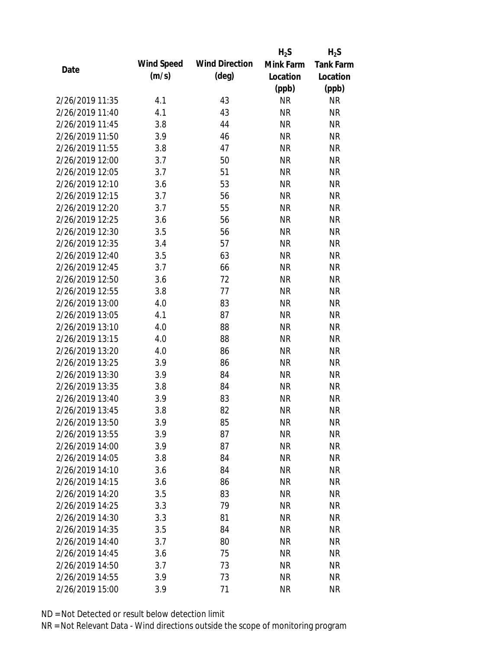|                 |            |                       | $H_2S$    | $H_2S$           |
|-----------------|------------|-----------------------|-----------|------------------|
| Date            | Wind Speed | <b>Wind Direction</b> | Mink Farm | <b>Tank Farm</b> |
|                 | (m/s)      | $(\text{deg})$        | Location  | Location         |
|                 |            |                       | (ppb)     | (ppb)            |
| 2/26/2019 11:35 | 4.1        | 43                    | <b>NR</b> | <b>NR</b>        |
| 2/26/2019 11:40 | 4.1        | 43                    | <b>NR</b> | <b>NR</b>        |
| 2/26/2019 11:45 | 3.8        | 44                    | <b>NR</b> | <b>NR</b>        |
| 2/26/2019 11:50 | 3.9        | 46                    | <b>NR</b> | <b>NR</b>        |
| 2/26/2019 11:55 | 3.8        | 47                    | <b>NR</b> | <b>NR</b>        |
| 2/26/2019 12:00 | 3.7        | 50                    | <b>NR</b> | <b>NR</b>        |
| 2/26/2019 12:05 | 3.7        | 51                    | <b>NR</b> | <b>NR</b>        |
| 2/26/2019 12:10 | 3.6        | 53                    | <b>NR</b> | <b>NR</b>        |
| 2/26/2019 12:15 | 3.7        | 56                    | <b>NR</b> | <b>NR</b>        |
| 2/26/2019 12:20 | 3.7        | 55                    | <b>NR</b> | <b>NR</b>        |
| 2/26/2019 12:25 | 3.6        | 56                    | <b>NR</b> | <b>NR</b>        |
| 2/26/2019 12:30 | 3.5        | 56                    | <b>NR</b> | <b>NR</b>        |
| 2/26/2019 12:35 | 3.4        | 57                    | <b>NR</b> | <b>NR</b>        |
| 2/26/2019 12:40 | 3.5        | 63                    | <b>NR</b> | <b>NR</b>        |
| 2/26/2019 12:45 | 3.7        | 66                    | <b>NR</b> | <b>NR</b>        |
| 2/26/2019 12:50 | 3.6        | 72                    | <b>NR</b> | <b>NR</b>        |
| 2/26/2019 12:55 | 3.8        | 77                    | <b>NR</b> | <b>NR</b>        |
| 2/26/2019 13:00 | 4.0        | 83                    | <b>NR</b> | <b>NR</b>        |
| 2/26/2019 13:05 | 4.1        | 87                    | <b>NR</b> | <b>NR</b>        |
| 2/26/2019 13:10 | 4.0        | 88                    | <b>NR</b> | <b>NR</b>        |
| 2/26/2019 13:15 | 4.0        | 88                    | <b>NR</b> | <b>NR</b>        |
| 2/26/2019 13:20 | 4.0        | 86                    | <b>NR</b> | <b>NR</b>        |
| 2/26/2019 13:25 | 3.9        | 86                    | <b>NR</b> | <b>NR</b>        |
| 2/26/2019 13:30 | 3.9        | 84                    | <b>NR</b> | <b>NR</b>        |
| 2/26/2019 13:35 | 3.8        | 84                    | <b>NR</b> | <b>NR</b>        |
| 2/26/2019 13:40 | 3.9        | 83                    | <b>NR</b> | <b>NR</b>        |
| 2/26/2019 13:45 | 3.8        | 82                    | <b>NR</b> | <b>NR</b>        |
| 2/26/2019 13:50 | 3.9        | 85                    | <b>NR</b> | <b>NR</b>        |
| 2/26/2019 13:55 | 3.9        | 87                    | <b>NR</b> | <b>NR</b>        |
| 2/26/2019 14:00 | 3.9        | 87                    | NR        | <b>NR</b>        |
| 2/26/2019 14:05 | 3.8        | 84                    | <b>NR</b> | <b>NR</b>        |
| 2/26/2019 14:10 | 3.6        | 84                    | <b>NR</b> | <b>NR</b>        |
| 2/26/2019 14:15 | 3.6        | 86                    | <b>NR</b> | <b>NR</b>        |
| 2/26/2019 14:20 | 3.5        | 83                    | <b>NR</b> | <b>NR</b>        |
| 2/26/2019 14:25 | 3.3        | 79                    | <b>NR</b> | <b>NR</b>        |
| 2/26/2019 14:30 | 3.3        | 81                    | <b>NR</b> | <b>NR</b>        |
| 2/26/2019 14:35 | 3.5        | 84                    | <b>NR</b> | <b>NR</b>        |
| 2/26/2019 14:40 | 3.7        | 80                    | <b>NR</b> | <b>NR</b>        |
| 2/26/2019 14:45 | 3.6        | 75                    | <b>NR</b> | <b>NR</b>        |
| 2/26/2019 14:50 | 3.7        | 73                    | <b>NR</b> | <b>NR</b>        |
| 2/26/2019 14:55 | 3.9        | 73                    | <b>NR</b> | <b>NR</b>        |
| 2/26/2019 15:00 | 3.9        | 71                    | <b>NR</b> | <b>NR</b>        |
|                 |            |                       |           |                  |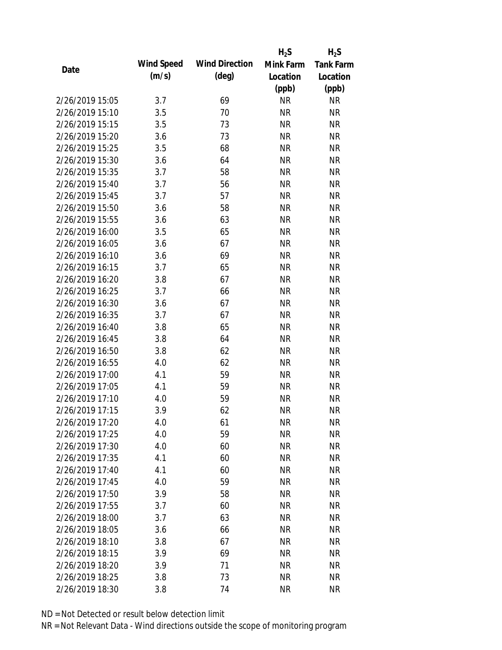|                 |            |                       | $H_2S$    | $H_2S$           |
|-----------------|------------|-----------------------|-----------|------------------|
| Date            | Wind Speed | <b>Wind Direction</b> | Mink Farm | <b>Tank Farm</b> |
|                 | (m/s)      | $(\text{deg})$        | Location  | Location         |
|                 |            |                       | (ppb)     | (ppb)            |
| 2/26/2019 15:05 | 3.7        | 69                    | <b>NR</b> | <b>NR</b>        |
| 2/26/2019 15:10 | 3.5        | 70                    | <b>NR</b> | <b>NR</b>        |
| 2/26/2019 15:15 | 3.5        | 73                    | <b>NR</b> | <b>NR</b>        |
| 2/26/2019 15:20 | 3.6        | 73                    | <b>NR</b> | <b>NR</b>        |
| 2/26/2019 15:25 | 3.5        | 68                    | <b>NR</b> | <b>NR</b>        |
| 2/26/2019 15:30 | 3.6        | 64                    | <b>NR</b> | <b>NR</b>        |
| 2/26/2019 15:35 | 3.7        | 58                    | <b>NR</b> | <b>NR</b>        |
| 2/26/2019 15:40 | 3.7        | 56                    | <b>NR</b> | <b>NR</b>        |
| 2/26/2019 15:45 | 3.7        | 57                    | <b>NR</b> | <b>NR</b>        |
| 2/26/2019 15:50 | 3.6        | 58                    | <b>NR</b> | <b>NR</b>        |
| 2/26/2019 15:55 | 3.6        | 63                    | <b>NR</b> | <b>NR</b>        |
| 2/26/2019 16:00 | 3.5        | 65                    | <b>NR</b> | <b>NR</b>        |
| 2/26/2019 16:05 | 3.6        | 67                    | <b>NR</b> | <b>NR</b>        |
| 2/26/2019 16:10 | 3.6        | 69                    | <b>NR</b> | <b>NR</b>        |
| 2/26/2019 16:15 | 3.7        | 65                    | <b>NR</b> | <b>NR</b>        |
| 2/26/2019 16:20 | 3.8        | 67                    | <b>NR</b> | <b>NR</b>        |
| 2/26/2019 16:25 | 3.7        | 66                    | <b>NR</b> | <b>NR</b>        |
| 2/26/2019 16:30 | 3.6        | 67                    | <b>NR</b> | <b>NR</b>        |
| 2/26/2019 16:35 | 3.7        | 67                    | <b>NR</b> | <b>NR</b>        |
| 2/26/2019 16:40 | 3.8        | 65                    | <b>NR</b> | <b>NR</b>        |
| 2/26/2019 16:45 | 3.8        | 64                    | <b>NR</b> | <b>NR</b>        |
| 2/26/2019 16:50 | 3.8        | 62                    | <b>NR</b> | <b>NR</b>        |
| 2/26/2019 16:55 | 4.0        | 62                    | <b>NR</b> | <b>NR</b>        |
| 2/26/2019 17:00 | 4.1        | 59                    | <b>NR</b> | <b>NR</b>        |
| 2/26/2019 17:05 | 4.1        | 59                    | <b>NR</b> | <b>NR</b>        |
| 2/26/2019 17:10 | 4.0        | 59                    | <b>NR</b> | <b>NR</b>        |
| 2/26/2019 17:15 | 3.9        | 62                    | <b>NR</b> | <b>NR</b>        |
| 2/26/2019 17:20 | 4.0        | 61                    | <b>NR</b> | <b>NR</b>        |
| 2/26/2019 17:25 | 4.0        | 59                    | <b>NR</b> | <b>NR</b>        |
| 2/26/2019 17:30 | 4.0        | 60                    | <b>NR</b> | <b>NR</b>        |
| 2/26/2019 17:35 | 4.1        | 60                    | <b>NR</b> | <b>NR</b>        |
| 2/26/2019 17:40 | 4.1        | 60                    | <b>NR</b> | <b>NR</b>        |
| 2/26/2019 17:45 | 4.0        | 59                    | <b>NR</b> | <b>NR</b>        |
| 2/26/2019 17:50 | 3.9        | 58                    | <b>NR</b> | <b>NR</b>        |
| 2/26/2019 17:55 | 3.7        | 60                    | <b>NR</b> | NR               |
| 2/26/2019 18:00 | 3.7        | 63                    | <b>NR</b> | <b>NR</b>        |
| 2/26/2019 18:05 | 3.6        | 66                    | <b>NR</b> | <b>NR</b>        |
| 2/26/2019 18:10 | 3.8        | 67                    | NR        | <b>NR</b>        |
| 2/26/2019 18:15 | 3.9        | 69                    | <b>NR</b> | NR               |
| 2/26/2019 18:20 | 3.9        | 71                    | <b>NR</b> | NR               |
| 2/26/2019 18:25 | 3.8        | 73                    | <b>NR</b> | <b>NR</b>        |
| 2/26/2019 18:30 | 3.8        | 74                    | <b>NR</b> | <b>NR</b>        |
|                 |            |                       |           |                  |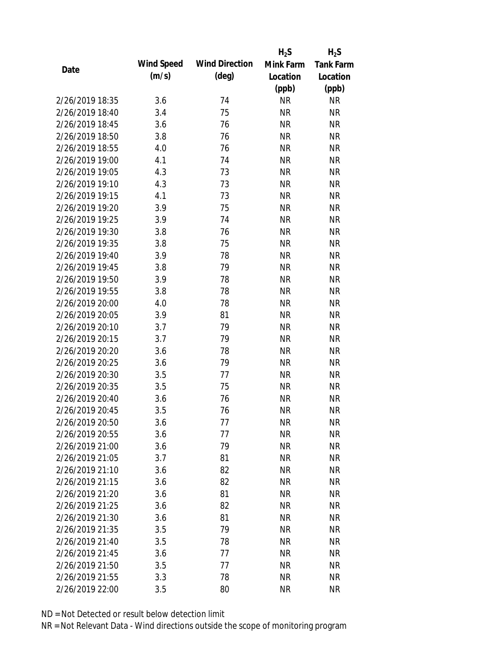|                 |            |                       | $H_2S$    | $H_2S$           |
|-----------------|------------|-----------------------|-----------|------------------|
| Date            | Wind Speed | <b>Wind Direction</b> | Mink Farm | <b>Tank Farm</b> |
|                 | (m/s)      | $(\text{deg})$        | Location  | Location         |
|                 |            |                       | (ppb)     | (ppb)            |
| 2/26/2019 18:35 | 3.6        | 74                    | <b>NR</b> | <b>NR</b>        |
| 2/26/2019 18:40 | 3.4        | 75                    | <b>NR</b> | <b>NR</b>        |
| 2/26/2019 18:45 | 3.6        | 76                    | <b>NR</b> | <b>NR</b>        |
| 2/26/2019 18:50 | 3.8        | 76                    | <b>NR</b> | <b>NR</b>        |
| 2/26/2019 18:55 | 4.0        | 76                    | <b>NR</b> | <b>NR</b>        |
| 2/26/2019 19:00 | 4.1        | 74                    | <b>NR</b> | <b>NR</b>        |
| 2/26/2019 19:05 | 4.3        | 73                    | <b>NR</b> | <b>NR</b>        |
| 2/26/2019 19:10 | 4.3        | 73                    | <b>NR</b> | <b>NR</b>        |
| 2/26/2019 19:15 | 4.1        | 73                    | <b>NR</b> | <b>NR</b>        |
| 2/26/2019 19:20 | 3.9        | 75                    | <b>NR</b> | <b>NR</b>        |
| 2/26/2019 19:25 | 3.9        | 74                    | <b>NR</b> | <b>NR</b>        |
| 2/26/2019 19:30 | 3.8        | 76                    | <b>NR</b> | <b>NR</b>        |
| 2/26/2019 19:35 | 3.8        | 75                    | <b>NR</b> | <b>NR</b>        |
| 2/26/2019 19:40 | 3.9        | 78                    | <b>NR</b> | <b>NR</b>        |
| 2/26/2019 19:45 | 3.8        | 79                    | <b>NR</b> | <b>NR</b>        |
| 2/26/2019 19:50 | 3.9        | 78                    | <b>NR</b> | <b>NR</b>        |
| 2/26/2019 19:55 | 3.8        | 78                    | <b>NR</b> | <b>NR</b>        |
| 2/26/2019 20:00 | 4.0        | 78                    | <b>NR</b> | <b>NR</b>        |
| 2/26/2019 20:05 | 3.9        | 81                    | <b>NR</b> | <b>NR</b>        |
| 2/26/2019 20:10 | 3.7        | 79                    | <b>NR</b> | <b>NR</b>        |
| 2/26/2019 20:15 | 3.7        | 79                    | <b>NR</b> | <b>NR</b>        |
| 2/26/2019 20:20 | 3.6        | 78                    | <b>NR</b> | <b>NR</b>        |
| 2/26/2019 20:25 | 3.6        | 79                    | <b>NR</b> | <b>NR</b>        |
| 2/26/2019 20:30 | 3.5        | 77                    | <b>NR</b> | <b>NR</b>        |
| 2/26/2019 20:35 | 3.5        | 75                    | <b>NR</b> | <b>NR</b>        |
| 2/26/2019 20:40 | 3.6        | 76                    | <b>NR</b> | <b>NR</b>        |
| 2/26/2019 20:45 | 3.5        | 76                    | <b>NR</b> | <b>NR</b>        |
| 2/26/2019 20:50 | 3.6        | 77                    | <b>NR</b> | <b>NR</b>        |
| 2/26/2019 20:55 | 3.6        | 77                    | <b>NR</b> | <b>NR</b>        |
| 2/26/2019 21:00 | 3.6        | 79                    | <b>NR</b> | <b>NR</b>        |
| 2/26/2019 21:05 | 3.7        | 81                    | <b>NR</b> | <b>NR</b>        |
| 2/26/2019 21:10 | 3.6        | 82                    | <b>NR</b> | <b>NR</b>        |
| 2/26/2019 21:15 | 3.6        | 82                    | <b>NR</b> | <b>NR</b>        |
| 2/26/2019 21:20 | 3.6        | 81                    | <b>NR</b> | <b>NR</b>        |
| 2/26/2019 21:25 | 3.6        | 82                    | <b>NR</b> | NR               |
| 2/26/2019 21:30 | 3.6        | 81                    | <b>NR</b> | <b>NR</b>        |
| 2/26/2019 21:35 | 3.5        | 79                    | <b>NR</b> | NR               |
| 2/26/2019 21:40 | 3.5        | 78                    | NR        | NR               |
| 2/26/2019 21:45 | 3.6        | 77                    | <b>NR</b> | NR               |
| 2/26/2019 21:50 | 3.5        | 77                    | <b>NR</b> | NR               |
| 2/26/2019 21:55 | 3.3        | 78                    | <b>NR</b> | <b>NR</b>        |
| 2/26/2019 22:00 | 3.5        | 80                    | <b>NR</b> | <b>NR</b>        |
|                 |            |                       |           |                  |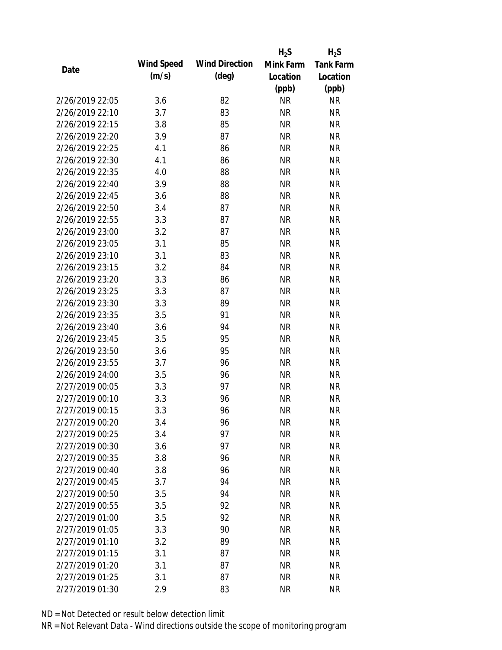|                 |            |                       | $H_2S$    | $H_2S$           |
|-----------------|------------|-----------------------|-----------|------------------|
| Date            | Wind Speed | <b>Wind Direction</b> | Mink Farm | <b>Tank Farm</b> |
|                 | (m/s)      | $(\text{deg})$        | Location  | Location         |
|                 |            |                       | (ppb)     | (ppb)            |
| 2/26/2019 22:05 | 3.6        | 82                    | <b>NR</b> | <b>NR</b>        |
| 2/26/2019 22:10 | 3.7        | 83                    | <b>NR</b> | <b>NR</b>        |
| 2/26/2019 22:15 | 3.8        | 85                    | <b>NR</b> | <b>NR</b>        |
| 2/26/2019 22:20 | 3.9        | 87                    | <b>NR</b> | <b>NR</b>        |
| 2/26/2019 22:25 | 4.1        | 86                    | <b>NR</b> | <b>NR</b>        |
| 2/26/2019 22:30 | 4.1        | 86                    | <b>NR</b> | <b>NR</b>        |
| 2/26/2019 22:35 | 4.0        | 88                    | <b>NR</b> | <b>NR</b>        |
| 2/26/2019 22:40 | 3.9        | 88                    | <b>NR</b> | <b>NR</b>        |
| 2/26/2019 22:45 | 3.6        | 88                    | <b>NR</b> | <b>NR</b>        |
| 2/26/2019 22:50 | 3.4        | 87                    | <b>NR</b> | <b>NR</b>        |
| 2/26/2019 22:55 | 3.3        | 87                    | <b>NR</b> | <b>NR</b>        |
| 2/26/2019 23:00 | 3.2        | 87                    | <b>NR</b> | <b>NR</b>        |
| 2/26/2019 23:05 | 3.1        | 85                    | <b>NR</b> | <b>NR</b>        |
| 2/26/2019 23:10 | 3.1        | 83                    | <b>NR</b> | <b>NR</b>        |
| 2/26/2019 23:15 | 3.2        | 84                    | <b>NR</b> | <b>NR</b>        |
| 2/26/2019 23:20 | 3.3        | 86                    | <b>NR</b> | <b>NR</b>        |
| 2/26/2019 23:25 | 3.3        | 87                    | <b>NR</b> | <b>NR</b>        |
| 2/26/2019 23:30 | 3.3        | 89                    | <b>NR</b> | <b>NR</b>        |
| 2/26/2019 23:35 | 3.5        | 91                    | <b>NR</b> | <b>NR</b>        |
| 2/26/2019 23:40 | 3.6        | 94                    | <b>NR</b> | <b>NR</b>        |
| 2/26/2019 23:45 | 3.5        | 95                    | <b>NR</b> | <b>NR</b>        |
| 2/26/2019 23:50 | 3.6        | 95                    | <b>NR</b> | <b>NR</b>        |
| 2/26/2019 23:55 | 3.7        | 96                    | <b>NR</b> | <b>NR</b>        |
| 2/26/2019 24:00 | 3.5        | 96                    | <b>NR</b> | <b>NR</b>        |
| 2/27/2019 00:05 | 3.3        | 97                    | <b>NR</b> | <b>NR</b>        |
| 2/27/2019 00:10 | 3.3        | 96                    | <b>NR</b> | <b>NR</b>        |
| 2/27/2019 00:15 | 3.3        | 96                    | <b>NR</b> | <b>NR</b>        |
| 2/27/2019 00:20 | 3.4        | 96                    | <b>NR</b> | <b>NR</b>        |
| 2/27/2019 00:25 | 3.4        | 97                    | <b>NR</b> | <b>NR</b>        |
| 2/27/2019 00:30 | 3.6        | 97                    | <b>NR</b> | <b>NR</b>        |
| 2/27/2019 00:35 | 3.8        | 96                    | <b>NR</b> | <b>NR</b>        |
| 2/27/2019 00:40 | 3.8        | 96                    | <b>NR</b> | <b>NR</b>        |
| 2/27/2019 00:45 | 3.7        | 94                    | <b>NR</b> | <b>NR</b>        |
| 2/27/2019 00:50 | 3.5        | 94                    | <b>NR</b> | <b>NR</b>        |
| 2/27/2019 00:55 | 3.5        | 92                    | <b>NR</b> | <b>NR</b>        |
| 2/27/2019 01:00 | 3.5        | 92                    | <b>NR</b> | <b>NR</b>        |
| 2/27/2019 01:05 | 3.3        | 90                    | <b>NR</b> | <b>NR</b>        |
| 2/27/2019 01:10 | 3.2        | 89                    | <b>NR</b> | <b>NR</b>        |
| 2/27/2019 01:15 | 3.1        | 87                    | <b>NR</b> | <b>NR</b>        |
| 2/27/2019 01:20 | 3.1        | 87                    | <b>NR</b> | <b>NR</b>        |
| 2/27/2019 01:25 | 3.1        | 87                    | <b>NR</b> | <b>NR</b>        |
| 2/27/2019 01:30 | 2.9        | 83                    | <b>NR</b> | <b>NR</b>        |
|                 |            |                       |           |                  |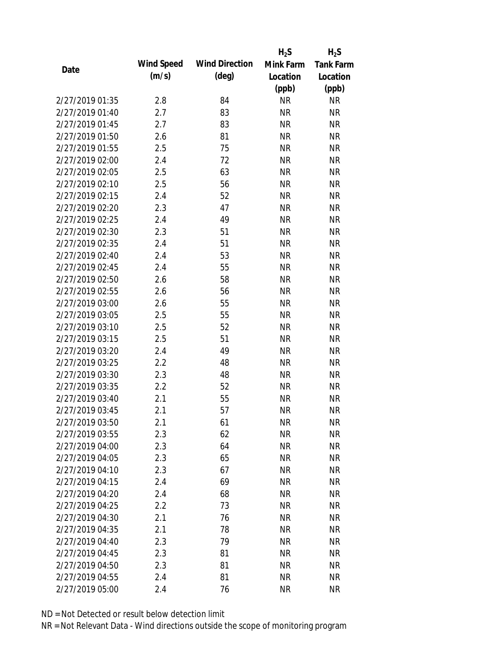|                 |            |                       | $H_2S$    | $H_2S$           |
|-----------------|------------|-----------------------|-----------|------------------|
| Date            | Wind Speed | <b>Wind Direction</b> | Mink Farm | <b>Tank Farm</b> |
|                 | (m/s)      | $(\text{deg})$        | Location  | Location         |
|                 |            |                       | (ppb)     | (ppb)            |
| 2/27/2019 01:35 | 2.8        | 84                    | <b>NR</b> | <b>NR</b>        |
| 2/27/2019 01:40 | 2.7        | 83                    | <b>NR</b> | <b>NR</b>        |
| 2/27/2019 01:45 | 2.7        | 83                    | <b>NR</b> | <b>NR</b>        |
| 2/27/2019 01:50 | 2.6        | 81                    | <b>NR</b> | <b>NR</b>        |
| 2/27/2019 01:55 | 2.5        | 75                    | <b>NR</b> | <b>NR</b>        |
| 2/27/2019 02:00 | 2.4        | 72                    | <b>NR</b> | <b>NR</b>        |
| 2/27/2019 02:05 | 2.5        | 63                    | <b>NR</b> | <b>NR</b>        |
| 2/27/2019 02:10 | 2.5        | 56                    | <b>NR</b> | <b>NR</b>        |
| 2/27/2019 02:15 | 2.4        | 52                    | <b>NR</b> | <b>NR</b>        |
| 2/27/2019 02:20 | 2.3        | 47                    | <b>NR</b> | <b>NR</b>        |
| 2/27/2019 02:25 | 2.4        | 49                    | <b>NR</b> | <b>NR</b>        |
| 2/27/2019 02:30 | 2.3        | 51                    | <b>NR</b> | <b>NR</b>        |
| 2/27/2019 02:35 | 2.4        | 51                    | <b>NR</b> | <b>NR</b>        |
| 2/27/2019 02:40 | 2.4        | 53                    | <b>NR</b> | <b>NR</b>        |
| 2/27/2019 02:45 | 2.4        | 55                    | <b>NR</b> | <b>NR</b>        |
| 2/27/2019 02:50 | 2.6        | 58                    | <b>NR</b> | <b>NR</b>        |
| 2/27/2019 02:55 | 2.6        | 56                    | <b>NR</b> | <b>NR</b>        |
| 2/27/2019 03:00 | 2.6        | 55                    | <b>NR</b> | <b>NR</b>        |
| 2/27/2019 03:05 | 2.5        | 55                    | <b>NR</b> | <b>NR</b>        |
| 2/27/2019 03:10 | 2.5        | 52                    | <b>NR</b> | <b>NR</b>        |
| 2/27/2019 03:15 | 2.5        | 51                    | <b>NR</b> | <b>NR</b>        |
| 2/27/2019 03:20 | 2.4        | 49                    | <b>NR</b> | <b>NR</b>        |
| 2/27/2019 03:25 | 2.2        | 48                    | <b>NR</b> | <b>NR</b>        |
| 2/27/2019 03:30 | 2.3        | 48                    | <b>NR</b> | <b>NR</b>        |
| 2/27/2019 03:35 | 2.2        | 52                    | <b>NR</b> | <b>NR</b>        |
| 2/27/2019 03:40 | 2.1        | 55                    | <b>NR</b> | <b>NR</b>        |
| 2/27/2019 03:45 | 2.1        | 57                    | <b>NR</b> | <b>NR</b>        |
| 2/27/2019 03:50 | 2.1        | 61                    | <b>NR</b> | <b>NR</b>        |
| 2/27/2019 03:55 | 2.3        | 62                    | <b>NR</b> | <b>NR</b>        |
| 2/27/2019 04:00 | 2.3        | 64                    | NR        | <b>NR</b>        |
| 2/27/2019 04:05 | 2.3        | 65                    | <b>NR</b> | <b>NR</b>        |
| 2/27/2019 04:10 | 2.3        | 67                    | <b>NR</b> | <b>NR</b>        |
| 2/27/2019 04:15 | 2.4        | 69                    | <b>NR</b> | <b>NR</b>        |
| 2/27/2019 04:20 | 2.4        | 68                    | <b>NR</b> | <b>NR</b>        |
| 2/27/2019 04:25 | 2.2        | 73                    | <b>NR</b> | <b>NR</b>        |
| 2/27/2019 04:30 | 2.1        | 76                    | <b>NR</b> | <b>NR</b>        |
| 2/27/2019 04:35 | 2.1        | 78                    | <b>NR</b> | <b>NR</b>        |
| 2/27/2019 04:40 | 2.3        | 79                    | <b>NR</b> | <b>NR</b>        |
| 2/27/2019 04:45 | 2.3        | 81                    | <b>NR</b> | <b>NR</b>        |
| 2/27/2019 04:50 | 2.3        | 81                    | <b>NR</b> | <b>NR</b>        |
| 2/27/2019 04:55 | 2.4        | 81                    | <b>NR</b> | <b>NR</b>        |
| 2/27/2019 05:00 | 2.4        | 76                    | <b>NR</b> | <b>NR</b>        |
|                 |            |                       |           |                  |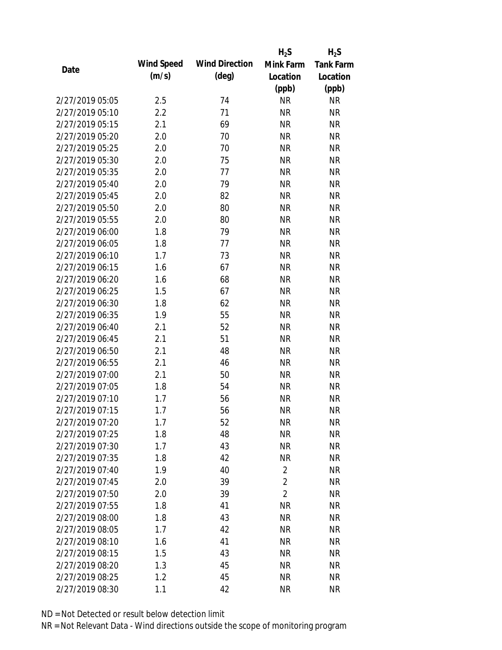|                 |            |                       | $H_2S$         | $H_2S$           |
|-----------------|------------|-----------------------|----------------|------------------|
| Date            | Wind Speed | <b>Wind Direction</b> | Mink Farm      | <b>Tank Farm</b> |
|                 | (m/s)      | $(\text{deg})$        | Location       | Location         |
|                 |            |                       | (ppb)          | (ppb)            |
| 2/27/2019 05:05 | 2.5        | 74                    | <b>NR</b>      | <b>NR</b>        |
| 2/27/2019 05:10 | 2.2        | 71                    | <b>NR</b>      | <b>NR</b>        |
| 2/27/2019 05:15 | 2.1        | 69                    | <b>NR</b>      | <b>NR</b>        |
| 2/27/2019 05:20 | 2.0        | 70                    | <b>NR</b>      | <b>NR</b>        |
| 2/27/2019 05:25 | 2.0        | 70                    | <b>NR</b>      | <b>NR</b>        |
| 2/27/2019 05:30 | 2.0        | 75                    | <b>NR</b>      | <b>NR</b>        |
| 2/27/2019 05:35 | 2.0        | 77                    | <b>NR</b>      | <b>NR</b>        |
| 2/27/2019 05:40 | 2.0        | 79                    | <b>NR</b>      | <b>NR</b>        |
| 2/27/2019 05:45 | 2.0        | 82                    | <b>NR</b>      | <b>NR</b>        |
| 2/27/2019 05:50 | 2.0        | 80                    | <b>NR</b>      | <b>NR</b>        |
| 2/27/2019 05:55 | 2.0        | 80                    | <b>NR</b>      | <b>NR</b>        |
| 2/27/2019 06:00 | 1.8        | 79                    | <b>NR</b>      | <b>NR</b>        |
| 2/27/2019 06:05 | 1.8        | 77                    | <b>NR</b>      | <b>NR</b>        |
| 2/27/2019 06:10 | 1.7        | 73                    | <b>NR</b>      | <b>NR</b>        |
| 2/27/2019 06:15 | 1.6        | 67                    | <b>NR</b>      | <b>NR</b>        |
| 2/27/2019 06:20 | 1.6        | 68                    | <b>NR</b>      | <b>NR</b>        |
| 2/27/2019 06:25 | 1.5        | 67                    | <b>NR</b>      | <b>NR</b>        |
| 2/27/2019 06:30 | 1.8        | 62                    | <b>NR</b>      | <b>NR</b>        |
| 2/27/2019 06:35 | 1.9        | 55                    | <b>NR</b>      | <b>NR</b>        |
| 2/27/2019 06:40 | 2.1        | 52                    | <b>NR</b>      | <b>NR</b>        |
| 2/27/2019 06:45 | 2.1        | 51                    | <b>NR</b>      | <b>NR</b>        |
| 2/27/2019 06:50 | 2.1        | 48                    | <b>NR</b>      | <b>NR</b>        |
| 2/27/2019 06:55 | 2.1        | 46                    | <b>NR</b>      | <b>NR</b>        |
| 2/27/2019 07:00 | 2.1        | 50                    | <b>NR</b>      | <b>NR</b>        |
| 2/27/2019 07:05 | 1.8        | 54                    | <b>NR</b>      | <b>NR</b>        |
| 2/27/2019 07:10 | 1.7        | 56                    | <b>NR</b>      | <b>NR</b>        |
| 2/27/2019 07:15 | 1.7        | 56                    | <b>NR</b>      | <b>NR</b>        |
| 2/27/2019 07:20 | 1.7        | 52                    | <b>NR</b>      | <b>NR</b>        |
| 2/27/2019 07:25 | 1.8        | 48                    | <b>NR</b>      | <b>NR</b>        |
| 2/27/2019 07:30 | 1.7        | 43                    | <b>NR</b>      | <b>NR</b>        |
| 2/27/2019 07:35 | 1.8        | 42                    | <b>NR</b>      | <b>NR</b>        |
| 2/27/2019 07:40 | 1.9        | 40                    | $\overline{2}$ | <b>NR</b>        |
| 2/27/2019 07:45 | 2.0        | 39                    | $\overline{2}$ | <b>NR</b>        |
| 2/27/2019 07:50 | 2.0        | 39                    | $\overline{2}$ | <b>NR</b>        |
| 2/27/2019 07:55 | 1.8        | 41                    | <b>NR</b>      | <b>NR</b>        |
| 2/27/2019 08:00 | 1.8        | 43                    | <b>NR</b>      | <b>NR</b>        |
| 2/27/2019 08:05 | 1.7        | 42                    | <b>NR</b>      | <b>NR</b>        |
| 2/27/2019 08:10 | 1.6        | 41                    | <b>NR</b>      | <b>NR</b>        |
| 2/27/2019 08:15 | 1.5        | 43                    | <b>NR</b>      | <b>NR</b>        |
| 2/27/2019 08:20 | 1.3        | 45                    | <b>NR</b>      | <b>NR</b>        |
| 2/27/2019 08:25 | 1.2        | 45                    | <b>NR</b>      | <b>NR</b>        |
| 2/27/2019 08:30 | 1.1        | 42                    | <b>NR</b>      | <b>NR</b>        |
|                 |            |                       |                |                  |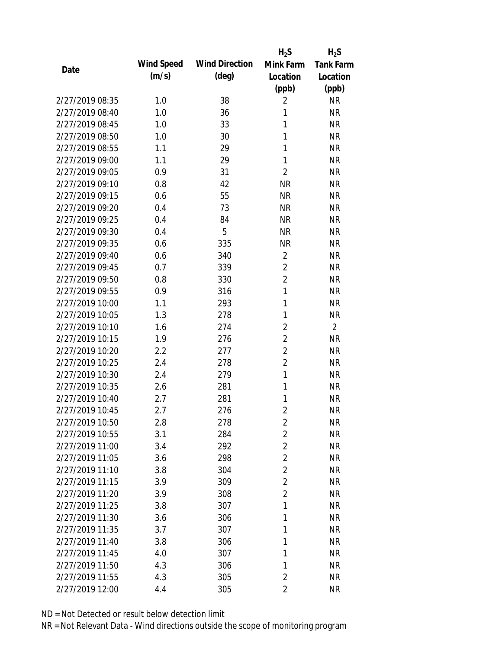|                 |            |                       | $H_2S$         | $H_2S$           |
|-----------------|------------|-----------------------|----------------|------------------|
| Date            | Wind Speed | <b>Wind Direction</b> | Mink Farm      | <b>Tank Farm</b> |
|                 | (m/s)      | $(\text{deg})$        | Location       | Location         |
|                 |            |                       | (ppb)          | (ppb)            |
| 2/27/2019 08:35 | 1.0        | 38                    | $\overline{2}$ | <b>NR</b>        |
| 2/27/2019 08:40 | 1.0        | 36                    | 1              | <b>NR</b>        |
| 2/27/2019 08:45 | 1.0        | 33                    | 1              | <b>NR</b>        |
| 2/27/2019 08:50 | 1.0        | 30                    | 1              | <b>NR</b>        |
| 2/27/2019 08:55 | 1.1        | 29                    | 1              | <b>NR</b>        |
| 2/27/2019 09:00 | 1.1        | 29                    | 1              | <b>NR</b>        |
| 2/27/2019 09:05 | 0.9        | 31                    | $\overline{2}$ | <b>NR</b>        |
| 2/27/2019 09:10 | 0.8        | 42                    | <b>NR</b>      | <b>NR</b>        |
| 2/27/2019 09:15 | 0.6        | 55                    | <b>NR</b>      | <b>NR</b>        |
| 2/27/2019 09:20 | 0.4        | 73                    | <b>NR</b>      | <b>NR</b>        |
| 2/27/2019 09:25 | 0.4        | 84                    | <b>NR</b>      | <b>NR</b>        |
| 2/27/2019 09:30 | 0.4        | 5                     | <b>NR</b>      | <b>NR</b>        |
| 2/27/2019 09:35 | 0.6        | 335                   | <b>NR</b>      | <b>NR</b>        |
| 2/27/2019 09:40 | 0.6        | 340                   | $\overline{2}$ | <b>NR</b>        |
| 2/27/2019 09:45 | 0.7        | 339                   | $\overline{2}$ | <b>NR</b>        |
| 2/27/2019 09:50 | 0.8        | 330                   | $\overline{2}$ | <b>NR</b>        |
| 2/27/2019 09:55 | 0.9        | 316                   | 1              | <b>NR</b>        |
| 2/27/2019 10:00 | 1.1        | 293                   | 1              | <b>NR</b>        |
| 2/27/2019 10:05 | 1.3        | 278                   | 1              | <b>NR</b>        |
| 2/27/2019 10:10 | 1.6        | 274                   | $\overline{2}$ | $\overline{2}$   |
| 2/27/2019 10:15 | 1.9        | 276                   | $\overline{2}$ | <b>NR</b>        |
| 2/27/2019 10:20 | 2.2        | 277                   | $\overline{2}$ | <b>NR</b>        |
| 2/27/2019 10:25 | 2.4        | 278                   | $\overline{2}$ | <b>NR</b>        |
| 2/27/2019 10:30 | 2.4        | 279                   | $\mathbf{1}$   | <b>NR</b>        |
| 2/27/2019 10:35 | 2.6        | 281                   | 1              | <b>NR</b>        |
| 2/27/2019 10:40 | 2.7        | 281                   | 1              | <b>NR</b>        |
| 2/27/2019 10:45 | 2.7        | 276                   | $\overline{2}$ | <b>NR</b>        |
| 2/27/2019 10:50 | 2.8        | 278                   | $\overline{2}$ | <b>NR</b>        |
| 2/27/2019 10:55 | 3.1        | 284                   | $\overline{2}$ | <b>NR</b>        |
| 2/27/2019 11:00 | 3.4        | 292                   | $\overline{2}$ | <b>NR</b>        |
| 2/27/2019 11:05 | 3.6        | 298                   | $\overline{2}$ | <b>NR</b>        |
| 2/27/2019 11:10 | 3.8        | 304                   | $\overline{2}$ | <b>NR</b>        |
| 2/27/2019 11:15 | 3.9        | 309                   | $\overline{2}$ | <b>NR</b>        |
| 2/27/2019 11:20 | 3.9        | 308                   | $\overline{2}$ | <b>NR</b>        |
| 2/27/2019 11:25 | 3.8        | 307                   | 1              | <b>NR</b>        |
| 2/27/2019 11:30 | 3.6        | 306                   | 1              | <b>NR</b>        |
| 2/27/2019 11:35 | 3.7        | 307                   | 1              | <b>NR</b>        |
| 2/27/2019 11:40 | 3.8        | 306                   | 1              | <b>NR</b>        |
| 2/27/2019 11:45 | 4.0        | 307                   | 1              | <b>NR</b>        |
| 2/27/2019 11:50 | 4.3        | 306                   | 1              | <b>NR</b>        |
| 2/27/2019 11:55 | 4.3        | 305                   | 2              | <b>NR</b>        |
| 2/27/2019 12:00 | 4.4        | 305                   | $\overline{2}$ | <b>NR</b>        |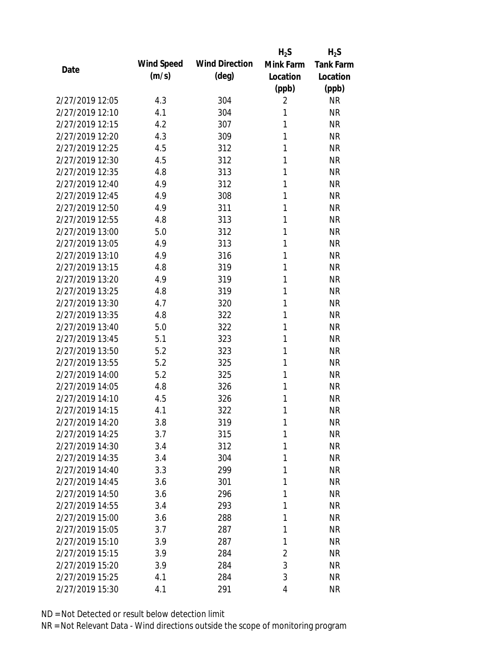|                 |            |                       | $H_2S$         | $H_2S$           |
|-----------------|------------|-----------------------|----------------|------------------|
| Date            | Wind Speed | <b>Wind Direction</b> | Mink Farm      | <b>Tank Farm</b> |
|                 | (m/s)      | $(\text{deg})$        | Location       | Location         |
|                 |            |                       | (ppb)          | (ppb)            |
| 2/27/2019 12:05 | 4.3        | 304                   | $\overline{2}$ | <b>NR</b>        |
| 2/27/2019 12:10 | 4.1        | 304                   | 1              | <b>NR</b>        |
| 2/27/2019 12:15 | 4.2        | 307                   | 1              | <b>NR</b>        |
| 2/27/2019 12:20 | 4.3        | 309                   | 1              | <b>NR</b>        |
| 2/27/2019 12:25 | 4.5        | 312                   | 1              | <b>NR</b>        |
| 2/27/2019 12:30 | 4.5        | 312                   | 1              | <b>NR</b>        |
| 2/27/2019 12:35 | 4.8        | 313                   | 1              | <b>NR</b>        |
| 2/27/2019 12:40 | 4.9        | 312                   | 1              | <b>NR</b>        |
| 2/27/2019 12:45 | 4.9        | 308                   | 1              | <b>NR</b>        |
| 2/27/2019 12:50 | 4.9        | 311                   | 1              | <b>NR</b>        |
| 2/27/2019 12:55 | 4.8        | 313                   | 1              | <b>NR</b>        |
| 2/27/2019 13:00 | 5.0        | 312                   | 1              | <b>NR</b>        |
| 2/27/2019 13:05 | 4.9        | 313                   | 1              | <b>NR</b>        |
| 2/27/2019 13:10 | 4.9        | 316                   | 1              | <b>NR</b>        |
| 2/27/2019 13:15 | 4.8        | 319                   | 1              | <b>NR</b>        |
| 2/27/2019 13:20 | 4.9        | 319                   | 1              | <b>NR</b>        |
| 2/27/2019 13:25 | 4.8        | 319                   | 1              | <b>NR</b>        |
| 2/27/2019 13:30 | 4.7        | 320                   | 1              | <b>NR</b>        |
| 2/27/2019 13:35 | 4.8        | 322                   | 1              | <b>NR</b>        |
| 2/27/2019 13:40 | 5.0        | 322                   | 1              | <b>NR</b>        |
| 2/27/2019 13:45 | 5.1        | 323                   | 1              | <b>NR</b>        |
| 2/27/2019 13:50 | 5.2        | 323                   | 1              | <b>NR</b>        |
| 2/27/2019 13:55 | 5.2        | 325                   | 1              | <b>NR</b>        |
| 2/27/2019 14:00 | 5.2        | 325                   | 1              | <b>NR</b>        |
| 2/27/2019 14:05 | 4.8        | 326                   | 1              | <b>NR</b>        |
| 2/27/2019 14:10 | 4.5        | 326                   | 1              | <b>NR</b>        |
| 2/27/2019 14:15 | 4.1        | 322                   | 1              | <b>NR</b>        |
| 2/27/2019 14:20 | 3.8        | 319                   | 1              | <b>NR</b>        |
| 2/27/2019 14:25 | 3.7        | 315                   | 1              | <b>NR</b>        |
| 2/27/2019 14:30 | 3.4        | 312                   | 1              | <b>NR</b>        |
| 2/27/2019 14:35 | 3.4        | 304                   | 1              | <b>NR</b>        |
| 2/27/2019 14:40 | 3.3        | 299                   | 1              | NR               |
| 2/27/2019 14:45 | 3.6        | 301                   | 1              | <b>NR</b>        |
| 2/27/2019 14:50 | 3.6        | 296                   | 1              | <b>NR</b>        |
| 2/27/2019 14:55 | 3.4        | 293                   | 1              | <b>NR</b>        |
| 2/27/2019 15:00 | 3.6        | 288                   | 1              | <b>NR</b>        |
| 2/27/2019 15:05 | 3.7        | 287                   | 1              | <b>NR</b>        |
| 2/27/2019 15:10 | 3.9        | 287                   | 1              | <b>NR</b>        |
| 2/27/2019 15:15 | 3.9        | 284                   | $\overline{2}$ | <b>NR</b>        |
| 2/27/2019 15:20 | 3.9        | 284                   | 3              | <b>NR</b>        |
| 2/27/2019 15:25 | 4.1        | 284                   | 3              | <b>NR</b>        |
| 2/27/2019 15:30 | 4.1        | 291                   | 4              | <b>NR</b>        |
|                 |            |                       |                |                  |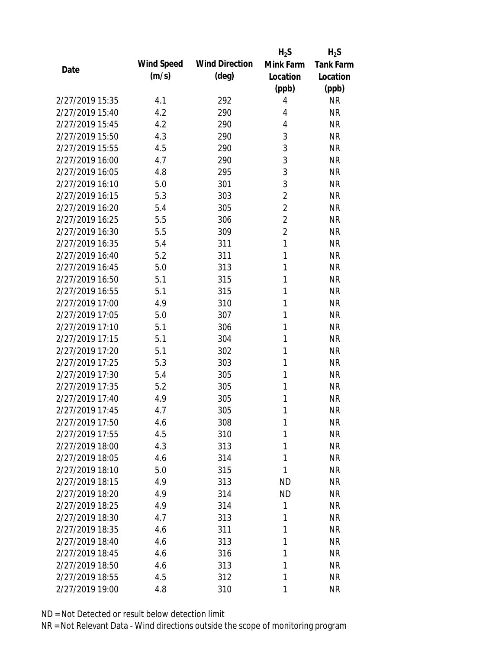|                 |            |                       | $H_2S$         | $H_2S$           |
|-----------------|------------|-----------------------|----------------|------------------|
| Date            | Wind Speed | <b>Wind Direction</b> | Mink Farm      | <b>Tank Farm</b> |
|                 | (m/s)      | $(\text{deg})$        | Location       | Location         |
|                 |            |                       | (ppb)          | (ppb)            |
| 2/27/2019 15:35 | 4.1        | 292                   | $\overline{4}$ | <b>NR</b>        |
| 2/27/2019 15:40 | 4.2        | 290                   | 4              | <b>NR</b>        |
| 2/27/2019 15:45 | 4.2        | 290                   | $\overline{4}$ | <b>NR</b>        |
| 2/27/2019 15:50 | 4.3        | 290                   | 3              | <b>NR</b>        |
| 2/27/2019 15:55 | 4.5        | 290                   | 3              | <b>NR</b>        |
| 2/27/2019 16:00 | 4.7        | 290                   | 3              | <b>NR</b>        |
| 2/27/2019 16:05 | 4.8        | 295                   | 3              | <b>NR</b>        |
| 2/27/2019 16:10 | 5.0        | 301                   | 3              | <b>NR</b>        |
| 2/27/2019 16:15 | 5.3        | 303                   | $\overline{2}$ | <b>NR</b>        |
| 2/27/2019 16:20 | 5.4        | 305                   | $\overline{2}$ | <b>NR</b>        |
| 2/27/2019 16:25 | 5.5        | 306                   | $\overline{2}$ | <b>NR</b>        |
| 2/27/2019 16:30 | 5.5        | 309                   | $\overline{2}$ | <b>NR</b>        |
| 2/27/2019 16:35 | 5.4        | 311                   | $\mathbf{1}$   | <b>NR</b>        |
| 2/27/2019 16:40 | 5.2        | 311                   | 1              | <b>NR</b>        |
| 2/27/2019 16:45 | 5.0        | 313                   | 1              | <b>NR</b>        |
| 2/27/2019 16:50 | 5.1        | 315                   | 1              | <b>NR</b>        |
| 2/27/2019 16:55 | 5.1        | 315                   | 1              | <b>NR</b>        |
| 2/27/2019 17:00 | 4.9        | 310                   | 1              | <b>NR</b>        |
| 2/27/2019 17:05 | 5.0        | 307                   | 1              | <b>NR</b>        |
| 2/27/2019 17:10 | 5.1        | 306                   | 1              | <b>NR</b>        |
| 2/27/2019 17:15 | 5.1        | 304                   | 1              | <b>NR</b>        |
| 2/27/2019 17:20 | 5.1        | 302                   | 1              | <b>NR</b>        |
| 2/27/2019 17:25 | 5.3        | 303                   | 1              | <b>NR</b>        |
| 2/27/2019 17:30 | 5.4        | 305                   | 1              | <b>NR</b>        |
| 2/27/2019 17:35 | 5.2        | 305                   | 1              | <b>NR</b>        |
| 2/27/2019 17:40 | 4.9        | 305                   | 1              | <b>NR</b>        |
| 2/27/2019 17:45 | 4.7        | 305                   | 1              | <b>NR</b>        |
| 2/27/2019 17:50 | 4.6        | 308                   | 1              | <b>NR</b>        |
| 2/27/2019 17:55 | 4.5        | 310                   | 1              | <b>NR</b>        |
| 2/27/2019 18:00 | 4.3        | 313                   | 1              | <b>NR</b>        |
| 2/27/2019 18:05 | 4.6        | 314                   | 1              | <b>NR</b>        |
| 2/27/2019 18:10 | 5.0        | 315                   | 1              | NR               |
| 2/27/2019 18:15 | 4.9        | 313                   | <b>ND</b>      | <b>NR</b>        |
| 2/27/2019 18:20 | 4.9        | 314                   | <b>ND</b>      | <b>NR</b>        |
| 2/27/2019 18:25 | 4.9        | 314                   | 1              | <b>NR</b>        |
| 2/27/2019 18:30 | 4.7        | 313                   | 1              | <b>NR</b>        |
| 2/27/2019 18:35 | 4.6        | 311                   | 1              | <b>NR</b>        |
| 2/27/2019 18:40 | 4.6        | 313                   | 1              | <b>NR</b>        |
| 2/27/2019 18:45 | 4.6        | 316                   | 1              | <b>NR</b>        |
| 2/27/2019 18:50 | 4.6        | 313                   | 1              | <b>NR</b>        |
| 2/27/2019 18:55 | 4.5        | 312                   | 1              | <b>NR</b>        |
| 2/27/2019 19:00 | 4.8        | 310                   | 1              | <b>NR</b>        |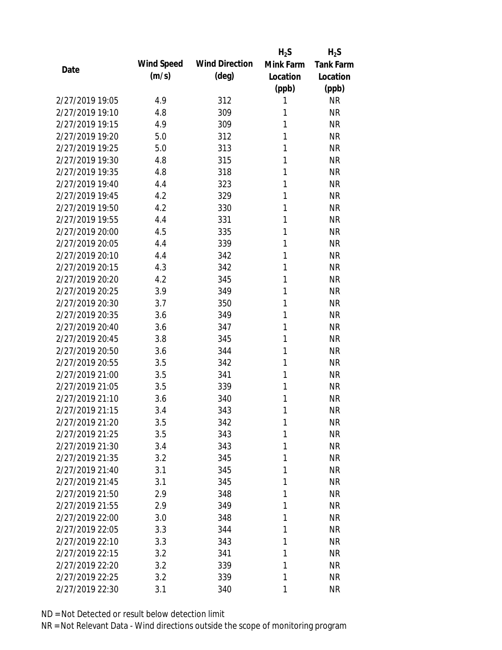|                 |            |                       | $H_2S$    | $H_2S$           |
|-----------------|------------|-----------------------|-----------|------------------|
| Date            | Wind Speed | <b>Wind Direction</b> | Mink Farm | <b>Tank Farm</b> |
|                 | (m/s)      | $(\text{deg})$        | Location  | Location         |
|                 |            |                       | (ppb)     | (ppb)            |
| 2/27/2019 19:05 | 4.9        | 312                   | 1         | <b>NR</b>        |
| 2/27/2019 19:10 | 4.8        | 309                   | 1         | <b>NR</b>        |
| 2/27/2019 19:15 | 4.9        | 309                   | 1         | <b>NR</b>        |
| 2/27/2019 19:20 | 5.0        | 312                   | 1         | <b>NR</b>        |
| 2/27/2019 19:25 | 5.0        | 313                   | 1         | <b>NR</b>        |
| 2/27/2019 19:30 | 4.8        | 315                   | 1         | <b>NR</b>        |
| 2/27/2019 19:35 | 4.8        | 318                   | 1         | <b>NR</b>        |
| 2/27/2019 19:40 | 4.4        | 323                   | 1         | <b>NR</b>        |
| 2/27/2019 19:45 | 4.2        | 329                   | 1         | <b>NR</b>        |
| 2/27/2019 19:50 | 4.2        | 330                   | 1         | <b>NR</b>        |
| 2/27/2019 19:55 | 4.4        | 331                   | 1         | <b>NR</b>        |
| 2/27/2019 20:00 | 4.5        | 335                   | 1         | <b>NR</b>        |
| 2/27/2019 20:05 | 4.4        | 339                   | 1         | <b>NR</b>        |
| 2/27/2019 20:10 | 4.4        | 342                   | 1         | <b>NR</b>        |
| 2/27/2019 20:15 | 4.3        | 342                   | 1         | <b>NR</b>        |
| 2/27/2019 20:20 | 4.2        | 345                   | 1         | <b>NR</b>        |
| 2/27/2019 20:25 | 3.9        | 349                   | 1         | <b>NR</b>        |
| 2/27/2019 20:30 | 3.7        | 350                   | 1         | <b>NR</b>        |
| 2/27/2019 20:35 | 3.6        | 349                   | 1         | <b>NR</b>        |
| 2/27/2019 20:40 | 3.6        | 347                   | 1         | <b>NR</b>        |
| 2/27/2019 20:45 | 3.8        | 345                   | 1         | <b>NR</b>        |
| 2/27/2019 20:50 | 3.6        | 344                   | 1         | <b>NR</b>        |
| 2/27/2019 20:55 | 3.5        | 342                   | 1         | <b>NR</b>        |
| 2/27/2019 21:00 | 3.5        | 341                   | 1         | <b>NR</b>        |
| 2/27/2019 21:05 | 3.5        | 339                   | 1         | <b>NR</b>        |
| 2/27/2019 21:10 | 3.6        | 340                   | 1         | <b>NR</b>        |
| 2/27/2019 21:15 | 3.4        | 343                   | 1         | <b>NR</b>        |
| 2/27/2019 21:20 | 3.5        | 342                   | 1         | <b>NR</b>        |
| 2/27/2019 21:25 | 3.5        | 343                   | 1         | <b>NR</b>        |
| 2/27/2019 21:30 | 3.4        | 343                   | 1         | <b>NR</b>        |
| 2/27/2019 21:35 | 3.2        | 345                   | 1         | <b>NR</b>        |
| 2/27/2019 21:40 | 3.1        | 345                   | 1         | <b>NR</b>        |
| 2/27/2019 21:45 | 3.1        | 345                   | 1         | <b>NR</b>        |
| 2/27/2019 21:50 | 2.9        | 348                   | 1         | <b>NR</b>        |
| 2/27/2019 21:55 | 2.9        | 349                   | 1         | <b>NR</b>        |
| 2/27/2019 22:00 | 3.0        | 348                   | 1         | <b>NR</b>        |
| 2/27/2019 22:05 | 3.3        | 344                   | 1         | <b>NR</b>        |
| 2/27/2019 22:10 | 3.3        | 343                   | 1         | <b>NR</b>        |
| 2/27/2019 22:15 | 3.2        | 341                   | 1         | <b>NR</b>        |
| 2/27/2019 22:20 | 3.2        | 339                   | 1         | <b>NR</b>        |
| 2/27/2019 22:25 | 3.2        | 339                   | 1         | <b>NR</b>        |
| 2/27/2019 22:30 | 3.1        | 340                   | 1         | <b>NR</b>        |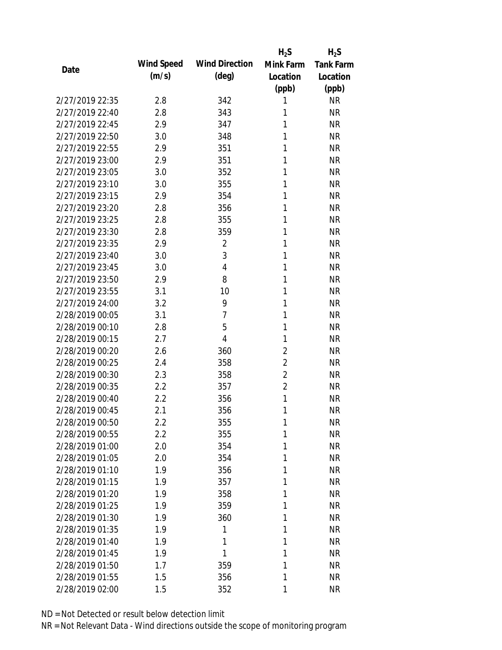|                 |            |                       | $H_2S$         | $H_2S$           |
|-----------------|------------|-----------------------|----------------|------------------|
| Date            | Wind Speed | <b>Wind Direction</b> | Mink Farm      | <b>Tank Farm</b> |
|                 | (m/s)      | $(\text{deg})$        | Location       | Location         |
|                 |            |                       | (ppb)          | (ppb)            |
| 2/27/2019 22:35 | 2.8        | 342                   | 1              | <b>NR</b>        |
| 2/27/2019 22:40 | 2.8        | 343                   | 1              | <b>NR</b>        |
| 2/27/2019 22:45 | 2.9        | 347                   | 1              | <b>NR</b>        |
| 2/27/2019 22:50 | 3.0        | 348                   | 1              | <b>NR</b>        |
| 2/27/2019 22:55 | 2.9        | 351                   | 1              | <b>NR</b>        |
| 2/27/2019 23:00 | 2.9        | 351                   | 1              | <b>NR</b>        |
| 2/27/2019 23:05 | 3.0        | 352                   | 1              | <b>NR</b>        |
| 2/27/2019 23:10 | 3.0        | 355                   | 1              | <b>NR</b>        |
| 2/27/2019 23:15 | 2.9        | 354                   | 1              | <b>NR</b>        |
| 2/27/2019 23:20 | 2.8        | 356                   | 1              | <b>NR</b>        |
| 2/27/2019 23:25 | 2.8        | 355                   | 1              | <b>NR</b>        |
| 2/27/2019 23:30 | 2.8        | 359                   | 1              | <b>NR</b>        |
| 2/27/2019 23:35 | 2.9        | $\overline{2}$        | 1              | <b>NR</b>        |
| 2/27/2019 23:40 | 3.0        | 3                     | 1              | <b>NR</b>        |
| 2/27/2019 23:45 | 3.0        | $\overline{4}$        | 1              | <b>NR</b>        |
| 2/27/2019 23:50 | 2.9        | 8                     | 1              | <b>NR</b>        |
| 2/27/2019 23:55 | 3.1        | 10                    | 1              | <b>NR</b>        |
| 2/27/2019 24:00 | 3.2        | 9                     | 1              | <b>NR</b>        |
| 2/28/2019 00:05 | 3.1        | $\overline{7}$        | 1              | <b>NR</b>        |
| 2/28/2019 00:10 | 2.8        | 5                     | 1              | <b>NR</b>        |
| 2/28/2019 00:15 | 2.7        | $\overline{4}$        | 1              | <b>NR</b>        |
| 2/28/2019 00:20 | 2.6        | 360                   | $\overline{2}$ | <b>NR</b>        |
| 2/28/2019 00:25 | 2.4        | 358                   | $\overline{2}$ | <b>NR</b>        |
| 2/28/2019 00:30 | 2.3        | 358                   | $\overline{2}$ | <b>NR</b>        |
| 2/28/2019 00:35 | 2.2        | 357                   | $\overline{2}$ | <b>NR</b>        |
| 2/28/2019 00:40 | 2.2        | 356                   | 1              | <b>NR</b>        |
| 2/28/2019 00:45 | 2.1        | 356                   | 1              | <b>NR</b>        |
| 2/28/2019 00:50 | 2.2        | 355                   | 1              | <b>NR</b>        |
| 2/28/2019 00:55 | 2.2        | 355                   | 1              | <b>NR</b>        |
| 2/28/2019 01:00 | 2.0        | 354                   | 1              | <b>NR</b>        |
| 2/28/2019 01:05 | 2.0        | 354                   | 1              | <b>NR</b>        |
| 2/28/2019 01:10 | 1.9        | 356                   | 1              | <b>NR</b>        |
| 2/28/2019 01:15 | 1.9        | 357                   | 1              | <b>NR</b>        |
| 2/28/2019 01:20 | 1.9        | 358                   | 1              | <b>NR</b>        |
| 2/28/2019 01:25 | 1.9        | 359                   | 1              | <b>NR</b>        |
| 2/28/2019 01:30 | 1.9        | 360                   | 1              | <b>NR</b>        |
| 2/28/2019 01:35 | 1.9        | 1                     | 1              | <b>NR</b>        |
| 2/28/2019 01:40 | 1.9        | 1                     | 1              | <b>NR</b>        |
| 2/28/2019 01:45 | 1.9        | 1                     | 1              | <b>NR</b>        |
| 2/28/2019 01:50 | 1.7        | 359                   | 1              | <b>NR</b>        |
| 2/28/2019 01:55 | 1.5        | 356                   | 1              | <b>NR</b>        |
| 2/28/2019 02:00 | 1.5        | 352                   | 1              | <b>NR</b>        |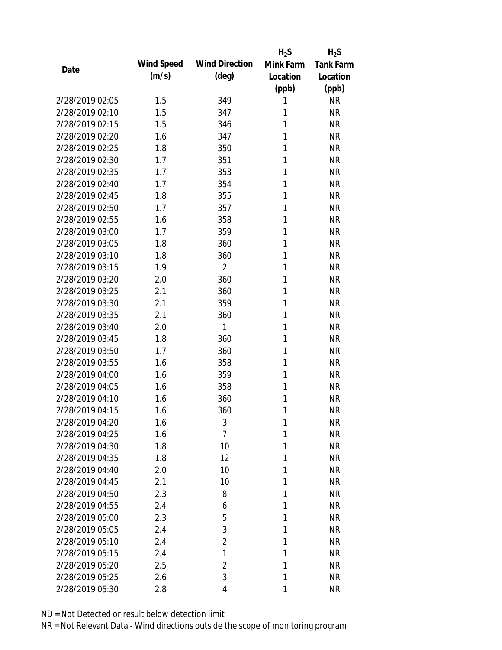|                 |            |                       | $H_2S$    | $H_2S$           |
|-----------------|------------|-----------------------|-----------|------------------|
| Date            | Wind Speed | <b>Wind Direction</b> | Mink Farm | <b>Tank Farm</b> |
|                 | (m/s)      | $(\text{deg})$        | Location  | Location         |
|                 |            |                       | (ppb)     | (ppb)            |
| 2/28/2019 02:05 | 1.5        | 349                   | 1         | <b>NR</b>        |
| 2/28/2019 02:10 | 1.5        | 347                   | 1         | <b>NR</b>        |
| 2/28/2019 02:15 | 1.5        | 346                   | 1         | <b>NR</b>        |
| 2/28/2019 02:20 | 1.6        | 347                   | 1         | <b>NR</b>        |
| 2/28/2019 02:25 | 1.8        | 350                   | 1         | <b>NR</b>        |
| 2/28/2019 02:30 | 1.7        | 351                   | 1         | <b>NR</b>        |
| 2/28/2019 02:35 | 1.7        | 353                   | 1         | <b>NR</b>        |
| 2/28/2019 02:40 | 1.7        | 354                   | 1         | <b>NR</b>        |
| 2/28/2019 02:45 | 1.8        | 355                   | 1         | <b>NR</b>        |
| 2/28/2019 02:50 | 1.7        | 357                   | 1         | <b>NR</b>        |
| 2/28/2019 02:55 | 1.6        | 358                   | 1         | <b>NR</b>        |
| 2/28/2019 03:00 | 1.7        | 359                   | 1         | <b>NR</b>        |
| 2/28/2019 03:05 | 1.8        | 360                   | 1         | <b>NR</b>        |
| 2/28/2019 03:10 | 1.8        | 360                   | 1         | <b>NR</b>        |
| 2/28/2019 03:15 | 1.9        | $\overline{2}$        | 1         | <b>NR</b>        |
| 2/28/2019 03:20 | 2.0        | 360                   | 1         | <b>NR</b>        |
| 2/28/2019 03:25 | 2.1        | 360                   | 1         | <b>NR</b>        |
| 2/28/2019 03:30 | 2.1        | 359                   | 1         | <b>NR</b>        |
| 2/28/2019 03:35 | 2.1        | 360                   | 1         | <b>NR</b>        |
| 2/28/2019 03:40 | 2.0        | 1                     | 1         | <b>NR</b>        |
| 2/28/2019 03:45 | 1.8        | 360                   | 1         | <b>NR</b>        |
| 2/28/2019 03:50 | 1.7        | 360                   | 1         | <b>NR</b>        |
| 2/28/2019 03:55 | 1.6        | 358                   | 1         | <b>NR</b>        |
| 2/28/2019 04:00 | 1.6        | 359                   | 1         | <b>NR</b>        |
| 2/28/2019 04:05 | 1.6        | 358                   | 1         | <b>NR</b>        |
| 2/28/2019 04:10 | 1.6        | 360                   | 1         | <b>NR</b>        |
| 2/28/2019 04:15 | 1.6        | 360                   | 1         | <b>NR</b>        |
| 2/28/2019 04:20 | 1.6        | 3                     | 1         | <b>NR</b>        |
| 2/28/2019 04:25 | 1.6        | $\overline{7}$        | 1         | <b>NR</b>        |
| 2/28/2019 04:30 | 1.8        | 10                    | 1         | <b>NR</b>        |
| 2/28/2019 04:35 | 1.8        | 12                    | 1         | <b>NR</b>        |
| 2/28/2019 04:40 | 2.0        | 10                    | 1         | <b>NR</b>        |
| 2/28/2019 04:45 | 2.1        | 10                    | 1         | <b>NR</b>        |
| 2/28/2019 04:50 | 2.3        | 8                     | 1         | <b>NR</b>        |
| 2/28/2019 04:55 | 2.4        | 6                     | 1         | <b>NR</b>        |
| 2/28/2019 05:00 | 2.3        | 5                     | 1         | <b>NR</b>        |
| 2/28/2019 05:05 | 2.4        | 3                     | 1         | <b>NR</b>        |
| 2/28/2019 05:10 | 2.4        | $\overline{2}$        | 1         | <b>NR</b>        |
| 2/28/2019 05:15 | 2.4        | 1                     | 1         | <b>NR</b>        |
| 2/28/2019 05:20 | 2.5        | $\overline{2}$        | 1         | <b>NR</b>        |
| 2/28/2019 05:25 | 2.6        | 3                     | 1         | <b>NR</b>        |
| 2/28/2019 05:30 | 2.8        | 4                     | 1         | <b>NR</b>        |
|                 |            |                       |           |                  |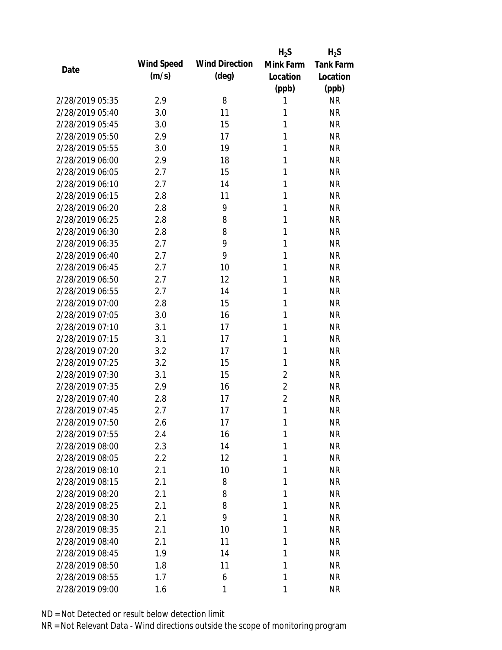|                 |            |                       | $H_2S$         | $H_2S$           |
|-----------------|------------|-----------------------|----------------|------------------|
| Date            | Wind Speed | <b>Wind Direction</b> | Mink Farm      | <b>Tank Farm</b> |
|                 | (m/s)      | $(\text{deg})$        | Location       | Location         |
|                 |            |                       | (ppb)          | (ppb)            |
| 2/28/2019 05:35 | 2.9        | 8                     | 1              | <b>NR</b>        |
| 2/28/2019 05:40 | 3.0        | 11                    | 1              | <b>NR</b>        |
| 2/28/2019 05:45 | 3.0        | 15                    | 1              | <b>NR</b>        |
| 2/28/2019 05:50 | 2.9        | 17                    | 1              | <b>NR</b>        |
| 2/28/2019 05:55 | 3.0        | 19                    | 1              | <b>NR</b>        |
| 2/28/2019 06:00 | 2.9        | 18                    | 1              | <b>NR</b>        |
| 2/28/2019 06:05 | 2.7        | 15                    | 1              | <b>NR</b>        |
| 2/28/2019 06:10 | 2.7        | 14                    | 1              | <b>NR</b>        |
| 2/28/2019 06:15 | 2.8        | 11                    | 1              | <b>NR</b>        |
| 2/28/2019 06:20 | 2.8        | 9                     | 1              | <b>NR</b>        |
| 2/28/2019 06:25 | 2.8        | 8                     | 1              | <b>NR</b>        |
| 2/28/2019 06:30 | 2.8        | 8                     | 1              | <b>NR</b>        |
| 2/28/2019 06:35 | 2.7        | 9                     | 1              | <b>NR</b>        |
| 2/28/2019 06:40 | 2.7        | 9                     | 1              | <b>NR</b>        |
| 2/28/2019 06:45 | 2.7        | 10                    | 1              | <b>NR</b>        |
| 2/28/2019 06:50 | 2.7        | 12                    | 1              | <b>NR</b>        |
| 2/28/2019 06:55 | 2.7        | 14                    | 1              | <b>NR</b>        |
| 2/28/2019 07:00 | 2.8        | 15                    | 1              | <b>NR</b>        |
| 2/28/2019 07:05 | 3.0        | 16                    | 1              | <b>NR</b>        |
| 2/28/2019 07:10 | 3.1        | 17                    | 1              | <b>NR</b>        |
| 2/28/2019 07:15 | 3.1        | 17                    | 1              | <b>NR</b>        |
| 2/28/2019 07:20 | 3.2        | 17                    | 1              | <b>NR</b>        |
| 2/28/2019 07:25 | 3.2        | 15                    | 1              | <b>NR</b>        |
| 2/28/2019 07:30 | 3.1        | 15                    | $\overline{2}$ | <b>NR</b>        |
| 2/28/2019 07:35 | 2.9        | 16                    | $\overline{2}$ | <b>NR</b>        |
| 2/28/2019 07:40 | 2.8        | 17                    | $\overline{2}$ | <b>NR</b>        |
| 2/28/2019 07:45 | 2.7        | 17                    | 1              | <b>NR</b>        |
| 2/28/2019 07:50 | 2.6        | 17                    | 1              | <b>NR</b>        |
| 2/28/2019 07:55 | 2.4        | 16                    | 1              | <b>NR</b>        |
| 2/28/2019 08:00 | 2.3        | 14                    | 1              | <b>NR</b>        |
| 2/28/2019 08:05 | 2.2        | 12                    | 1              | <b>NR</b>        |
| 2/28/2019 08:10 | 2.1        | 10                    | 1              | <b>NR</b>        |
| 2/28/2019 08:15 | 2.1        | 8                     | 1              | <b>NR</b>        |
| 2/28/2019 08:20 | 2.1        | 8                     | 1              | <b>NR</b>        |
| 2/28/2019 08:25 | 2.1        | 8                     | 1              | <b>NR</b>        |
| 2/28/2019 08:30 | 2.1        | 9                     | 1              | <b>NR</b>        |
| 2/28/2019 08:35 | 2.1        | 10                    | 1              | <b>NR</b>        |
| 2/28/2019 08:40 | 2.1        | 11                    | 1              | <b>NR</b>        |
| 2/28/2019 08:45 | 1.9        | 14                    | 1              | <b>NR</b>        |
| 2/28/2019 08:50 | 1.8        | 11                    | 1              | <b>NR</b>        |
| 2/28/2019 08:55 | 1.7        | 6                     | 1              | <b>NR</b>        |
| 2/28/2019 09:00 | 1.6        | 1                     | 1              | <b>NR</b>        |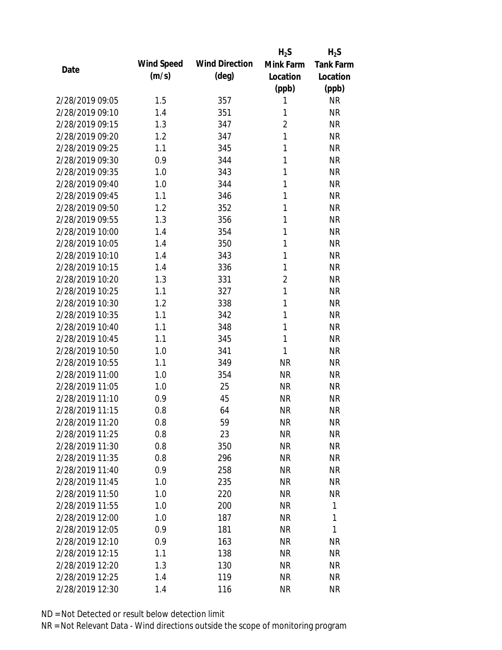|                 |            |                       | $H_2S$         | $H_2S$           |
|-----------------|------------|-----------------------|----------------|------------------|
| Date            | Wind Speed | <b>Wind Direction</b> | Mink Farm      | <b>Tank Farm</b> |
|                 | (m/s)      | $(\text{deg})$        | Location       | Location         |
|                 |            |                       | (ppb)          | (ppb)            |
| 2/28/2019 09:05 | 1.5        | 357                   | 1              | <b>NR</b>        |
| 2/28/2019 09:10 | 1.4        | 351                   | 1              | <b>NR</b>        |
| 2/28/2019 09:15 | 1.3        | 347                   | $\overline{2}$ | <b>NR</b>        |
| 2/28/2019 09:20 | 1.2        | 347                   | 1              | <b>NR</b>        |
| 2/28/2019 09:25 | 1.1        | 345                   | 1              | <b>NR</b>        |
| 2/28/2019 09:30 | 0.9        | 344                   | 1              | <b>NR</b>        |
| 2/28/2019 09:35 | 1.0        | 343                   | 1              | <b>NR</b>        |
| 2/28/2019 09:40 | 1.0        | 344                   | 1              | <b>NR</b>        |
| 2/28/2019 09:45 | 1.1        | 346                   | 1              | <b>NR</b>        |
| 2/28/2019 09:50 | 1.2        | 352                   | 1              | <b>NR</b>        |
| 2/28/2019 09:55 | 1.3        | 356                   | 1              | <b>NR</b>        |
| 2/28/2019 10:00 | 1.4        | 354                   | 1              | <b>NR</b>        |
| 2/28/2019 10:05 | 1.4        | 350                   | 1              | <b>NR</b>        |
| 2/28/2019 10:10 | 1.4        | 343                   | 1              | <b>NR</b>        |
| 2/28/2019 10:15 | 1.4        | 336                   | 1              | <b>NR</b>        |
| 2/28/2019 10:20 | 1.3        | 331                   | $\overline{2}$ | <b>NR</b>        |
| 2/28/2019 10:25 | 1.1        | 327                   | 1              | <b>NR</b>        |
| 2/28/2019 10:30 | 1.2        | 338                   | 1              | <b>NR</b>        |
| 2/28/2019 10:35 | 1.1        | 342                   | $\mathbf{1}$   | <b>NR</b>        |
| 2/28/2019 10:40 | 1.1        | 348                   | 1              | <b>NR</b>        |
| 2/28/2019 10:45 | 1.1        | 345                   | 1              | <b>NR</b>        |
| 2/28/2019 10:50 | 1.0        | 341                   | 1              | <b>NR</b>        |
| 2/28/2019 10:55 | 1.1        | 349                   | <b>NR</b>      | <b>NR</b>        |
| 2/28/2019 11:00 | 1.0        | 354                   | <b>NR</b>      | <b>NR</b>        |
| 2/28/2019 11:05 | 1.0        | 25                    | <b>NR</b>      | <b>NR</b>        |
| 2/28/2019 11:10 | 0.9        | 45                    | <b>NR</b>      | <b>NR</b>        |
| 2/28/2019 11:15 | 0.8        | 64                    | <b>NR</b>      | <b>NR</b>        |
| 2/28/2019 11:20 | 0.8        | 59                    | <b>NR</b>      | <b>NR</b>        |
| 2/28/2019 11:25 | 0.8        | 23                    | <b>NR</b>      | <b>NR</b>        |
| 2/28/2019 11:30 | 0.8        | 350                   | <b>NR</b>      | <b>NR</b>        |
| 2/28/2019 11:35 | 0.8        | 296                   | <b>NR</b>      | <b>NR</b>        |
| 2/28/2019 11:40 | 0.9        | 258                   | <b>NR</b>      | NR               |
| 2/28/2019 11:45 | 1.0        | 235                   | <b>NR</b>      | <b>NR</b>        |
| 2/28/2019 11:50 | 1.0        | 220                   | <b>NR</b>      | <b>NR</b>        |
| 2/28/2019 11:55 | 1.0        | 200                   | <b>NR</b>      | 1                |
| 2/28/2019 12:00 | 1.0        | 187                   | <b>NR</b>      | 1                |
| 2/28/2019 12:05 | 0.9        | 181                   | <b>NR</b>      | 1                |
| 2/28/2019 12:10 | 0.9        | 163                   | NR             | <b>NR</b>        |
| 2/28/2019 12:15 | 1.1        | 138                   | <b>NR</b>      | NR               |
| 2/28/2019 12:20 | 1.3        | 130                   | <b>NR</b>      | NR               |
| 2/28/2019 12:25 | 1.4        | 119                   | <b>NR</b>      | <b>NR</b>        |
| 2/28/2019 12:30 | 1.4        | 116                   | <b>NR</b>      | <b>NR</b>        |
|                 |            |                       |                |                  |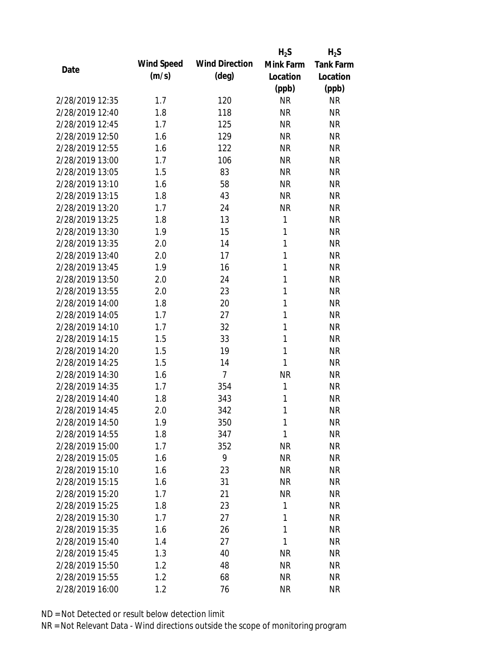|                 |            |                       | $H_2S$    | $H_2S$           |
|-----------------|------------|-----------------------|-----------|------------------|
| Date            | Wind Speed | <b>Wind Direction</b> | Mink Farm | <b>Tank Farm</b> |
|                 | (m/s)      | $(\text{deg})$        | Location  | Location         |
|                 |            |                       | (ppb)     | (ppb)            |
| 2/28/2019 12:35 | 1.7        | 120                   | <b>NR</b> | <b>NR</b>        |
| 2/28/2019 12:40 | 1.8        | 118                   | <b>NR</b> | <b>NR</b>        |
| 2/28/2019 12:45 | 1.7        | 125                   | <b>NR</b> | <b>NR</b>        |
| 2/28/2019 12:50 | 1.6        | 129                   | <b>NR</b> | <b>NR</b>        |
| 2/28/2019 12:55 | 1.6        | 122                   | <b>NR</b> | <b>NR</b>        |
| 2/28/2019 13:00 | 1.7        | 106                   | <b>NR</b> | <b>NR</b>        |
| 2/28/2019 13:05 | 1.5        | 83                    | <b>NR</b> | <b>NR</b>        |
| 2/28/2019 13:10 | 1.6        | 58                    | <b>NR</b> | <b>NR</b>        |
| 2/28/2019 13:15 | 1.8        | 43                    | <b>NR</b> | <b>NR</b>        |
| 2/28/2019 13:20 | 1.7        | 24                    | <b>NR</b> | <b>NR</b>        |
| 2/28/2019 13:25 | 1.8        | 13                    | 1         | <b>NR</b>        |
| 2/28/2019 13:30 | 1.9        | 15                    | 1         | <b>NR</b>        |
| 2/28/2019 13:35 | 2.0        | 14                    | 1         | <b>NR</b>        |
| 2/28/2019 13:40 | 2.0        | 17                    | 1         | <b>NR</b>        |
| 2/28/2019 13:45 | 1.9        | 16                    | 1         | <b>NR</b>        |
| 2/28/2019 13:50 | 2.0        | 24                    | 1         | <b>NR</b>        |
| 2/28/2019 13:55 | 2.0        | 23                    | 1         | <b>NR</b>        |
| 2/28/2019 14:00 | 1.8        | 20                    | 1         | <b>NR</b>        |
| 2/28/2019 14:05 | 1.7        | 27                    | 1         | <b>NR</b>        |
| 2/28/2019 14:10 | 1.7        | 32                    | 1         | <b>NR</b>        |
| 2/28/2019 14:15 | 1.5        | 33                    | 1         | <b>NR</b>        |
| 2/28/2019 14:20 | 1.5        | 19                    | 1         | <b>NR</b>        |
| 2/28/2019 14:25 | 1.5        | 14                    | 1         | <b>NR</b>        |
| 2/28/2019 14:30 | 1.6        | $\overline{7}$        | <b>NR</b> | <b>NR</b>        |
| 2/28/2019 14:35 | 1.7        | 354                   | 1         | <b>NR</b>        |
| 2/28/2019 14:40 | 1.8        | 343                   | 1         | <b>NR</b>        |
| 2/28/2019 14:45 | 2.0        | 342                   | 1         | <b>NR</b>        |
| 2/28/2019 14:50 | 1.9        | 350                   | 1         | <b>NR</b>        |
| 2/28/2019 14:55 | 1.8        | 347                   | 1         | <b>NR</b>        |
| 2/28/2019 15:00 | 1.7        | 352                   | <b>NR</b> | <b>NR</b>        |
| 2/28/2019 15:05 | 1.6        | 9                     | <b>NR</b> | <b>NR</b>        |
| 2/28/2019 15:10 | 1.6        | 23                    | <b>NR</b> | <b>NR</b>        |
| 2/28/2019 15:15 | 1.6        | 31                    | <b>NR</b> | <b>NR</b>        |
| 2/28/2019 15:20 | 1.7        | 21                    | <b>NR</b> | <b>NR</b>        |
| 2/28/2019 15:25 | 1.8        | 23                    | 1         | <b>NR</b>        |
| 2/28/2019 15:30 | 1.7        | 27                    | 1         | <b>NR</b>        |
| 2/28/2019 15:35 | 1.6        | 26                    | 1         | <b>NR</b>        |
| 2/28/2019 15:40 | 1.4        | 27                    | 1         | <b>NR</b>        |
| 2/28/2019 15:45 | 1.3        | 40                    | <b>NR</b> | <b>NR</b>        |
| 2/28/2019 15:50 | 1.2        | 48                    | <b>NR</b> | <b>NR</b>        |
| 2/28/2019 15:55 | 1.2        | 68                    | <b>NR</b> | <b>NR</b>        |
| 2/28/2019 16:00 | 1.2        | 76                    | <b>NR</b> | <b>NR</b>        |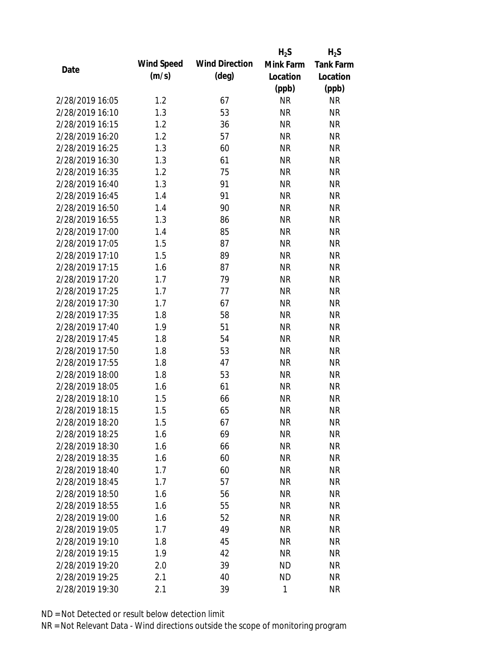|                 |            |                       | $H_2S$    | $H_2S$           |
|-----------------|------------|-----------------------|-----------|------------------|
| Date            | Wind Speed | <b>Wind Direction</b> | Mink Farm | <b>Tank Farm</b> |
|                 | (m/s)      | $(\text{deg})$        | Location  | Location         |
|                 |            |                       | (ppb)     | (ppb)            |
| 2/28/2019 16:05 | 1.2        | 67                    | <b>NR</b> | <b>NR</b>        |
| 2/28/2019 16:10 | 1.3        | 53                    | <b>NR</b> | <b>NR</b>        |
| 2/28/2019 16:15 | 1.2        | 36                    | <b>NR</b> | <b>NR</b>        |
| 2/28/2019 16:20 | 1.2        | 57                    | <b>NR</b> | <b>NR</b>        |
| 2/28/2019 16:25 | 1.3        | 60                    | <b>NR</b> | <b>NR</b>        |
| 2/28/2019 16:30 | 1.3        | 61                    | <b>NR</b> | <b>NR</b>        |
| 2/28/2019 16:35 | 1.2        | 75                    | <b>NR</b> | <b>NR</b>        |
| 2/28/2019 16:40 | 1.3        | 91                    | <b>NR</b> | <b>NR</b>        |
| 2/28/2019 16:45 | 1.4        | 91                    | <b>NR</b> | <b>NR</b>        |
| 2/28/2019 16:50 | 1.4        | 90                    | <b>NR</b> | <b>NR</b>        |
| 2/28/2019 16:55 | 1.3        | 86                    | <b>NR</b> | <b>NR</b>        |
| 2/28/2019 17:00 | 1.4        | 85                    | <b>NR</b> | <b>NR</b>        |
| 2/28/2019 17:05 | 1.5        | 87                    | <b>NR</b> | <b>NR</b>        |
| 2/28/2019 17:10 | 1.5        | 89                    | <b>NR</b> | <b>NR</b>        |
| 2/28/2019 17:15 | 1.6        | 87                    | <b>NR</b> | <b>NR</b>        |
| 2/28/2019 17:20 | 1.7        | 79                    | <b>NR</b> | <b>NR</b>        |
| 2/28/2019 17:25 | 1.7        | 77                    | <b>NR</b> | <b>NR</b>        |
| 2/28/2019 17:30 | 1.7        | 67                    | <b>NR</b> | <b>NR</b>        |
| 2/28/2019 17:35 | 1.8        | 58                    | <b>NR</b> | <b>NR</b>        |
| 2/28/2019 17:40 | 1.9        | 51                    | <b>NR</b> | <b>NR</b>        |
| 2/28/2019 17:45 | 1.8        | 54                    | <b>NR</b> | <b>NR</b>        |
| 2/28/2019 17:50 | 1.8        | 53                    | <b>NR</b> | <b>NR</b>        |
| 2/28/2019 17:55 | 1.8        | 47                    | <b>NR</b> | <b>NR</b>        |
| 2/28/2019 18:00 | 1.8        | 53                    | <b>NR</b> | <b>NR</b>        |
| 2/28/2019 18:05 | 1.6        | 61                    | <b>NR</b> | <b>NR</b>        |
| 2/28/2019 18:10 | 1.5        | 66                    | <b>NR</b> | <b>NR</b>        |
| 2/28/2019 18:15 | 1.5        | 65                    | <b>NR</b> | <b>NR</b>        |
| 2/28/2019 18:20 | 1.5        | 67                    | <b>NR</b> | <b>NR</b>        |
| 2/28/2019 18:25 | 1.6        | 69                    | <b>NR</b> | <b>NR</b>        |
| 2/28/2019 18:30 | 1.6        | 66                    | <b>NR</b> | <b>NR</b>        |
| 2/28/2019 18:35 | 1.6        | 60                    | <b>NR</b> | <b>NR</b>        |
| 2/28/2019 18:40 | 1.7        | 60                    | <b>NR</b> | NR               |
| 2/28/2019 18:45 | 1.7        | 57                    | <b>NR</b> | <b>NR</b>        |
| 2/28/2019 18:50 | 1.6        | 56                    | <b>NR</b> | <b>NR</b>        |
| 2/28/2019 18:55 | 1.6        | 55                    | <b>NR</b> | <b>NR</b>        |
| 2/28/2019 19:00 | 1.6        | 52                    | <b>NR</b> | <b>NR</b>        |
| 2/28/2019 19:05 | 1.7        | 49                    | <b>NR</b> | <b>NR</b>        |
| 2/28/2019 19:10 | 1.8        | 45                    | <b>NR</b> | <b>NR</b>        |
| 2/28/2019 19:15 | 1.9        | 42                    | <b>NR</b> | <b>NR</b>        |
| 2/28/2019 19:20 | 2.0        | 39                    | ND        | NR               |
| 2/28/2019 19:25 | 2.1        | 40                    | <b>ND</b> | <b>NR</b>        |
| 2/28/2019 19:30 | 2.1        | 39                    | 1         | <b>NR</b>        |
|                 |            |                       |           |                  |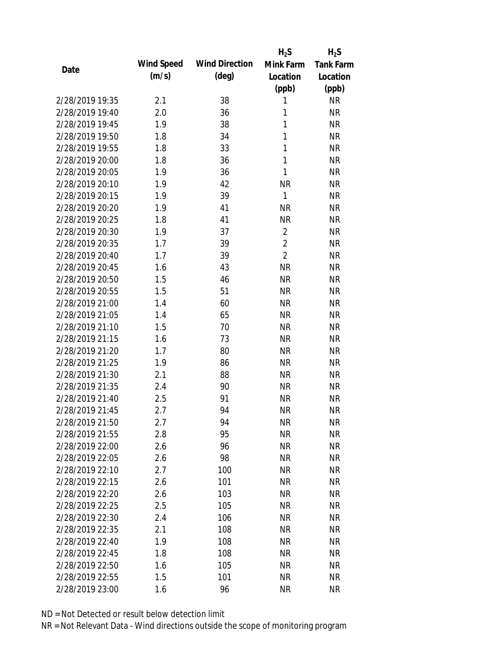|                 |            |                       | $H_2S$         | $H_2S$           |
|-----------------|------------|-----------------------|----------------|------------------|
| Date            | Wind Speed | <b>Wind Direction</b> | Mink Farm      | <b>Tank Farm</b> |
|                 | (m/s)      | $(\text{deg})$        | Location       | Location         |
|                 |            |                       | (ppb)          | (ppb)            |
| 2/28/2019 19:35 | 2.1        | 38                    | 1              | <b>NR</b>        |
| 2/28/2019 19:40 | 2.0        | 36                    | 1              | <b>NR</b>        |
| 2/28/2019 19:45 | 1.9        | 38                    | 1              | <b>NR</b>        |
| 2/28/2019 19:50 | 1.8        | 34                    | 1              | <b>NR</b>        |
| 2/28/2019 19:55 | 1.8        | 33                    | 1              | <b>NR</b>        |
| 2/28/2019 20:00 | 1.8        | 36                    | 1              | <b>NR</b>        |
| 2/28/2019 20:05 | 1.9        | 36                    | 1              | <b>NR</b>        |
| 2/28/2019 20:10 | 1.9        | 42                    | <b>NR</b>      | <b>NR</b>        |
| 2/28/2019 20:15 | 1.9        | 39                    | 1              | <b>NR</b>        |
| 2/28/2019 20:20 | 1.9        | 41                    | <b>NR</b>      | <b>NR</b>        |
| 2/28/2019 20:25 | 1.8        | 41                    | <b>NR</b>      | <b>NR</b>        |
| 2/28/2019 20:30 | 1.9        | 37                    | $\overline{2}$ | <b>NR</b>        |
| 2/28/2019 20:35 | 1.7        | 39                    | $\overline{2}$ | <b>NR</b>        |
| 2/28/2019 20:40 | 1.7        | 39                    | $\overline{2}$ | <b>NR</b>        |
| 2/28/2019 20:45 | 1.6        | 43                    | <b>NR</b>      | <b>NR</b>        |
| 2/28/2019 20:50 | 1.5        | 46                    | <b>NR</b>      | <b>NR</b>        |
| 2/28/2019 20:55 | 1.5        | 51                    | <b>NR</b>      | <b>NR</b>        |
| 2/28/2019 21:00 | 1.4        | 60                    | <b>NR</b>      | <b>NR</b>        |
| 2/28/2019 21:05 | 1.4        | 65                    | <b>NR</b>      | <b>NR</b>        |
| 2/28/2019 21:10 | 1.5        | 70                    | <b>NR</b>      | <b>NR</b>        |
| 2/28/2019 21:15 | 1.6        | 73                    | <b>NR</b>      | <b>NR</b>        |
| 2/28/2019 21:20 | 1.7        | 80                    | <b>NR</b>      | <b>NR</b>        |
| 2/28/2019 21:25 | 1.9        | 86                    | <b>NR</b>      | <b>NR</b>        |
| 2/28/2019 21:30 | 2.1        | 88                    | <b>NR</b>      | <b>NR</b>        |
| 2/28/2019 21:35 | 2.4        | 90                    | <b>NR</b>      | <b>NR</b>        |
| 2/28/2019 21:40 | 2.5        | 91                    | <b>NR</b>      | <b>NR</b>        |
| 2/28/2019 21:45 | 2.7        | 94                    | <b>NR</b>      | <b>NR</b>        |
| 2/28/2019 21:50 | 2.7        | 94                    | <b>NR</b>      | <b>NR</b>        |
| 2/28/2019 21:55 | 2.8        | 95                    | <b>NR</b>      | <b>NR</b>        |
| 2/28/2019 22:00 | 2.6        | 96                    | <b>NR</b>      | <b>NR</b>        |
| 2/28/2019 22:05 | 2.6        | 98                    | <b>NR</b>      | <b>NR</b>        |
| 2/28/2019 22:10 | 2.7        | 100                   | <b>NR</b>      | NR               |
| 2/28/2019 22:15 | 2.6        | 101                   | <b>NR</b>      | <b>NR</b>        |
| 2/28/2019 22:20 | 2.6        | 103                   | <b>NR</b>      | <b>NR</b>        |
| 2/28/2019 22:25 | 2.5        | 105                   | <b>NR</b>      | NR               |
| 2/28/2019 22:30 | 2.4        | 106                   | <b>NR</b>      | <b>NR</b>        |
| 2/28/2019 22:35 | 2.1        | 108                   | <b>NR</b>      | <b>NR</b>        |
| 2/28/2019 22:40 | 1.9        | 108                   | NR             | <b>NR</b>        |
| 2/28/2019 22:45 | 1.8        | 108                   | <b>NR</b>      | <b>NR</b>        |
| 2/28/2019 22:50 | 1.6        | 105                   | <b>NR</b>      | NR               |
| 2/28/2019 22:55 | 1.5        | 101                   | <b>NR</b>      | <b>NR</b>        |
| 2/28/2019 23:00 | 1.6        | 96                    | <b>NR</b>      | <b>NR</b>        |
|                 |            |                       |                |                  |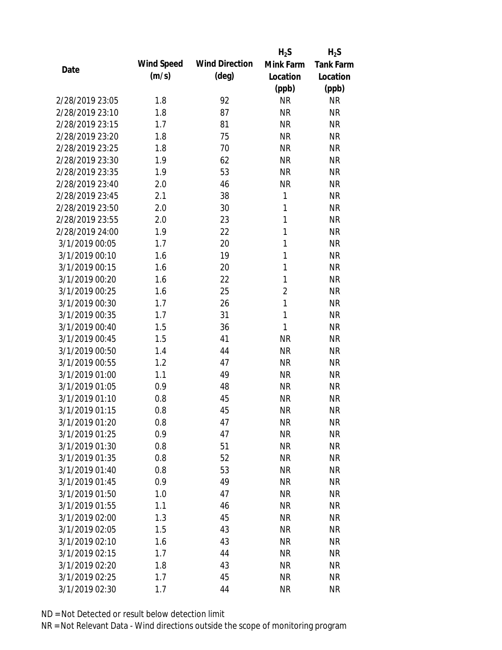|                 |            |                       | $H_2S$         | $H_2S$           |
|-----------------|------------|-----------------------|----------------|------------------|
| Date            | Wind Speed | <b>Wind Direction</b> | Mink Farm      | <b>Tank Farm</b> |
|                 | (m/s)      | $(\text{deg})$        | Location       | Location         |
|                 |            |                       | (ppb)          | (ppb)            |
| 2/28/2019 23:05 | 1.8        | 92                    | <b>NR</b>      | <b>NR</b>        |
| 2/28/2019 23:10 | 1.8        | 87                    | <b>NR</b>      | <b>NR</b>        |
| 2/28/2019 23:15 | 1.7        | 81                    | <b>NR</b>      | <b>NR</b>        |
| 2/28/2019 23:20 | 1.8        | 75                    | <b>NR</b>      | <b>NR</b>        |
| 2/28/2019 23:25 | 1.8        | 70                    | <b>NR</b>      | <b>NR</b>        |
| 2/28/2019 23:30 | 1.9        | 62                    | <b>NR</b>      | <b>NR</b>        |
| 2/28/2019 23:35 | 1.9        | 53                    | <b>NR</b>      | <b>NR</b>        |
| 2/28/2019 23:40 | 2.0        | 46                    | <b>NR</b>      | <b>NR</b>        |
| 2/28/2019 23:45 | 2.1        | 38                    | 1              | <b>NR</b>        |
| 2/28/2019 23:50 | 2.0        | 30                    | 1              | <b>NR</b>        |
| 2/28/2019 23:55 | 2.0        | 23                    | 1              | <b>NR</b>        |
| 2/28/2019 24:00 | 1.9        | 22                    | $\mathbf{1}$   | <b>NR</b>        |
| 3/1/2019 00:05  | 1.7        | 20                    | 1              | <b>NR</b>        |
| 3/1/2019 00:10  | 1.6        | 19                    | 1              | <b>NR</b>        |
| 3/1/2019 00:15  | 1.6        | 20                    | 1              | <b>NR</b>        |
| 3/1/2019 00:20  | 1.6        | 22                    | 1              | <b>NR</b>        |
| 3/1/2019 00:25  | 1.6        | 25                    | $\overline{2}$ | <b>NR</b>        |
| 3/1/2019 00:30  | 1.7        | 26                    | $\mathbf{1}$   | <b>NR</b>        |
| 3/1/2019 00:35  | 1.7        | 31                    | $\mathbf{1}$   | <b>NR</b>        |
| 3/1/2019 00:40  | 1.5        | 36                    | 1              | <b>NR</b>        |
| 3/1/2019 00:45  | 1.5        | 41                    | <b>NR</b>      | <b>NR</b>        |
| 3/1/2019 00:50  | 1.4        | 44                    | <b>NR</b>      | <b>NR</b>        |
| 3/1/2019 00:55  | 1.2        | 47                    | <b>NR</b>      | <b>NR</b>        |
| 3/1/2019 01:00  | 1.1        | 49                    | <b>NR</b>      | <b>NR</b>        |
| 3/1/2019 01:05  | 0.9        | 48                    | <b>NR</b>      | <b>NR</b>        |
| 3/1/2019 01:10  | 0.8        | 45                    | <b>NR</b>      | <b>NR</b>        |
| 3/1/2019 01:15  | 0.8        | 45                    | <b>NR</b>      | <b>NR</b>        |
| 3/1/2019 01:20  | 0.8        | 47                    | <b>NR</b>      | <b>NR</b>        |
| 3/1/2019 01:25  | 0.9        | 47                    | <b>NR</b>      | <b>NR</b>        |
| 3/1/2019 01:30  | 0.8        | 51                    | <b>NR</b>      | <b>NR</b>        |
| 3/1/2019 01:35  | 0.8        | 52                    | <b>NR</b>      | <b>NR</b>        |
| 3/1/2019 01:40  | 0.8        | 53                    | <b>NR</b>      | <b>NR</b>        |
| 3/1/2019 01:45  | 0.9        | 49                    | <b>NR</b>      | <b>NR</b>        |
| 3/1/2019 01:50  | 1.0        | 47                    | <b>NR</b>      | <b>NR</b>        |
| 3/1/2019 01:55  | 1.1        | 46                    | <b>NR</b>      | <b>NR</b>        |
| 3/1/2019 02:00  | 1.3        | 45                    | <b>NR</b>      | <b>NR</b>        |
| 3/1/2019 02:05  | 1.5        | 43                    | <b>NR</b>      | <b>NR</b>        |
| 3/1/2019 02:10  | 1.6        | 43                    | <b>NR</b>      | <b>NR</b>        |
| 3/1/2019 02:15  | 1.7        | 44                    | <b>NR</b>      | <b>NR</b>        |
| 3/1/2019 02:20  | 1.8        | 43                    | <b>NR</b>      | <b>NR</b>        |
| 3/1/2019 02:25  | 1.7        | 45                    | <b>NR</b>      | <b>NR</b>        |
| 3/1/2019 02:30  | 1.7        | 44                    | <b>NR</b>      | <b>NR</b>        |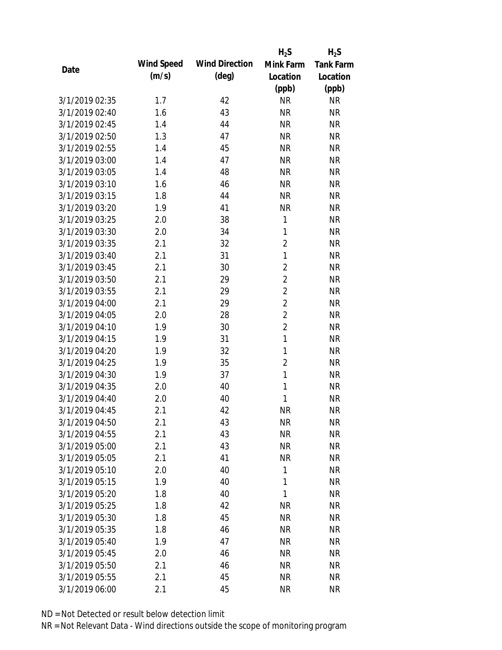|                |            |                       | $H_2S$         | $H_2S$           |
|----------------|------------|-----------------------|----------------|------------------|
| Date           | Wind Speed | <b>Wind Direction</b> | Mink Farm      | <b>Tank Farm</b> |
|                | (m/s)      | $(\text{deg})$        | Location       | Location         |
|                |            |                       | (ppb)          | (ppb)            |
| 3/1/2019 02:35 | 1.7        | 42                    | <b>NR</b>      | <b>NR</b>        |
| 3/1/2019 02:40 | 1.6        | 43                    | <b>NR</b>      | <b>NR</b>        |
| 3/1/2019 02:45 | 1.4        | 44                    | <b>NR</b>      | <b>NR</b>        |
| 3/1/2019 02:50 | 1.3        | 47                    | <b>NR</b>      | <b>NR</b>        |
| 3/1/2019 02:55 | 1.4        | 45                    | <b>NR</b>      | <b>NR</b>        |
| 3/1/2019 03:00 | 1.4        | 47                    | <b>NR</b>      | <b>NR</b>        |
| 3/1/2019 03:05 | 1.4        | 48                    | <b>NR</b>      | <b>NR</b>        |
| 3/1/2019 03:10 | 1.6        | 46                    | <b>NR</b>      | <b>NR</b>        |
| 3/1/2019 03:15 | 1.8        | 44                    | <b>NR</b>      | <b>NR</b>        |
| 3/1/2019 03:20 | 1.9        | 41                    | <b>NR</b>      | <b>NR</b>        |
| 3/1/2019 03:25 | 2.0        | 38                    | 1              | <b>NR</b>        |
| 3/1/2019 03:30 | 2.0        | 34                    | $\mathbf{1}$   | <b>NR</b>        |
| 3/1/2019 03:35 | 2.1        | 32                    | $\overline{2}$ | <b>NR</b>        |
| 3/1/2019 03:40 | 2.1        | 31                    | $\mathbf{1}$   | <b>NR</b>        |
| 3/1/2019 03:45 | 2.1        | 30                    | $\overline{2}$ | <b>NR</b>        |
| 3/1/2019 03:50 | 2.1        | 29                    | $\overline{2}$ | <b>NR</b>        |
| 3/1/2019 03:55 | 2.1        | 29                    | $\overline{2}$ | <b>NR</b>        |
| 3/1/2019 04:00 | 2.1        | 29                    | $\overline{2}$ | <b>NR</b>        |
| 3/1/2019 04:05 | 2.0        | 28                    | $\overline{2}$ | <b>NR</b>        |
| 3/1/2019 04:10 | 1.9        | 30                    | $\overline{2}$ | <b>NR</b>        |
| 3/1/2019 04:15 | 1.9        | 31                    | $\mathbf{1}$   | <b>NR</b>        |
| 3/1/2019 04:20 | 1.9        | 32                    | $\mathbf{1}$   | <b>NR</b>        |
| 3/1/2019 04:25 | 1.9        | 35                    | $\overline{2}$ | <b>NR</b>        |
| 3/1/2019 04:30 | 1.9        | 37                    | $\mathbf{1}$   | <b>NR</b>        |
| 3/1/2019 04:35 | 2.0        | 40                    | 1              | <b>NR</b>        |
| 3/1/2019 04:40 | 2.0        | 40                    | 1              | <b>NR</b>        |
| 3/1/2019 04:45 | 2.1        | 42                    | <b>NR</b>      | <b>NR</b>        |
| 3/1/2019 04:50 | 2.1        | 43                    | <b>NR</b>      | <b>NR</b>        |
| 3/1/2019 04:55 | 2.1        | 43                    | <b>NR</b>      | <b>NR</b>        |
| 3/1/2019 05:00 | 2.1        | 43                    | <b>NR</b>      | <b>NR</b>        |
| 3/1/2019 05:05 | 2.1        | 41                    | <b>NR</b>      | <b>NR</b>        |
| 3/1/2019 05:10 | 2.0        | 40                    | 1              | <b>NR</b>        |
| 3/1/2019 05:15 | 1.9        | 40                    | 1              | <b>NR</b>        |
| 3/1/2019 05:20 | 1.8        | 40                    | 1              | <b>NR</b>        |
| 3/1/2019 05:25 | 1.8        | 42                    | <b>NR</b>      | <b>NR</b>        |
| 3/1/2019 05:30 | 1.8        | 45                    | <b>NR</b>      | <b>NR</b>        |
| 3/1/2019 05:35 | 1.8        | 46                    | <b>NR</b>      | <b>NR</b>        |
| 3/1/2019 05:40 | 1.9        | 47                    | <b>NR</b>      | <b>NR</b>        |
| 3/1/2019 05:45 | 2.0        | 46                    | <b>NR</b>      | <b>NR</b>        |
| 3/1/2019 05:50 | 2.1        | 46                    | <b>NR</b>      | <b>NR</b>        |
| 3/1/2019 05:55 | 2.1        | 45                    | <b>NR</b>      | <b>NR</b>        |
| 3/1/2019 06:00 | 2.1        | 45                    | <b>NR</b>      | <b>NR</b>        |
|                |            |                       |                |                  |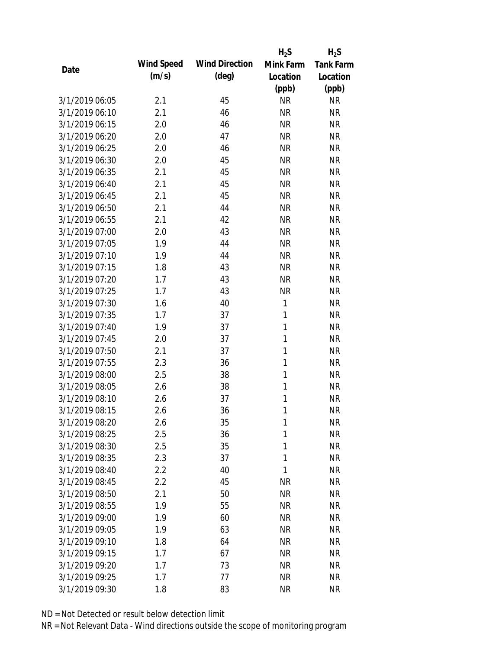|                |            |                       | $H_2S$       | $H_2S$           |
|----------------|------------|-----------------------|--------------|------------------|
| Date           | Wind Speed | <b>Wind Direction</b> | Mink Farm    | <b>Tank Farm</b> |
|                | (m/s)      | $(\text{deg})$        | Location     | Location         |
|                |            |                       | (ppb)        | (ppb)            |
| 3/1/2019 06:05 | 2.1        | 45                    | <b>NR</b>    | <b>NR</b>        |
| 3/1/2019 06:10 | 2.1        | 46                    | <b>NR</b>    | <b>NR</b>        |
| 3/1/2019 06:15 | 2.0        | 46                    | <b>NR</b>    | <b>NR</b>        |
| 3/1/2019 06:20 | 2.0        | 47                    | <b>NR</b>    | <b>NR</b>        |
| 3/1/2019 06:25 | 2.0        | 46                    | <b>NR</b>    | <b>NR</b>        |
| 3/1/2019 06:30 | 2.0        | 45                    | <b>NR</b>    | <b>NR</b>        |
| 3/1/2019 06:35 | 2.1        | 45                    | <b>NR</b>    | <b>NR</b>        |
| 3/1/2019 06:40 | 2.1        | 45                    | <b>NR</b>    | <b>NR</b>        |
| 3/1/2019 06:45 | 2.1        | 45                    | <b>NR</b>    | <b>NR</b>        |
| 3/1/2019 06:50 | 2.1        | 44                    | <b>NR</b>    | <b>NR</b>        |
| 3/1/2019 06:55 | 2.1        | 42                    | <b>NR</b>    | <b>NR</b>        |
| 3/1/2019 07:00 | 2.0        | 43                    | <b>NR</b>    | <b>NR</b>        |
| 3/1/2019 07:05 | 1.9        | 44                    | <b>NR</b>    | <b>NR</b>        |
| 3/1/2019 07:10 | 1.9        | 44                    | <b>NR</b>    | <b>NR</b>        |
| 3/1/2019 07:15 | 1.8        | 43                    | <b>NR</b>    | <b>NR</b>        |
| 3/1/2019 07:20 | 1.7        | 43                    | <b>NR</b>    | <b>NR</b>        |
| 3/1/2019 07:25 | 1.7        | 43                    | <b>NR</b>    | <b>NR</b>        |
| 3/1/2019 07:30 | 1.6        | 40                    | $\mathbf{1}$ | <b>NR</b>        |
| 3/1/2019 07:35 | 1.7        | 37                    | $\mathbf{1}$ | <b>NR</b>        |
| 3/1/2019 07:40 | 1.9        | 37                    | 1            | <b>NR</b>        |
| 3/1/2019 07:45 | 2.0        | 37                    | 1            | <b>NR</b>        |
| 3/1/2019 07:50 | 2.1        | 37                    | 1            | <b>NR</b>        |
| 3/1/2019 07:55 | 2.3        | 36                    | 1            | <b>NR</b>        |
| 3/1/2019 08:00 | 2.5        | 38                    | 1            | <b>NR</b>        |
| 3/1/2019 08:05 | 2.6        | 38                    | 1            | <b>NR</b>        |
| 3/1/2019 08:10 | 2.6        | 37                    | 1            | <b>NR</b>        |
| 3/1/2019 08:15 | 2.6        | 36                    | 1            | <b>NR</b>        |
| 3/1/2019 08:20 | 2.6        | 35                    | 1            | <b>NR</b>        |
| 3/1/2019 08:25 | 2.5        | 36                    | 1            | <b>NR</b>        |
| 3/1/2019 08:30 | 2.5        | 35                    | 1            | <b>NR</b>        |
| 3/1/2019 08:35 | 2.3        | 37                    | 1            | <b>NR</b>        |
| 3/1/2019 08:40 | 2.2        | 40                    | 1            | <b>NR</b>        |
| 3/1/2019 08:45 | 2.2        | 45                    | <b>NR</b>    | <b>NR</b>        |
| 3/1/2019 08:50 | 2.1        | 50                    | <b>NR</b>    | <b>NR</b>        |
| 3/1/2019 08:55 | 1.9        | 55                    | <b>NR</b>    | <b>NR</b>        |
| 3/1/2019 09:00 | 1.9        | 60                    | <b>NR</b>    | <b>NR</b>        |
| 3/1/2019 09:05 | 1.9        | 63                    | <b>NR</b>    | <b>NR</b>        |
| 3/1/2019 09:10 | 1.8        | 64                    | <b>NR</b>    | <b>NR</b>        |
| 3/1/2019 09:15 | 1.7        | 67                    | <b>NR</b>    | <b>NR</b>        |
| 3/1/2019 09:20 | 1.7        | 73                    | <b>NR</b>    | <b>NR</b>        |
| 3/1/2019 09:25 | 1.7        | 77                    | <b>NR</b>    | <b>NR</b>        |
| 3/1/2019 09:30 | 1.8        | 83                    | <b>NR</b>    | <b>NR</b>        |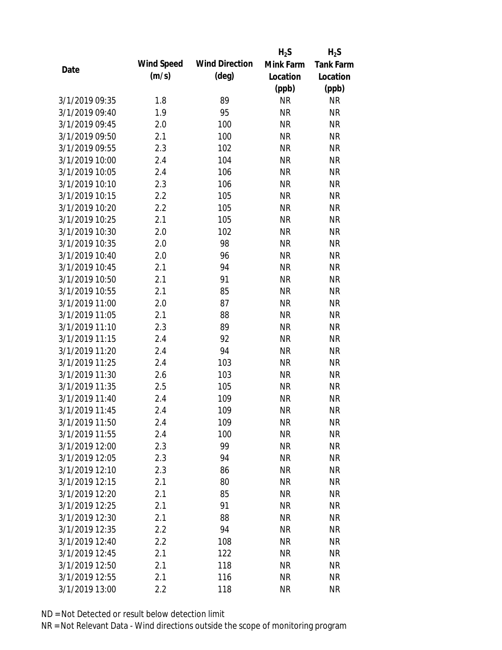|                |            |                       | $H_2S$    | $H_2S$           |
|----------------|------------|-----------------------|-----------|------------------|
| Date           | Wind Speed | <b>Wind Direction</b> | Mink Farm | <b>Tank Farm</b> |
|                | (m/s)      | $(\text{deg})$        | Location  | Location         |
|                |            |                       | (ppb)     | (ppb)            |
| 3/1/2019 09:35 | 1.8        | 89                    | <b>NR</b> | <b>NR</b>        |
| 3/1/2019 09:40 | 1.9        | 95                    | <b>NR</b> | <b>NR</b>        |
| 3/1/2019 09:45 | 2.0        | 100                   | <b>NR</b> | <b>NR</b>        |
| 3/1/2019 09:50 | 2.1        | 100                   | <b>NR</b> | <b>NR</b>        |
| 3/1/2019 09:55 | 2.3        | 102                   | <b>NR</b> | <b>NR</b>        |
| 3/1/2019 10:00 | 2.4        | 104                   | <b>NR</b> | <b>NR</b>        |
| 3/1/2019 10:05 | 2.4        | 106                   | <b>NR</b> | <b>NR</b>        |
| 3/1/2019 10:10 | 2.3        | 106                   | <b>NR</b> | <b>NR</b>        |
| 3/1/2019 10:15 | 2.2        | 105                   | <b>NR</b> | <b>NR</b>        |
| 3/1/2019 10:20 | 2.2        | 105                   | <b>NR</b> | <b>NR</b>        |
| 3/1/2019 10:25 | 2.1        | 105                   | <b>NR</b> | <b>NR</b>        |
| 3/1/2019 10:30 | 2.0        | 102                   | <b>NR</b> | <b>NR</b>        |
| 3/1/2019 10:35 | 2.0        | 98                    | <b>NR</b> | <b>NR</b>        |
| 3/1/2019 10:40 | 2.0        | 96                    | <b>NR</b> | <b>NR</b>        |
| 3/1/2019 10:45 | 2.1        | 94                    | <b>NR</b> | <b>NR</b>        |
| 3/1/2019 10:50 | 2.1        | 91                    | <b>NR</b> | <b>NR</b>        |
| 3/1/2019 10:55 | 2.1        | 85                    | <b>NR</b> | <b>NR</b>        |
| 3/1/2019 11:00 | 2.0        | 87                    | <b>NR</b> | <b>NR</b>        |
| 3/1/2019 11:05 | 2.1        | 88                    | <b>NR</b> | <b>NR</b>        |
| 3/1/2019 11:10 | 2.3        | 89                    | <b>NR</b> | <b>NR</b>        |
| 3/1/2019 11:15 | 2.4        | 92                    | <b>NR</b> | <b>NR</b>        |
| 3/1/2019 11:20 | 2.4        | 94                    | <b>NR</b> | <b>NR</b>        |
| 3/1/2019 11:25 | 2.4        | 103                   | <b>NR</b> | <b>NR</b>        |
| 3/1/2019 11:30 | 2.6        | 103                   | <b>NR</b> | <b>NR</b>        |
| 3/1/2019 11:35 | 2.5        | 105                   | <b>NR</b> | <b>NR</b>        |
| 3/1/2019 11:40 | 2.4        | 109                   | <b>NR</b> | <b>NR</b>        |
| 3/1/2019 11:45 | 2.4        | 109                   | <b>NR</b> | <b>NR</b>        |
| 3/1/2019 11:50 | 2.4        | 109                   | <b>NR</b> | <b>NR</b>        |
| 3/1/2019 11:55 | 2.4        | 100                   | <b>NR</b> | <b>NR</b>        |
| 3/1/2019 12:00 | 2.3        | 99                    | <b>NR</b> | <b>NR</b>        |
| 3/1/2019 12:05 | 2.3        | 94                    | <b>NR</b> | <b>NR</b>        |
| 3/1/2019 12:10 | 2.3        | 86                    | <b>NR</b> | <b>NR</b>        |
| 3/1/2019 12:15 | 2.1        | 80                    | <b>NR</b> | <b>NR</b>        |
| 3/1/2019 12:20 | 2.1        | 85                    | <b>NR</b> | <b>NR</b>        |
| 3/1/2019 12:25 | 2.1        | 91                    | <b>NR</b> | <b>NR</b>        |
| 3/1/2019 12:30 | 2.1        | 88                    | <b>NR</b> | <b>NR</b>        |
| 3/1/2019 12:35 | 2.2        | 94                    | <b>NR</b> | <b>NR</b>        |
| 3/1/2019 12:40 | 2.2        | 108                   | <b>NR</b> | <b>NR</b>        |
| 3/1/2019 12:45 | 2.1        | 122                   | <b>NR</b> | <b>NR</b>        |
| 3/1/2019 12:50 | 2.1        | 118                   | <b>NR</b> | <b>NR</b>        |
| 3/1/2019 12:55 | 2.1        | 116                   | <b>NR</b> | <b>NR</b>        |
| 3/1/2019 13:00 | 2.2        | 118                   | <b>NR</b> | <b>NR</b>        |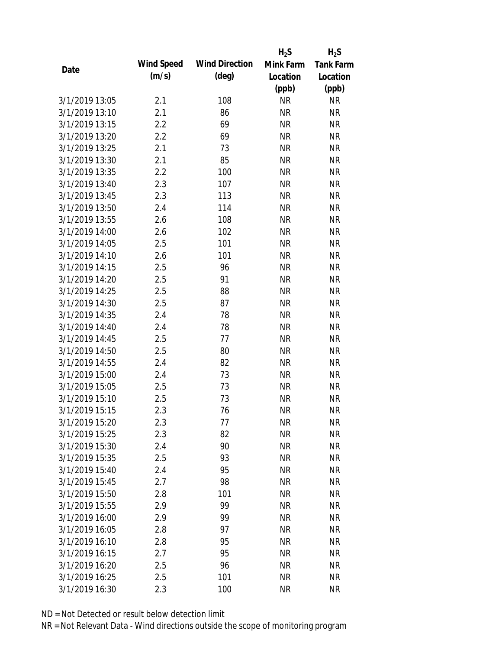|                |            |                       | $H_2S$    | $H_2S$           |
|----------------|------------|-----------------------|-----------|------------------|
| Date           | Wind Speed | <b>Wind Direction</b> | Mink Farm | <b>Tank Farm</b> |
|                | (m/s)      | $(\text{deg})$        | Location  | Location         |
|                |            |                       | (ppb)     | (ppb)            |
| 3/1/2019 13:05 | 2.1        | 108                   | <b>NR</b> | <b>NR</b>        |
| 3/1/2019 13:10 | 2.1        | 86                    | <b>NR</b> | <b>NR</b>        |
| 3/1/2019 13:15 | 2.2        | 69                    | <b>NR</b> | <b>NR</b>        |
| 3/1/2019 13:20 | 2.2        | 69                    | <b>NR</b> | <b>NR</b>        |
| 3/1/2019 13:25 | 2.1        | 73                    | <b>NR</b> | <b>NR</b>        |
| 3/1/2019 13:30 | 2.1        | 85                    | <b>NR</b> | <b>NR</b>        |
| 3/1/2019 13:35 | 2.2        | 100                   | <b>NR</b> | <b>NR</b>        |
| 3/1/2019 13:40 | 2.3        | 107                   | <b>NR</b> | <b>NR</b>        |
| 3/1/2019 13:45 | 2.3        | 113                   | <b>NR</b> | <b>NR</b>        |
| 3/1/2019 13:50 | 2.4        | 114                   | <b>NR</b> | <b>NR</b>        |
| 3/1/2019 13:55 | 2.6        | 108                   | <b>NR</b> | <b>NR</b>        |
| 3/1/2019 14:00 | 2.6        | 102                   | <b>NR</b> | <b>NR</b>        |
| 3/1/2019 14:05 | 2.5        | 101                   | <b>NR</b> | <b>NR</b>        |
| 3/1/2019 14:10 | 2.6        | 101                   | <b>NR</b> | <b>NR</b>        |
| 3/1/2019 14:15 | 2.5        | 96                    | <b>NR</b> | <b>NR</b>        |
| 3/1/2019 14:20 | 2.5        | 91                    | <b>NR</b> | <b>NR</b>        |
| 3/1/2019 14:25 | 2.5        | 88                    | <b>NR</b> | <b>NR</b>        |
| 3/1/2019 14:30 | 2.5        | 87                    | <b>NR</b> | <b>NR</b>        |
| 3/1/2019 14:35 | 2.4        | 78                    | <b>NR</b> | <b>NR</b>        |
| 3/1/2019 14:40 | 2.4        | 78                    | <b>NR</b> | <b>NR</b>        |
| 3/1/2019 14:45 | 2.5        | 77                    | <b>NR</b> | <b>NR</b>        |
| 3/1/2019 14:50 | 2.5        | 80                    | <b>NR</b> | <b>NR</b>        |
| 3/1/2019 14:55 | 2.4        | 82                    | <b>NR</b> | <b>NR</b>        |
| 3/1/2019 15:00 | 2.4        | 73                    | <b>NR</b> | <b>NR</b>        |
| 3/1/2019 15:05 | 2.5        | 73                    | <b>NR</b> | <b>NR</b>        |
| 3/1/2019 15:10 | 2.5        | 73                    | <b>NR</b> | <b>NR</b>        |
| 3/1/2019 15:15 | 2.3        | 76                    | <b>NR</b> | <b>NR</b>        |
| 3/1/2019 15:20 | 2.3        | 77                    | <b>NR</b> | <b>NR</b>        |
| 3/1/2019 15:25 | 2.3        | 82                    | <b>NR</b> | <b>NR</b>        |
| 3/1/2019 15:30 | 2.4        | 90                    | <b>NR</b> | <b>NR</b>        |
| 3/1/2019 15:35 | 2.5        | 93                    | <b>NR</b> | <b>NR</b>        |
| 3/1/2019 15:40 | 2.4        | 95                    | <b>NR</b> | <b>NR</b>        |
| 3/1/2019 15:45 | 2.7        | 98                    | <b>NR</b> | <b>NR</b>        |
| 3/1/2019 15:50 | 2.8        | 101                   | <b>NR</b> | <b>NR</b>        |
| 3/1/2019 15:55 | 2.9        | 99                    | <b>NR</b> | <b>NR</b>        |
| 3/1/2019 16:00 | 2.9        | 99                    | <b>NR</b> | <b>NR</b>        |
| 3/1/2019 16:05 | 2.8        | 97                    | <b>NR</b> | <b>NR</b>        |
| 3/1/2019 16:10 | 2.8        | 95                    | <b>NR</b> | <b>NR</b>        |
| 3/1/2019 16:15 | 2.7        | 95                    | <b>NR</b> | <b>NR</b>        |
| 3/1/2019 16:20 | 2.5        | 96                    | <b>NR</b> | <b>NR</b>        |
| 3/1/2019 16:25 | 2.5        | 101                   | <b>NR</b> | <b>NR</b>        |
| 3/1/2019 16:30 | 2.3        | 100                   | <b>NR</b> | <b>NR</b>        |
|                |            |                       |           |                  |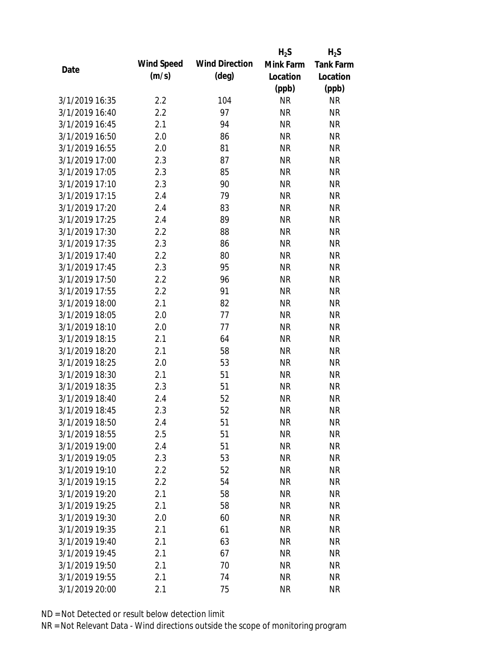|                |            |                       | $H_2S$    | $H_2S$           |
|----------------|------------|-----------------------|-----------|------------------|
| Date           | Wind Speed | <b>Wind Direction</b> | Mink Farm | <b>Tank Farm</b> |
|                | (m/s)      | $(\text{deg})$        | Location  | Location         |
|                |            |                       | (ppb)     | (ppb)            |
| 3/1/2019 16:35 | 2.2        | 104                   | <b>NR</b> | <b>NR</b>        |
| 3/1/2019 16:40 | 2.2        | 97                    | <b>NR</b> | <b>NR</b>        |
| 3/1/2019 16:45 | 2.1        | 94                    | <b>NR</b> | <b>NR</b>        |
| 3/1/2019 16:50 | 2.0        | 86                    | <b>NR</b> | <b>NR</b>        |
| 3/1/2019 16:55 | 2.0        | 81                    | <b>NR</b> | <b>NR</b>        |
| 3/1/2019 17:00 | 2.3        | 87                    | <b>NR</b> | <b>NR</b>        |
| 3/1/2019 17:05 | 2.3        | 85                    | <b>NR</b> | <b>NR</b>        |
| 3/1/2019 17:10 | 2.3        | 90                    | <b>NR</b> | <b>NR</b>        |
| 3/1/2019 17:15 | 2.4        | 79                    | <b>NR</b> | <b>NR</b>        |
| 3/1/2019 17:20 | 2.4        | 83                    | <b>NR</b> | <b>NR</b>        |
| 3/1/2019 17:25 | 2.4        | 89                    | <b>NR</b> | <b>NR</b>        |
| 3/1/2019 17:30 | 2.2        | 88                    | <b>NR</b> | <b>NR</b>        |
| 3/1/2019 17:35 | 2.3        | 86                    | <b>NR</b> | <b>NR</b>        |
| 3/1/2019 17:40 | 2.2        | 80                    | <b>NR</b> | <b>NR</b>        |
| 3/1/2019 17:45 | 2.3        | 95                    | <b>NR</b> | <b>NR</b>        |
| 3/1/2019 17:50 | 2.2        | 96                    | <b>NR</b> | <b>NR</b>        |
| 3/1/2019 17:55 | 2.2        | 91                    | <b>NR</b> | <b>NR</b>        |
| 3/1/2019 18:00 | 2.1        | 82                    | <b>NR</b> | <b>NR</b>        |
| 3/1/2019 18:05 | 2.0        | 77                    | <b>NR</b> | <b>NR</b>        |
| 3/1/2019 18:10 | 2.0        | 77                    | <b>NR</b> | <b>NR</b>        |
| 3/1/2019 18:15 | 2.1        | 64                    | <b>NR</b> | <b>NR</b>        |
| 3/1/2019 18:20 | 2.1        | 58                    | <b>NR</b> | <b>NR</b>        |
| 3/1/2019 18:25 | 2.0        | 53                    | <b>NR</b> | <b>NR</b>        |
| 3/1/2019 18:30 | 2.1        | 51                    | <b>NR</b> | <b>NR</b>        |
| 3/1/2019 18:35 | 2.3        | 51                    | <b>NR</b> | <b>NR</b>        |
| 3/1/2019 18:40 | 2.4        | 52                    | <b>NR</b> | <b>NR</b>        |
| 3/1/2019 18:45 | 2.3        | 52                    | <b>NR</b> | <b>NR</b>        |
| 3/1/2019 18:50 | 2.4        | 51                    | <b>NR</b> | <b>NR</b>        |
| 3/1/2019 18:55 | 2.5        | 51                    | <b>NR</b> | <b>NR</b>        |
| 3/1/2019 19:00 | 2.4        | 51                    | <b>NR</b> | <b>NR</b>        |
| 3/1/2019 19:05 | 2.3        | 53                    | <b>NR</b> | <b>NR</b>        |
| 3/1/2019 19:10 | 2.2        | 52                    | <b>NR</b> | <b>NR</b>        |
| 3/1/2019 19:15 | 2.2        | 54                    | <b>NR</b> | <b>NR</b>        |
| 3/1/2019 19:20 | 2.1        | 58                    | <b>NR</b> | <b>NR</b>        |
| 3/1/2019 19:25 | 2.1        | 58                    | <b>NR</b> | <b>NR</b>        |
| 3/1/2019 19:30 | 2.0        | 60                    | <b>NR</b> | <b>NR</b>        |
| 3/1/2019 19:35 | 2.1        | 61                    | <b>NR</b> | <b>NR</b>        |
| 3/1/2019 19:40 | 2.1        | 63                    | <b>NR</b> | <b>NR</b>        |
| 3/1/2019 19:45 | 2.1        | 67                    | <b>NR</b> | <b>NR</b>        |
| 3/1/2019 19:50 | 2.1        | 70                    | <b>NR</b> | <b>NR</b>        |
| 3/1/2019 19:55 | 2.1        | 74                    | <b>NR</b> | <b>NR</b>        |
| 3/1/2019 20:00 | 2.1        | 75                    | <b>NR</b> | <b>NR</b>        |
|                |            |                       |           |                  |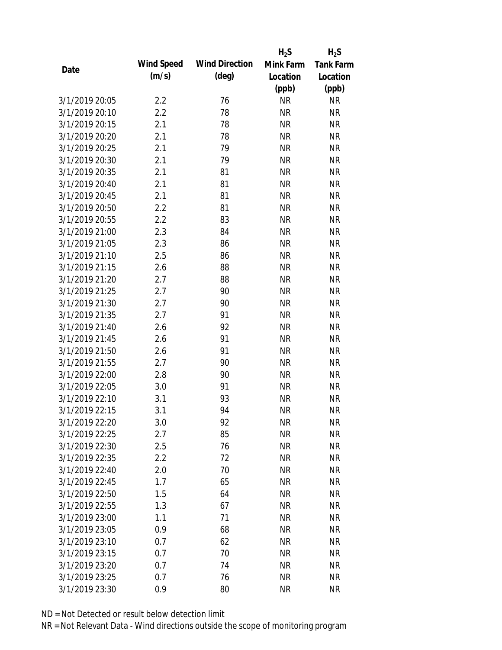|                |            |                       | $H_2S$    | $H_2S$           |
|----------------|------------|-----------------------|-----------|------------------|
| Date           | Wind Speed | <b>Wind Direction</b> | Mink Farm | <b>Tank Farm</b> |
|                | (m/s)      | $(\text{deg})$        | Location  | Location         |
|                |            |                       | (ppb)     | (ppb)            |
| 3/1/2019 20:05 | 2.2        | 76                    | <b>NR</b> | <b>NR</b>        |
| 3/1/2019 20:10 | 2.2        | 78                    | <b>NR</b> | <b>NR</b>        |
| 3/1/2019 20:15 | 2.1        | 78                    | <b>NR</b> | <b>NR</b>        |
| 3/1/2019 20:20 | 2.1        | 78                    | <b>NR</b> | <b>NR</b>        |
| 3/1/2019 20:25 | 2.1        | 79                    | <b>NR</b> | <b>NR</b>        |
| 3/1/2019 20:30 | 2.1        | 79                    | <b>NR</b> | <b>NR</b>        |
| 3/1/2019 20:35 | 2.1        | 81                    | <b>NR</b> | <b>NR</b>        |
| 3/1/2019 20:40 | 2.1        | 81                    | <b>NR</b> | <b>NR</b>        |
| 3/1/2019 20:45 | 2.1        | 81                    | <b>NR</b> | <b>NR</b>        |
| 3/1/2019 20:50 | 2.2        | 81                    | <b>NR</b> | <b>NR</b>        |
| 3/1/2019 20:55 | 2.2        | 83                    | <b>NR</b> | <b>NR</b>        |
| 3/1/2019 21:00 | 2.3        | 84                    | <b>NR</b> | <b>NR</b>        |
| 3/1/2019 21:05 | 2.3        | 86                    | <b>NR</b> | <b>NR</b>        |
| 3/1/2019 21:10 | 2.5        | 86                    | <b>NR</b> | <b>NR</b>        |
| 3/1/2019 21:15 | 2.6        | 88                    | <b>NR</b> | <b>NR</b>        |
| 3/1/2019 21:20 | 2.7        | 88                    | <b>NR</b> | <b>NR</b>        |
| 3/1/2019 21:25 | 2.7        | 90                    | <b>NR</b> | <b>NR</b>        |
| 3/1/2019 21:30 | 2.7        | 90                    | <b>NR</b> | <b>NR</b>        |
| 3/1/2019 21:35 | 2.7        | 91                    | <b>NR</b> | <b>NR</b>        |
| 3/1/2019 21:40 | 2.6        | 92                    | <b>NR</b> | <b>NR</b>        |
| 3/1/2019 21:45 | 2.6        | 91                    | <b>NR</b> | <b>NR</b>        |
| 3/1/2019 21:50 | 2.6        | 91                    | <b>NR</b> | <b>NR</b>        |
| 3/1/2019 21:55 | 2.7        | 90                    | <b>NR</b> | <b>NR</b>        |
| 3/1/2019 22:00 | 2.8        | 90                    | <b>NR</b> | <b>NR</b>        |
| 3/1/2019 22:05 | 3.0        | 91                    | <b>NR</b> | <b>NR</b>        |
| 3/1/2019 22:10 | 3.1        | 93                    | <b>NR</b> | <b>NR</b>        |
| 3/1/2019 22:15 | 3.1        | 94                    | <b>NR</b> | <b>NR</b>        |
| 3/1/2019 22:20 | 3.0        | 92                    | <b>NR</b> | <b>NR</b>        |
| 3/1/2019 22:25 | 2.7        | 85                    | <b>NR</b> | <b>NR</b>        |
| 3/1/2019 22:30 | 2.5        | 76                    | <b>NR</b> | <b>NR</b>        |
| 3/1/2019 22:35 | 2.2        | 72                    | <b>NR</b> | <b>NR</b>        |
| 3/1/2019 22:40 | 2.0        | 70                    | <b>NR</b> | <b>NR</b>        |
| 3/1/2019 22:45 | 1.7        | 65                    | <b>NR</b> | <b>NR</b>        |
| 3/1/2019 22:50 | 1.5        | 64                    | <b>NR</b> | <b>NR</b>        |
| 3/1/2019 22:55 | 1.3        | 67                    | <b>NR</b> | <b>NR</b>        |
| 3/1/2019 23:00 | 1.1        | 71                    | <b>NR</b> | <b>NR</b>        |
| 3/1/2019 23:05 | 0.9        | 68                    | <b>NR</b> | <b>NR</b>        |
| 3/1/2019 23:10 | 0.7        | 62                    | <b>NR</b> | <b>NR</b>        |
| 3/1/2019 23:15 | 0.7        | 70                    | <b>NR</b> | <b>NR</b>        |
| 3/1/2019 23:20 | 0.7        | 74                    | <b>NR</b> | <b>NR</b>        |
| 3/1/2019 23:25 | 0.7        | 76                    | <b>NR</b> | <b>NR</b>        |
| 3/1/2019 23:30 | 0.9        | 80                    | <b>NR</b> | <b>NR</b>        |
|                |            |                       |           |                  |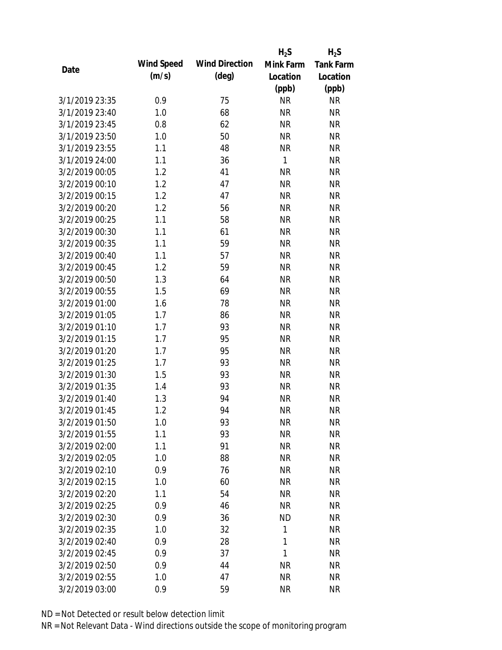|                |            |                       | $H_2S$    | $H_2S$           |
|----------------|------------|-----------------------|-----------|------------------|
| Date           | Wind Speed | <b>Wind Direction</b> | Mink Farm | <b>Tank Farm</b> |
|                | (m/s)      | $(\text{deg})$        | Location  | Location         |
|                |            |                       | (ppb)     | (ppb)            |
| 3/1/2019 23:35 | 0.9        | 75                    | <b>NR</b> | <b>NR</b>        |
| 3/1/2019 23:40 | 1.0        | 68                    | <b>NR</b> | <b>NR</b>        |
| 3/1/2019 23:45 | 0.8        | 62                    | <b>NR</b> | <b>NR</b>        |
| 3/1/2019 23:50 | 1.0        | 50                    | <b>NR</b> | <b>NR</b>        |
| 3/1/2019 23:55 | 1.1        | 48                    | <b>NR</b> | <b>NR</b>        |
| 3/1/2019 24:00 | 1.1        | 36                    | 1         | <b>NR</b>        |
| 3/2/2019 00:05 | 1.2        | 41                    | <b>NR</b> | <b>NR</b>        |
| 3/2/2019 00:10 | 1.2        | 47                    | <b>NR</b> | <b>NR</b>        |
| 3/2/2019 00:15 | 1.2        | 47                    | <b>NR</b> | <b>NR</b>        |
| 3/2/2019 00:20 | 1.2        | 56                    | <b>NR</b> | <b>NR</b>        |
| 3/2/2019 00:25 | 1.1        | 58                    | <b>NR</b> | <b>NR</b>        |
| 3/2/2019 00:30 | 1.1        | 61                    | <b>NR</b> | <b>NR</b>        |
| 3/2/2019 00:35 | 1.1        | 59                    | <b>NR</b> | <b>NR</b>        |
| 3/2/2019 00:40 | 1.1        | 57                    | <b>NR</b> | <b>NR</b>        |
| 3/2/2019 00:45 | 1.2        | 59                    | <b>NR</b> | <b>NR</b>        |
| 3/2/2019 00:50 | 1.3        | 64                    | <b>NR</b> | <b>NR</b>        |
| 3/2/2019 00:55 | 1.5        | 69                    | <b>NR</b> | <b>NR</b>        |
| 3/2/2019 01:00 | 1.6        | 78                    | <b>NR</b> | <b>NR</b>        |
| 3/2/2019 01:05 | 1.7        | 86                    | <b>NR</b> | <b>NR</b>        |
| 3/2/2019 01:10 | 1.7        | 93                    | <b>NR</b> | <b>NR</b>        |
| 3/2/2019 01:15 | 1.7        | 95                    | <b>NR</b> | <b>NR</b>        |
| 3/2/2019 01:20 | 1.7        | 95                    | <b>NR</b> | <b>NR</b>        |
| 3/2/2019 01:25 | 1.7        | 93                    | <b>NR</b> | <b>NR</b>        |
| 3/2/2019 01:30 | 1.5        | 93                    | <b>NR</b> | <b>NR</b>        |
| 3/2/2019 01:35 | 1.4        | 93                    | <b>NR</b> | <b>NR</b>        |
| 3/2/2019 01:40 | 1.3        | 94                    | <b>NR</b> | <b>NR</b>        |
| 3/2/2019 01:45 | 1.2        | 94                    | <b>NR</b> | <b>NR</b>        |
| 3/2/2019 01:50 | 1.0        | 93                    | <b>NR</b> | <b>NR</b>        |
| 3/2/2019 01:55 | 1.1        | 93                    | <b>NR</b> | <b>NR</b>        |
| 3/2/2019 02:00 | 1.1        | 91                    | <b>NR</b> | <b>NR</b>        |
| 3/2/2019 02:05 | 1.0        | 88                    | <b>NR</b> | <b>NR</b>        |
| 3/2/2019 02:10 | 0.9        | 76                    | <b>NR</b> | <b>NR</b>        |
| 3/2/2019 02:15 | 1.0        | 60                    | <b>NR</b> | <b>NR</b>        |
| 3/2/2019 02:20 | 1.1        | 54                    | <b>NR</b> | <b>NR</b>        |
| 3/2/2019 02:25 | 0.9        | 46                    | <b>NR</b> | <b>NR</b>        |
| 3/2/2019 02:30 | 0.9        | 36                    | <b>ND</b> | <b>NR</b>        |
| 3/2/2019 02:35 | 1.0        | 32                    | 1         | <b>NR</b>        |
| 3/2/2019 02:40 | 0.9        | 28                    | 1         | <b>NR</b>        |
| 3/2/2019 02:45 | 0.9        | 37                    | 1         | <b>NR</b>        |
| 3/2/2019 02:50 | 0.9        | 44                    | <b>NR</b> | <b>NR</b>        |
| 3/2/2019 02:55 | 1.0        | 47                    | <b>NR</b> | <b>NR</b>        |
| 3/2/2019 03:00 | 0.9        | 59                    | <b>NR</b> | <b>NR</b>        |
|                |            |                       |           |                  |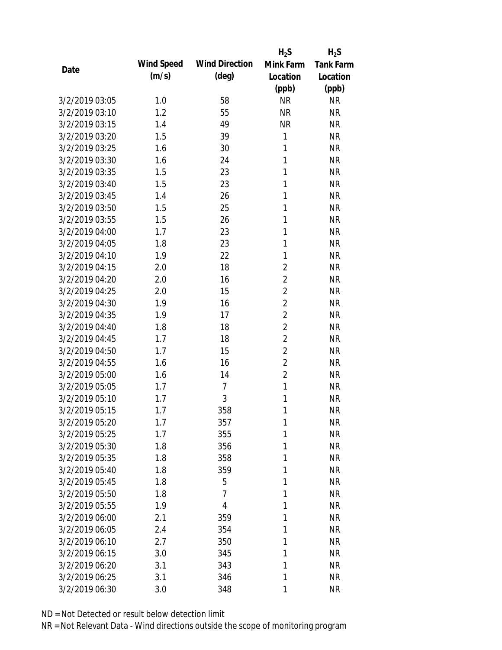|                |            |                       | $H_2S$         | $H_2S$           |
|----------------|------------|-----------------------|----------------|------------------|
| Date           | Wind Speed | <b>Wind Direction</b> | Mink Farm      | <b>Tank Farm</b> |
|                | (m/s)      | $(\text{deg})$        | Location       | Location         |
|                |            |                       | (ppb)          | (ppb)            |
| 3/2/2019 03:05 | 1.0        | 58                    | <b>NR</b>      | <b>NR</b>        |
| 3/2/2019 03:10 | 1.2        | 55                    | <b>NR</b>      | <b>NR</b>        |
| 3/2/2019 03:15 | 1.4        | 49                    | <b>NR</b>      | <b>NR</b>        |
| 3/2/2019 03:20 | 1.5        | 39                    | 1              | <b>NR</b>        |
| 3/2/2019 03:25 | 1.6        | 30                    | $\mathbf{1}$   | <b>NR</b>        |
| 3/2/2019 03:30 | 1.6        | 24                    | 1              | <b>NR</b>        |
| 3/2/2019 03:35 | 1.5        | 23                    | 1              | <b>NR</b>        |
| 3/2/2019 03:40 | 1.5        | 23                    | 1              | <b>NR</b>        |
| 3/2/2019 03:45 | 1.4        | 26                    | 1              | <b>NR</b>        |
| 3/2/2019 03:50 | 1.5        | 25                    | 1              | <b>NR</b>        |
| 3/2/2019 03:55 | 1.5        | 26                    | 1              | <b>NR</b>        |
| 3/2/2019 04:00 | 1.7        | 23                    | 1              | <b>NR</b>        |
| 3/2/2019 04:05 | 1.8        | 23                    | $\mathbf{1}$   | <b>NR</b>        |
| 3/2/2019 04:10 | 1.9        | 22                    | 1              | <b>NR</b>        |
| 3/2/2019 04:15 | 2.0        | 18                    | $\overline{2}$ | <b>NR</b>        |
| 3/2/2019 04:20 | 2.0        | 16                    | $\overline{2}$ | <b>NR</b>        |
| 3/2/2019 04:25 | 2.0        | 15                    | $\overline{2}$ | <b>NR</b>        |
| 3/2/2019 04:30 | 1.9        | 16                    | $\overline{2}$ | <b>NR</b>        |
| 3/2/2019 04:35 | 1.9        | 17                    | $\overline{2}$ | <b>NR</b>        |
| 3/2/2019 04:40 | 1.8        | 18                    | $\overline{2}$ | <b>NR</b>        |
| 3/2/2019 04:45 | 1.7        | 18                    | $\overline{2}$ | <b>NR</b>        |
| 3/2/2019 04:50 | 1.7        | 15                    | $\overline{2}$ | <b>NR</b>        |
| 3/2/2019 04:55 | 1.6        | 16                    | $\overline{2}$ | <b>NR</b>        |
| 3/2/2019 05:00 | 1.6        | 14                    | $\overline{2}$ | <b>NR</b>        |
| 3/2/2019 05:05 | 1.7        | $\overline{7}$        | $\mathbf{1}$   | <b>NR</b>        |
| 3/2/2019 05:10 | 1.7        | 3                     | 1              | <b>NR</b>        |
| 3/2/2019 05:15 | 1.7        | 358                   | 1              | <b>NR</b>        |
| 3/2/2019 05:20 | 1.7        | 357                   | 1              | <b>NR</b>        |
| 3/2/2019 05:25 | 1.7        | 355                   | 1              | <b>NR</b>        |
| 3/2/2019 05:30 | 1.8        | 356                   | 1              | <b>NR</b>        |
| 3/2/2019 05:35 | 1.8        | 358                   | 1              | <b>NR</b>        |
| 3/2/2019 05:40 | 1.8        | 359                   | 1              | <b>NR</b>        |
| 3/2/2019 05:45 | 1.8        | 5                     | 1              | <b>NR</b>        |
| 3/2/2019 05:50 | 1.8        | $\overline{7}$        | 1              | <b>NR</b>        |
| 3/2/2019 05:55 | 1.9        | 4                     | 1              | <b>NR</b>        |
| 3/2/2019 06:00 | 2.1        | 359                   | 1              | <b>NR</b>        |
| 3/2/2019 06:05 | 2.4        | 354                   | 1              | <b>NR</b>        |
| 3/2/2019 06:10 | 2.7        | 350                   | 1              | <b>NR</b>        |
| 3/2/2019 06:15 | 3.0        | 345                   | 1              | <b>NR</b>        |
| 3/2/2019 06:20 | 3.1        | 343                   | 1              | <b>NR</b>        |
| 3/2/2019 06:25 | 3.1        | 346                   | 1              | <b>NR</b>        |
| 3/2/2019 06:30 | 3.0        | 348                   | 1              | <b>NR</b>        |
|                |            |                       |                |                  |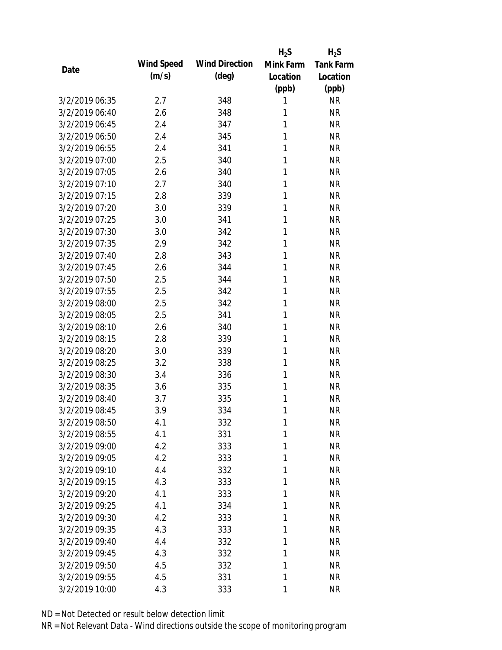|                |            |                       | $H_2S$    | $H_2S$           |
|----------------|------------|-----------------------|-----------|------------------|
| Date           | Wind Speed | <b>Wind Direction</b> | Mink Farm | <b>Tank Farm</b> |
|                | (m/s)      | $(\text{deg})$        | Location  | Location         |
|                |            |                       | (ppb)     | (ppb)            |
| 3/2/2019 06:35 | 2.7        | 348                   | 1         | <b>NR</b>        |
| 3/2/2019 06:40 | 2.6        | 348                   | 1         | <b>NR</b>        |
| 3/2/2019 06:45 | 2.4        | 347                   | 1         | <b>NR</b>        |
| 3/2/2019 06:50 | 2.4        | 345                   | 1         | <b>NR</b>        |
| 3/2/2019 06:55 | 2.4        | 341                   | 1         | <b>NR</b>        |
| 3/2/2019 07:00 | 2.5        | 340                   | 1         | <b>NR</b>        |
| 3/2/2019 07:05 | 2.6        | 340                   | 1         | <b>NR</b>        |
| 3/2/2019 07:10 | 2.7        | 340                   | 1         | <b>NR</b>        |
| 3/2/2019 07:15 | 2.8        | 339                   | 1         | <b>NR</b>        |
| 3/2/2019 07:20 | 3.0        | 339                   | 1         | <b>NR</b>        |
| 3/2/2019 07:25 | 3.0        | 341                   | 1         | <b>NR</b>        |
| 3/2/2019 07:30 | 3.0        | 342                   | 1         | <b>NR</b>        |
| 3/2/2019 07:35 | 2.9        | 342                   | 1         | <b>NR</b>        |
| 3/2/2019 07:40 | 2.8        | 343                   | 1         | <b>NR</b>        |
| 3/2/2019 07:45 | 2.6        | 344                   | 1         | <b>NR</b>        |
| 3/2/2019 07:50 | 2.5        | 344                   | 1         | <b>NR</b>        |
| 3/2/2019 07:55 | 2.5        | 342                   | 1         | <b>NR</b>        |
| 3/2/2019 08:00 | 2.5        | 342                   | 1         | <b>NR</b>        |
| 3/2/2019 08:05 | 2.5        | 341                   | 1         | <b>NR</b>        |
| 3/2/2019 08:10 | 2.6        | 340                   | 1         | <b>NR</b>        |
| 3/2/2019 08:15 | 2.8        | 339                   | 1         | <b>NR</b>        |
| 3/2/2019 08:20 | 3.0        | 339                   | 1         | <b>NR</b>        |
| 3/2/2019 08:25 | 3.2        | 338                   | 1         | <b>NR</b>        |
| 3/2/2019 08:30 | 3.4        | 336                   | 1         | <b>NR</b>        |
| 3/2/2019 08:35 | 3.6        | 335                   | 1         | <b>NR</b>        |
| 3/2/2019 08:40 | 3.7        | 335                   | 1         | <b>NR</b>        |
| 3/2/2019 08:45 | 3.9        | 334                   | 1         | <b>NR</b>        |
| 3/2/2019 08:50 | 4.1        | 332                   | 1         | <b>NR</b>        |
| 3/2/2019 08:55 | 4.1        | 331                   | 1         | <b>NR</b>        |
| 3/2/2019 09:00 | 4.2        | 333                   | 1         | <b>NR</b>        |
| 3/2/2019 09:05 | 4.2        | 333                   | 1         | <b>NR</b>        |
| 3/2/2019 09:10 | 4.4        | 332                   | 1         | <b>NR</b>        |
| 3/2/2019 09:15 | 4.3        | 333                   | 1         | <b>NR</b>        |
| 3/2/2019 09:20 | 4.1        | 333                   | 1         | <b>NR</b>        |
| 3/2/2019 09:25 | 4.1        | 334                   | 1         | <b>NR</b>        |
| 3/2/2019 09:30 | 4.2        | 333                   | 1         | <b>NR</b>        |
| 3/2/2019 09:35 | 4.3        | 333                   | 1         | <b>NR</b>        |
| 3/2/2019 09:40 | 4.4        | 332                   | 1         | <b>NR</b>        |
| 3/2/2019 09:45 | 4.3        | 332                   | 1         | <b>NR</b>        |
| 3/2/2019 09:50 | 4.5        | 332                   | 1         | <b>NR</b>        |
| 3/2/2019 09:55 | 4.5        | 331                   | 1         | <b>NR</b>        |
|                |            |                       |           |                  |
| 3/2/2019 10:00 | 4.3        | 333                   | 1         | <b>NR</b>        |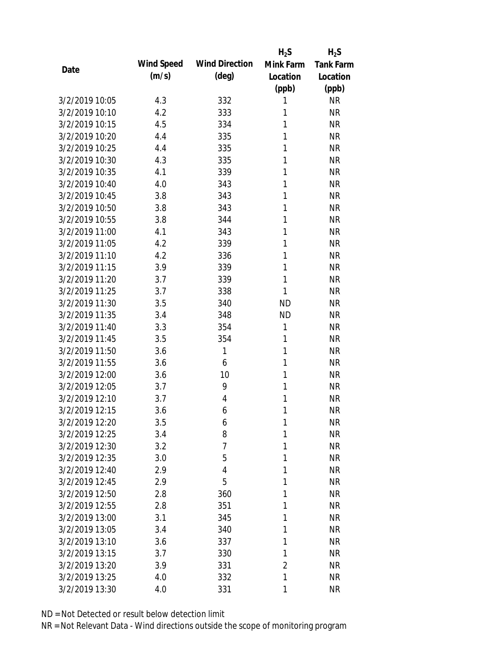|                |            |                       | $H_2S$         | $H_2S$           |
|----------------|------------|-----------------------|----------------|------------------|
| Date           | Wind Speed | <b>Wind Direction</b> | Mink Farm      | <b>Tank Farm</b> |
|                | (m/s)      | $(\text{deg})$        | Location       | Location         |
|                |            |                       | (ppb)          | (ppb)            |
| 3/2/2019 10:05 | 4.3        | 332                   | 1              | <b>NR</b>        |
| 3/2/2019 10:10 | 4.2        | 333                   | 1              | <b>NR</b>        |
| 3/2/2019 10:15 | 4.5        | 334                   | 1              | <b>NR</b>        |
| 3/2/2019 10:20 | 4.4        | 335                   | 1              | <b>NR</b>        |
| 3/2/2019 10:25 | 4.4        | 335                   | 1              | <b>NR</b>        |
| 3/2/2019 10:30 | 4.3        | 335                   | 1              | <b>NR</b>        |
| 3/2/2019 10:35 | 4.1        | 339                   | 1              | <b>NR</b>        |
| 3/2/2019 10:40 | 4.0        | 343                   | 1              | <b>NR</b>        |
| 3/2/2019 10:45 | 3.8        | 343                   | 1              | <b>NR</b>        |
| 3/2/2019 10:50 | 3.8        | 343                   | 1              | <b>NR</b>        |
| 3/2/2019 10:55 | 3.8        | 344                   | 1              | <b>NR</b>        |
| 3/2/2019 11:00 | 4.1        | 343                   | 1              | <b>NR</b>        |
| 3/2/2019 11:05 | 4.2        | 339                   | 1              | <b>NR</b>        |
| 3/2/2019 11:10 | 4.2        | 336                   | 1              | <b>NR</b>        |
| 3/2/2019 11:15 | 3.9        | 339                   | 1              | <b>NR</b>        |
| 3/2/2019 11:20 | 3.7        | 339                   | 1              | <b>NR</b>        |
| 3/2/2019 11:25 | 3.7        | 338                   | 1              | <b>NR</b>        |
| 3/2/2019 11:30 | 3.5        | 340                   | <b>ND</b>      | <b>NR</b>        |
| 3/2/2019 11:35 | 3.4        | 348                   | <b>ND</b>      | <b>NR</b>        |
| 3/2/2019 11:40 | 3.3        | 354                   | $\mathbf{1}$   | <b>NR</b>        |
| 3/2/2019 11:45 | 3.5        | 354                   | 1              | <b>NR</b>        |
| 3/2/2019 11:50 | 3.6        | 1                     | 1              | <b>NR</b>        |
| 3/2/2019 11:55 | 3.6        | 6                     | 1              | <b>NR</b>        |
| 3/2/2019 12:00 | 3.6        | 10                    | 1              | <b>NR</b>        |
| 3/2/2019 12:05 | 3.7        | 9                     | 1              | <b>NR</b>        |
| 3/2/2019 12:10 | 3.7        | 4                     | 1              | <b>NR</b>        |
| 3/2/2019 12:15 | 3.6        | 6                     | 1              | <b>NR</b>        |
| 3/2/2019 12:20 | 3.5        | 6                     | 1              | <b>NR</b>        |
| 3/2/2019 12:25 | 3.4        | 8                     | 1              | <b>NR</b>        |
| 3/2/2019 12:30 | 3.2        | $\overline{7}$        | 1              | <b>NR</b>        |
| 3/2/2019 12:35 | 3.0        | 5                     | 1              | <b>NR</b>        |
| 3/2/2019 12:40 | 2.9        | 4                     | 1              | <b>NR</b>        |
| 3/2/2019 12:45 | 2.9        | 5                     | 1              | <b>NR</b>        |
| 3/2/2019 12:50 | 2.8        | 360                   | 1              | <b>NR</b>        |
| 3/2/2019 12:55 | 2.8        | 351                   | 1              | <b>NR</b>        |
| 3/2/2019 13:00 | 3.1        | 345                   | 1              | <b>NR</b>        |
| 3/2/2019 13:05 | 3.4        | 340                   | 1              | <b>NR</b>        |
| 3/2/2019 13:10 | 3.6        | 337                   | 1              | <b>NR</b>        |
| 3/2/2019 13:15 | 3.7        | 330                   | 1              | <b>NR</b>        |
| 3/2/2019 13:20 | 3.9        | 331                   | $\overline{2}$ | <b>NR</b>        |
| 3/2/2019 13:25 | 4.0        | 332                   | 1              | <b>NR</b>        |
| 3/2/2019 13:30 | 4.0        | 331                   | 1              | <b>NR</b>        |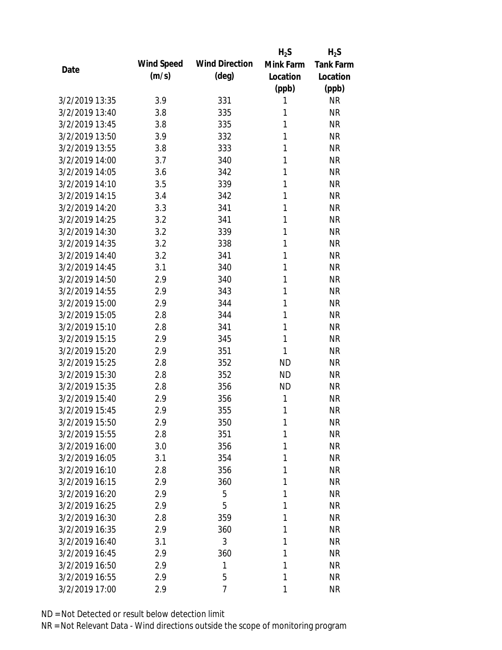|                |            |                       | $H_2S$    | $H_2S$           |
|----------------|------------|-----------------------|-----------|------------------|
| Date           | Wind Speed | <b>Wind Direction</b> | Mink Farm | <b>Tank Farm</b> |
|                | (m/s)      | $(\text{deg})$        | Location  | Location         |
|                |            |                       | (ppb)     | (ppb)            |
| 3/2/2019 13:35 | 3.9        | 331                   | 1         | <b>NR</b>        |
| 3/2/2019 13:40 | 3.8        | 335                   | 1         | <b>NR</b>        |
| 3/2/2019 13:45 | 3.8        | 335                   | 1         | <b>NR</b>        |
| 3/2/2019 13:50 | 3.9        | 332                   | 1         | <b>NR</b>        |
| 3/2/2019 13:55 | 3.8        | 333                   | 1         | <b>NR</b>        |
| 3/2/2019 14:00 | 3.7        | 340                   | 1         | <b>NR</b>        |
| 3/2/2019 14:05 | 3.6        | 342                   | 1         | <b>NR</b>        |
| 3/2/2019 14:10 | 3.5        | 339                   | 1         | <b>NR</b>        |
| 3/2/2019 14:15 | 3.4        | 342                   | 1         | <b>NR</b>        |
| 3/2/2019 14:20 | 3.3        | 341                   | 1         | <b>NR</b>        |
| 3/2/2019 14:25 | 3.2        | 341                   | 1         | <b>NR</b>        |
| 3/2/2019 14:30 | 3.2        | 339                   | 1         | <b>NR</b>        |
| 3/2/2019 14:35 | 3.2        | 338                   | 1         | <b>NR</b>        |
| 3/2/2019 14:40 | 3.2        | 341                   | 1         | <b>NR</b>        |
| 3/2/2019 14:45 | 3.1        | 340                   | 1         | <b>NR</b>        |
| 3/2/2019 14:50 | 2.9        | 340                   | 1         | <b>NR</b>        |
| 3/2/2019 14:55 | 2.9        | 343                   | 1         | <b>NR</b>        |
| 3/2/2019 15:00 | 2.9        | 344                   | 1         | <b>NR</b>        |
| 3/2/2019 15:05 | 2.8        | 344                   | 1         | <b>NR</b>        |
| 3/2/2019 15:10 | 2.8        | 341                   | 1         | <b>NR</b>        |
| 3/2/2019 15:15 | 2.9        | 345                   | 1         | <b>NR</b>        |
| 3/2/2019 15:20 | 2.9        | 351                   | 1         | <b>NR</b>        |
| 3/2/2019 15:25 | 2.8        | 352                   | <b>ND</b> | <b>NR</b>        |
| 3/2/2019 15:30 | 2.8        | 352                   | <b>ND</b> | <b>NR</b>        |
| 3/2/2019 15:35 | 2.8        | 356                   | <b>ND</b> | <b>NR</b>        |
| 3/2/2019 15:40 | 2.9        | 356                   | 1         | <b>NR</b>        |
| 3/2/2019 15:45 | 2.9        | 355                   | 1         | <b>NR</b>        |
| 3/2/2019 15:50 | 2.9        | 350                   | 1         | <b>NR</b>        |
| 3/2/2019 15:55 | 2.8        | 351                   | 1         | <b>NR</b>        |
| 3/2/2019 16:00 | 3.0        | 356                   | 1         | <b>NR</b>        |
| 3/2/2019 16:05 | 3.1        | 354                   | 1         | <b>NR</b>        |
| 3/2/2019 16:10 | 2.8        | 356                   | 1         | <b>NR</b>        |
| 3/2/2019 16:15 | 2.9        | 360                   | 1         | <b>NR</b>        |
| 3/2/2019 16:20 | 2.9        | 5                     | 1         | <b>NR</b>        |
| 3/2/2019 16:25 | 2.9        | 5                     | 1         | <b>NR</b>        |
| 3/2/2019 16:30 | 2.8        | 359                   | 1         | <b>NR</b>        |
| 3/2/2019 16:35 | 2.9        | 360                   | 1         | <b>NR</b>        |
| 3/2/2019 16:40 | 3.1        | 3                     | 1         | <b>NR</b>        |
| 3/2/2019 16:45 | 2.9        | 360                   | 1         | <b>NR</b>        |
| 3/2/2019 16:50 | 2.9        | 1                     | 1         | <b>NR</b>        |
| 3/2/2019 16:55 | 2.9        | 5                     | 1         | <b>NR</b>        |
| 3/2/2019 17:00 | 2.9        | 7                     | 1         | <b>NR</b>        |
|                |            |                       |           |                  |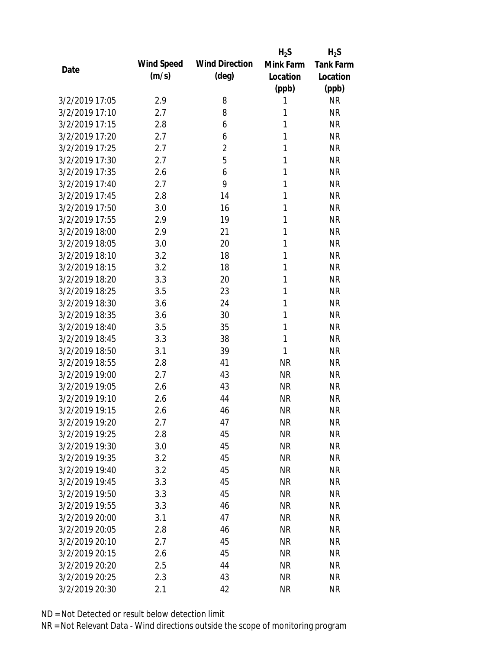|                |            |                       | $H_2S$       | $H_2S$           |
|----------------|------------|-----------------------|--------------|------------------|
| Date           | Wind Speed | <b>Wind Direction</b> | Mink Farm    | <b>Tank Farm</b> |
|                | (m/s)      | $(\text{deg})$        | Location     | Location         |
|                |            |                       | (ppb)        | (ppb)            |
| 3/2/2019 17:05 | 2.9        | 8                     | 1            | <b>NR</b>        |
| 3/2/2019 17:10 | 2.7        | 8                     | 1            | <b>NR</b>        |
| 3/2/2019 17:15 | 2.8        | 6                     | 1            | <b>NR</b>        |
| 3/2/2019 17:20 | 2.7        | 6                     | 1            | <b>NR</b>        |
| 3/2/2019 17:25 | 2.7        | $\overline{2}$        | $\mathbf{1}$ | <b>NR</b>        |
| 3/2/2019 17:30 | 2.7        | 5                     | 1            | <b>NR</b>        |
| 3/2/2019 17:35 | 2.6        | 6                     | 1            | <b>NR</b>        |
| 3/2/2019 17:40 | 2.7        | 9                     | 1            | <b>NR</b>        |
| 3/2/2019 17:45 | 2.8        | 14                    | 1            | <b>NR</b>        |
| 3/2/2019 17:50 | 3.0        | 16                    | 1            | <b>NR</b>        |
| 3/2/2019 17:55 | 2.9        | 19                    | 1            | <b>NR</b>        |
| 3/2/2019 18:00 | 2.9        | 21                    | 1            | <b>NR</b>        |
| 3/2/2019 18:05 | 3.0        | 20                    | 1            | <b>NR</b>        |
| 3/2/2019 18:10 | 3.2        | 18                    | 1            | <b>NR</b>        |
| 3/2/2019 18:15 | 3.2        | 18                    | 1            | <b>NR</b>        |
| 3/2/2019 18:20 | 3.3        | 20                    | 1            | <b>NR</b>        |
| 3/2/2019 18:25 | 3.5        | 23                    | 1            | <b>NR</b>        |
| 3/2/2019 18:30 | 3.6        | 24                    | 1            | <b>NR</b>        |
| 3/2/2019 18:35 | 3.6        | 30                    | 1            | <b>NR</b>        |
| 3/2/2019 18:40 | 3.5        | 35                    | 1            | <b>NR</b>        |
| 3/2/2019 18:45 | 3.3        | 38                    | 1            | <b>NR</b>        |
| 3/2/2019 18:50 | 3.1        | 39                    | 1            | <b>NR</b>        |
| 3/2/2019 18:55 | 2.8        | 41                    | <b>NR</b>    | <b>NR</b>        |
| 3/2/2019 19:00 | 2.7        | 43                    | <b>NR</b>    | <b>NR</b>        |
| 3/2/2019 19:05 | 2.6        | 43                    | <b>NR</b>    | <b>NR</b>        |
| 3/2/2019 19:10 | 2.6        | 44                    | <b>NR</b>    | <b>NR</b>        |
| 3/2/2019 19:15 | 2.6        | 46                    | <b>NR</b>    | <b>NR</b>        |
| 3/2/2019 19:20 | 2.7        | 47                    | <b>NR</b>    | <b>NR</b>        |
| 3/2/2019 19:25 | 2.8        | 45                    | <b>NR</b>    | <b>NR</b>        |
| 3/2/2019 19:30 | 3.0        | 45                    | <b>NR</b>    | <b>NR</b>        |
| 3/2/2019 19:35 | 3.2        | 45                    | <b>NR</b>    | <b>NR</b>        |
| 3/2/2019 19:40 | 3.2        | 45                    | <b>NR</b>    | <b>NR</b>        |
| 3/2/2019 19:45 | 3.3        | 45                    | <b>NR</b>    | <b>NR</b>        |
| 3/2/2019 19:50 | 3.3        | 45                    | <b>NR</b>    | <b>NR</b>        |
| 3/2/2019 19:55 | 3.3        | 46                    | <b>NR</b>    | <b>NR</b>        |
| 3/2/2019 20:00 | 3.1        | 47                    | <b>NR</b>    | <b>NR</b>        |
| 3/2/2019 20:05 | 2.8        | 46                    | <b>NR</b>    | <b>NR</b>        |
| 3/2/2019 20:10 | 2.7        | 45                    | <b>NR</b>    | <b>NR</b>        |
| 3/2/2019 20:15 | 2.6        | 45                    | <b>NR</b>    | <b>NR</b>        |
| 3/2/2019 20:20 | 2.5        | 44                    | NR           | NR               |
| 3/2/2019 20:25 |            | 43                    | <b>NR</b>    | <b>NR</b>        |
|                | 2.3        |                       |              |                  |
| 3/2/2019 20:30 | 2.1        | 42                    | <b>NR</b>    | <b>NR</b>        |